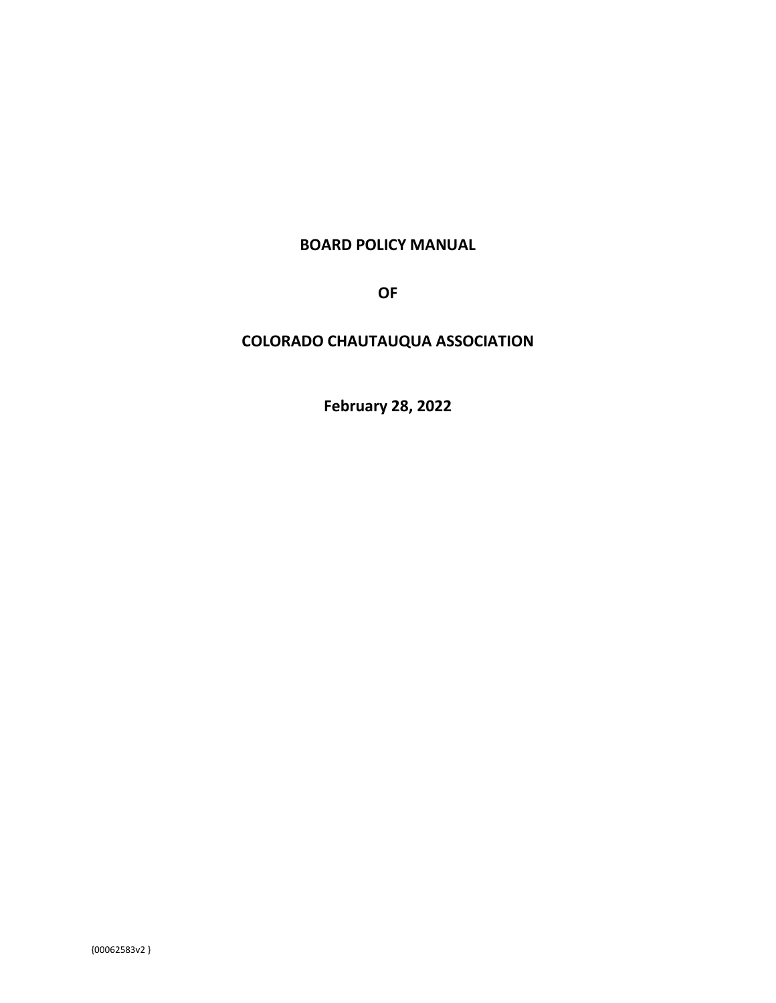## **BOARD POLICY MANUAL**

**OF**

# **COLORADO CHAUTAUQUA ASSOCIATION**

**February 28, 2022**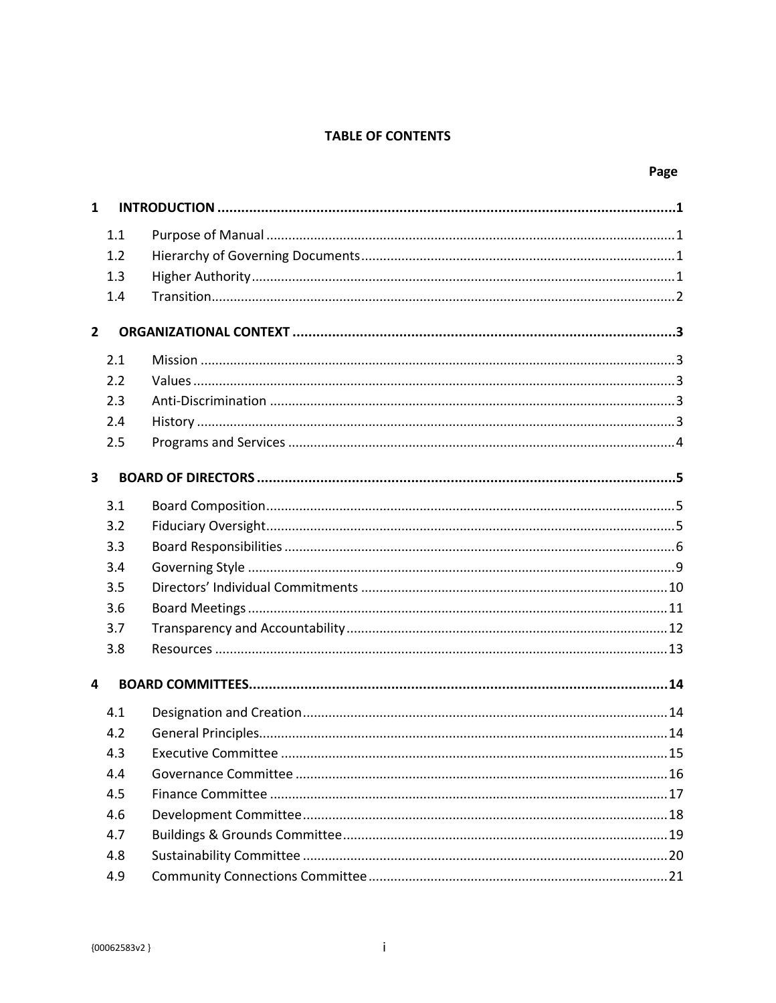## **TABLE OF CONTENTS**

| $\mathbf{1}$            |     |  |  |  |  |
|-------------------------|-----|--|--|--|--|
|                         | 1.1 |  |  |  |  |
|                         | 1.2 |  |  |  |  |
|                         | 1.3 |  |  |  |  |
|                         | 1.4 |  |  |  |  |
| $\overline{2}$          |     |  |  |  |  |
|                         | 2.1 |  |  |  |  |
|                         | 2.2 |  |  |  |  |
|                         | 2.3 |  |  |  |  |
|                         | 2.4 |  |  |  |  |
|                         | 2.5 |  |  |  |  |
| 3                       |     |  |  |  |  |
|                         | 3.1 |  |  |  |  |
|                         | 3.2 |  |  |  |  |
|                         | 3.3 |  |  |  |  |
|                         | 3.4 |  |  |  |  |
|                         | 3.5 |  |  |  |  |
|                         | 3.6 |  |  |  |  |
|                         | 3.7 |  |  |  |  |
|                         | 3.8 |  |  |  |  |
| $\overline{\mathbf{4}}$ |     |  |  |  |  |
|                         | 4.1 |  |  |  |  |
|                         | 4.2 |  |  |  |  |
|                         | 4.3 |  |  |  |  |
|                         | 4.4 |  |  |  |  |
|                         | 4.5 |  |  |  |  |
|                         | 4.6 |  |  |  |  |
|                         | 4.7 |  |  |  |  |
|                         | 4.8 |  |  |  |  |
|                         | 4.9 |  |  |  |  |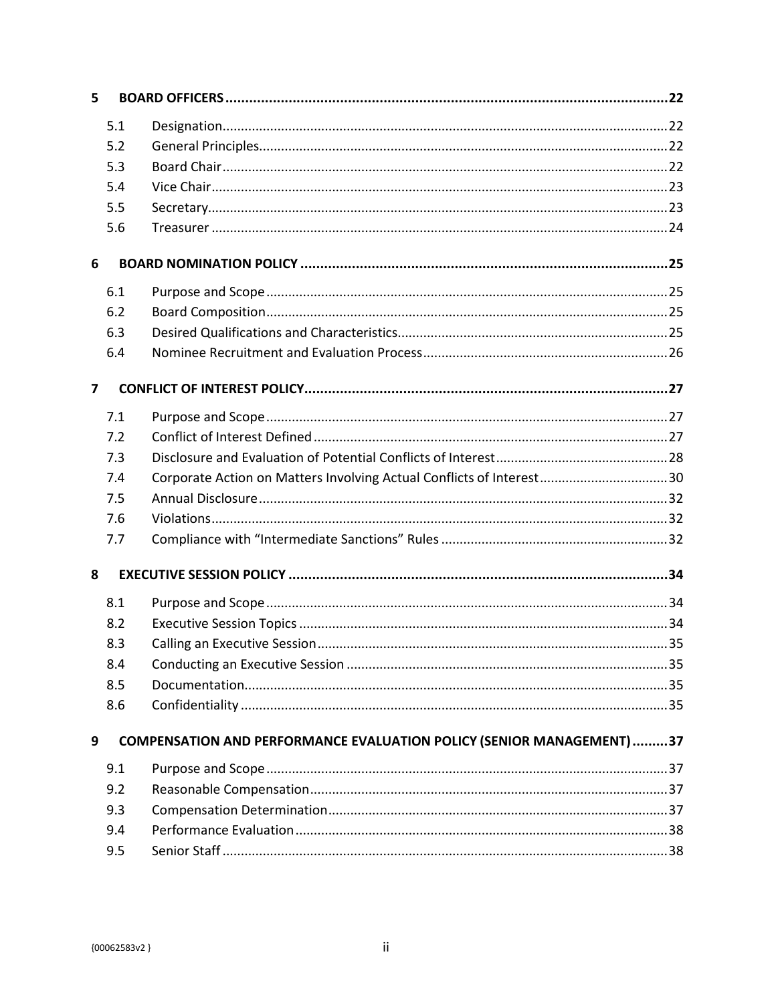| 5              |                                                                             |                                                                      |  |  |  |  |
|----------------|-----------------------------------------------------------------------------|----------------------------------------------------------------------|--|--|--|--|
|                | 5.1                                                                         |                                                                      |  |  |  |  |
|                | 5.2                                                                         |                                                                      |  |  |  |  |
|                | 5.3                                                                         |                                                                      |  |  |  |  |
|                | 5.4                                                                         |                                                                      |  |  |  |  |
|                | 5.5                                                                         |                                                                      |  |  |  |  |
|                | 5.6                                                                         |                                                                      |  |  |  |  |
| 6              |                                                                             |                                                                      |  |  |  |  |
|                | 6.1                                                                         |                                                                      |  |  |  |  |
|                | 6.2                                                                         |                                                                      |  |  |  |  |
|                | 6.3                                                                         |                                                                      |  |  |  |  |
|                | 6.4                                                                         |                                                                      |  |  |  |  |
| $\overline{ }$ |                                                                             |                                                                      |  |  |  |  |
|                |                                                                             |                                                                      |  |  |  |  |
|                | 7.1                                                                         |                                                                      |  |  |  |  |
|                | 7.2                                                                         |                                                                      |  |  |  |  |
|                | 7.3                                                                         |                                                                      |  |  |  |  |
|                | 7.4                                                                         | Corporate Action on Matters Involving Actual Conflicts of Interest30 |  |  |  |  |
|                | 7.5<br>7.6                                                                  |                                                                      |  |  |  |  |
|                |                                                                             |                                                                      |  |  |  |  |
|                | 7.7                                                                         |                                                                      |  |  |  |  |
| 8              |                                                                             |                                                                      |  |  |  |  |
|                | 8.1                                                                         |                                                                      |  |  |  |  |
|                | 8.2                                                                         |                                                                      |  |  |  |  |
|                | 8.3                                                                         |                                                                      |  |  |  |  |
|                | 8.4                                                                         |                                                                      |  |  |  |  |
|                | 8.5                                                                         |                                                                      |  |  |  |  |
|                | 8.6                                                                         |                                                                      |  |  |  |  |
| 9              | <b>COMPENSATION AND PERFORMANCE EVALUATION POLICY (SENIOR MANAGEMENT)37</b> |                                                                      |  |  |  |  |
|                | 9.1                                                                         |                                                                      |  |  |  |  |
|                | 9.2                                                                         |                                                                      |  |  |  |  |
|                | 9.3                                                                         |                                                                      |  |  |  |  |
|                | 9.4                                                                         |                                                                      |  |  |  |  |
|                | 9.5                                                                         |                                                                      |  |  |  |  |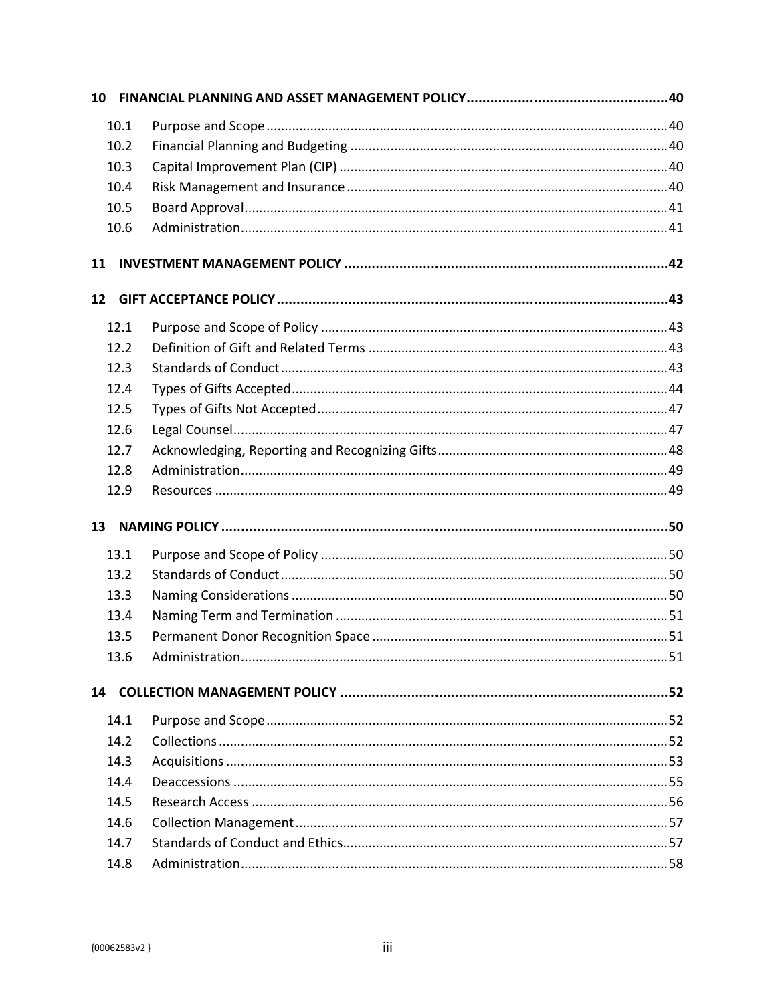| 10.1 |  |  |  |  |  |  |  |
|------|--|--|--|--|--|--|--|
| 10.2 |  |  |  |  |  |  |  |
| 10.3 |  |  |  |  |  |  |  |
| 10.4 |  |  |  |  |  |  |  |
| 10.5 |  |  |  |  |  |  |  |
| 10.6 |  |  |  |  |  |  |  |
| 11   |  |  |  |  |  |  |  |
| 12   |  |  |  |  |  |  |  |
| 12.1 |  |  |  |  |  |  |  |
| 12.2 |  |  |  |  |  |  |  |
| 12.3 |  |  |  |  |  |  |  |
| 12.4 |  |  |  |  |  |  |  |
| 12.5 |  |  |  |  |  |  |  |
| 12.6 |  |  |  |  |  |  |  |
| 12.7 |  |  |  |  |  |  |  |
| 12.8 |  |  |  |  |  |  |  |
| 12.9 |  |  |  |  |  |  |  |
| 13   |  |  |  |  |  |  |  |
| 13.1 |  |  |  |  |  |  |  |
| 13.2 |  |  |  |  |  |  |  |
| 13.3 |  |  |  |  |  |  |  |
| 13.4 |  |  |  |  |  |  |  |
| 13.5 |  |  |  |  |  |  |  |
| 13.6 |  |  |  |  |  |  |  |
|      |  |  |  |  |  |  |  |
| 14.1 |  |  |  |  |  |  |  |
| 14.2 |  |  |  |  |  |  |  |
| 14.3 |  |  |  |  |  |  |  |
| 14.4 |  |  |  |  |  |  |  |
| 14.5 |  |  |  |  |  |  |  |
| 14.6 |  |  |  |  |  |  |  |
| 14.7 |  |  |  |  |  |  |  |
| 14.8 |  |  |  |  |  |  |  |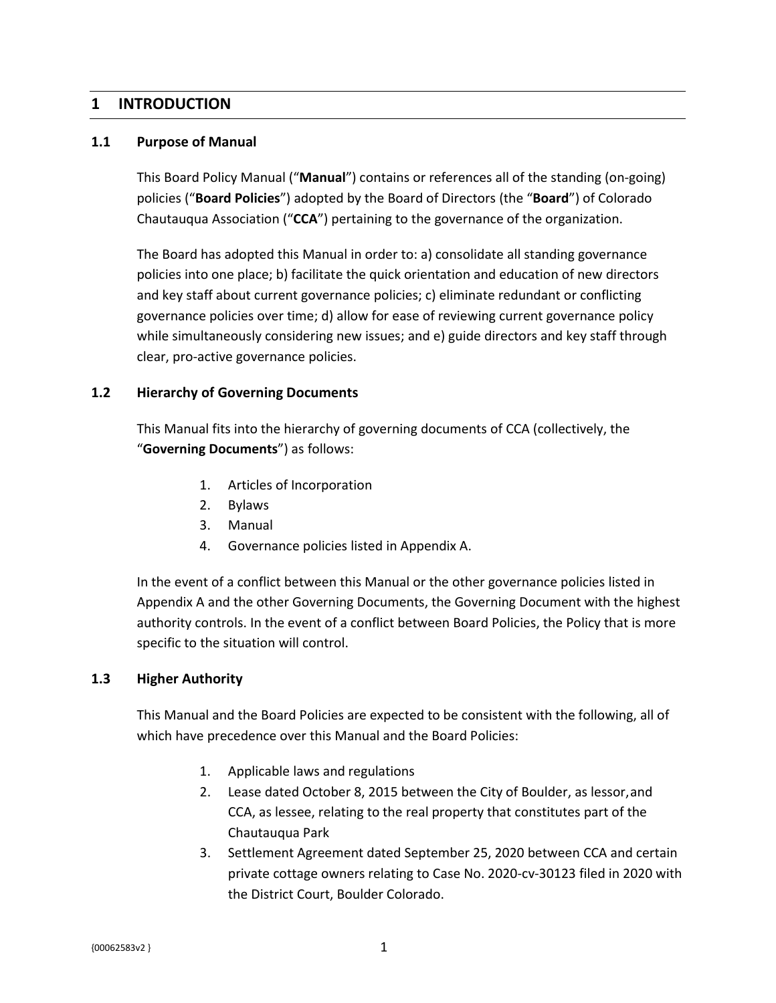## <span id="page-5-0"></span>**1 INTRODUCTION**

### <span id="page-5-1"></span>**1.1 Purpose of Manual**

This Board Policy Manual ("**Manual**") contains or references all of the standing (on-going) policies ("**Board Policies**") adopted by the Board of Directors (the "**Board**") of Colorado Chautauqua Association ("**CCA**") pertaining to the governance of the organization.

The Board has adopted this Manual in order to: a) consolidate all standing governance policies into one place; b) facilitate the quick orientation and education of new directors and key staff about current governance policies; c) eliminate redundant or conflicting governance policies over time; d) allow for ease of reviewing current governance policy while simultaneously considering new issues; and e) guide directors and key staff through clear, pro-active governance policies.

### <span id="page-5-2"></span>**1.2 Hierarchy of Governing Documents**

This Manual fits into the hierarchy of governing documents of CCA (collectively, the "**Governing Documents**") as follows:

- 1. Articles of Incorporation
- 2. Bylaws
- 3. Manual
- 4. Governance policies listed in Appendix A.

In the event of a conflict between this Manual or the other governance policies listed in Appendix A and the other Governing Documents, the Governing Document with the highest authority controls. In the event of a conflict between Board Policies, the Policy that is more specific to the situation will control.

### <span id="page-5-3"></span>**1.3 Higher Authority**

This Manual and the Board Policies are expected to be consistent with the following, all of which have precedence over this Manual and the Board Policies:

- 1. Applicable laws and regulations
- 2. Lease dated October 8, 2015 between the City of Boulder, as lessor,and CCA, as lessee, relating to the real property that constitutes part of the Chautauqua Park
- 3. Settlement Agreement dated September 25, 2020 between CCA and certain private cottage owners relating to Case No. 2020-cv-30123 filed in 2020 with the District Court, Boulder Colorado.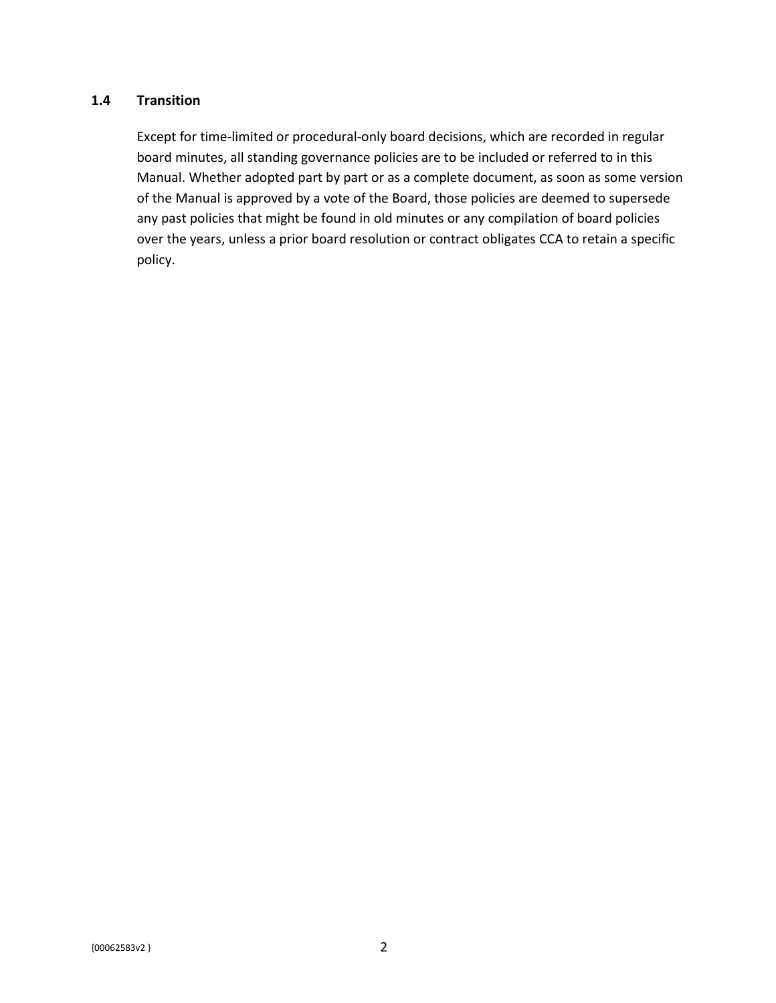### <span id="page-6-0"></span>**1.4 Transition**

Except for time-limited or procedural-only board decisions, which are recorded in regular board minutes, all standing governance policies are to be included or referred to in this Manual. Whether adopted part by part or as a complete document, as soon as some version of the Manual is approved by a vote of the Board, those policies are deemed to supersede any past policies that might be found in old minutes or any compilation of board policies over the years, unless a prior board resolution or contract obligates CCA to retain a specific policy.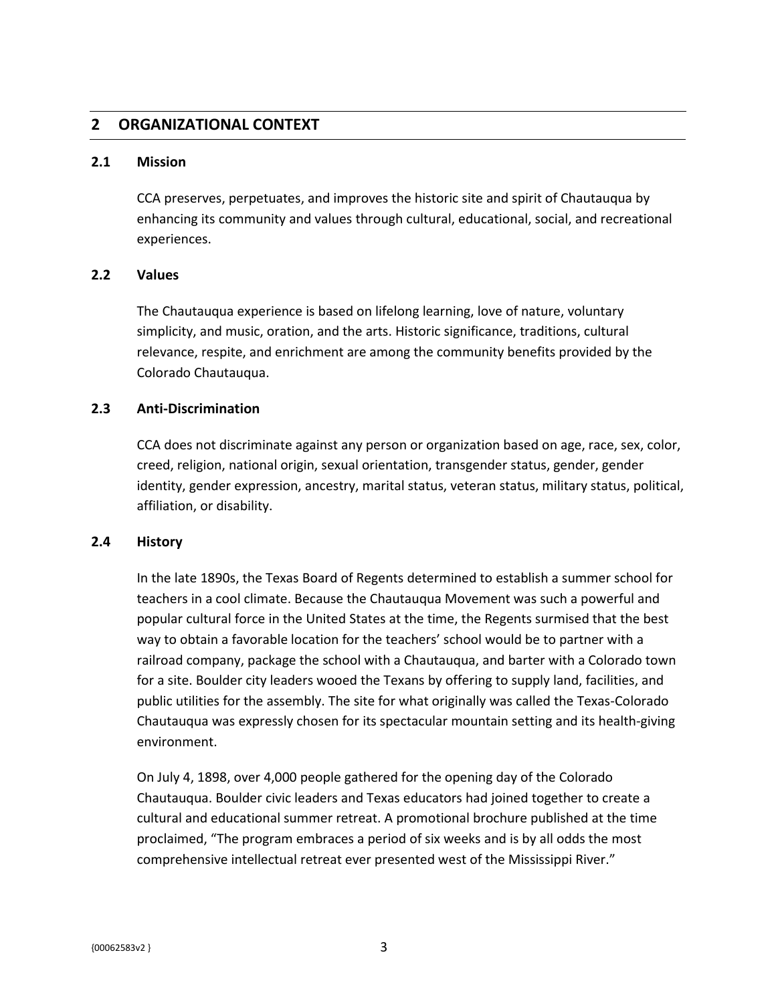## <span id="page-7-0"></span>**2 ORGANIZATIONAL CONTEXT**

### <span id="page-7-1"></span>**2.1 Mission**

CCA preserves, perpetuates, and improves the historic site and spirit of Chautauqua by enhancing its community and values through cultural, educational, social, and recreational experiences.

### <span id="page-7-2"></span>**2.2 Values**

The Chautauqua experience is based on lifelong learning, love of nature, voluntary simplicity, and music, oration, and the arts. Historic significance, traditions, cultural relevance, respite, and enrichment are among the community benefits provided by the Colorado Chautauqua.

### <span id="page-7-3"></span>**2.3 Anti-Discrimination**

CCA does not discriminate against any person or organization based on age, race, sex, color, creed, religion, national origin, sexual orientation, transgender status, gender, gender identity, gender expression, ancestry, marital status, veteran status, military status, political, affiliation, or disability.

### <span id="page-7-4"></span>**2.4 History**

In the late 1890s, the Texas Board of Regents determined to establish a summer school for teachers in a cool climate. Because the Chautauqua Movement was such a powerful and popular cultural force in the United States at the time, the Regents surmised that the best way to obtain a favorable location for the teachers' school would be to partner with a railroad company, package the school with a Chautauqua, and barter with a Colorado town for a site. Boulder city leaders wooed the Texans by offering to supply land, facilities, and public utilities for the assembly. The site for what originally was called the Texas-Colorado Chautauqua was expressly chosen for its spectacular mountain setting and its health-giving environment.

On July 4, 1898, over 4,000 people gathered for the opening day of the Colorado Chautauqua. Boulder civic leaders and Texas educators had joined together to create a cultural and educational summer retreat. A promotional brochure published at the time proclaimed, "The program embraces a period of six weeks and is by all odds the most comprehensive intellectual retreat ever presented west of the Mississippi River."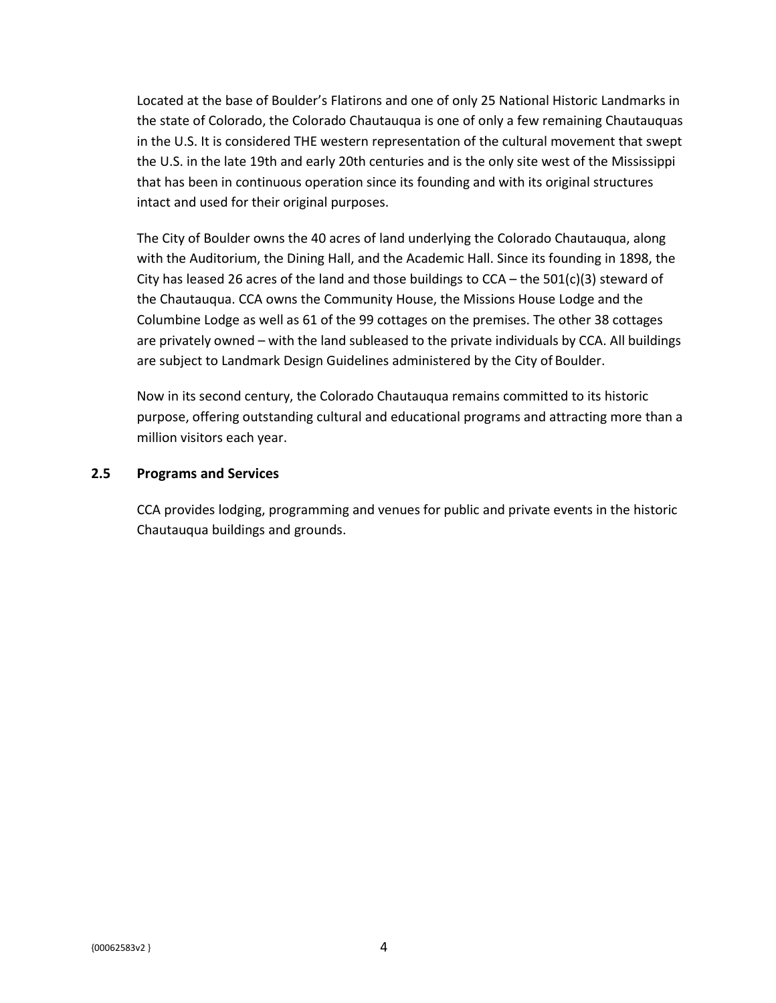Located at the base of Boulder's Flatirons and one of only 25 National Historic Landmarks in the state of Colorado, the Colorado Chautauqua is one of only a few remaining Chautauquas in the U.S. It is considered THE western representation of the cultural movement that swept the U.S. in the late 19th and early 20th centuries and is the only site west of the Mississippi that has been in continuous operation since its founding and with its original structures intact and used for their original purposes.

The City of Boulder owns the 40 acres of land underlying the Colorado Chautauqua, along with the Auditorium, the Dining Hall, and the Academic Hall. Since its founding in 1898, the City has leased 26 acres of the land and those buildings to  $CCA$  – the 501(c)(3) steward of the Chautauqua. CCA owns the Community House, the Missions House Lodge and the Columbine Lodge as well as 61 of the 99 cottages on the premises. The other 38 cottages are privately owned – with the land subleased to the private individuals by CCA. All buildings are subject to Landmark Design Guidelines administered by the City of Boulder.

Now in its second century, the Colorado Chautauqua remains committed to its historic purpose, offering outstanding cultural and educational programs and attracting more than a million visitors each year.

### <span id="page-8-0"></span>**2.5 Programs and Services**

CCA provides lodging, programming and venues for public and private events in the historic Chautauqua buildings and grounds.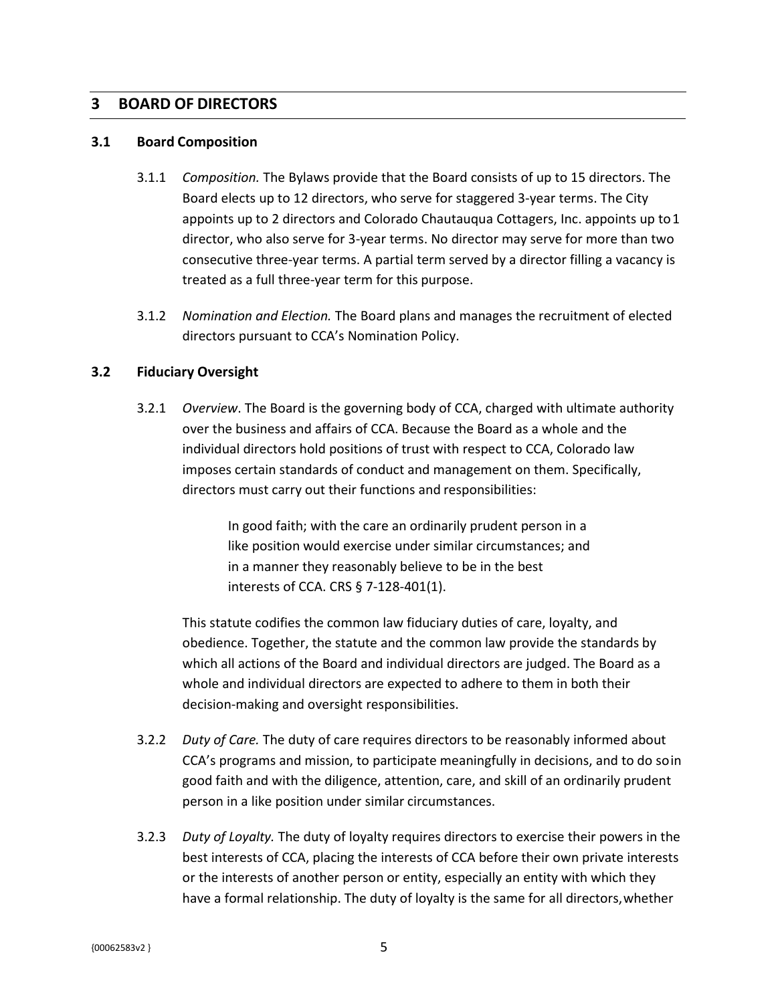### <span id="page-9-0"></span>**3 BOARD OF DIRECTORS**

#### <span id="page-9-1"></span>**3.1 Board Composition**

- 3.1.1 *Composition.* The Bylaws provide that the Board consists of up to 15 directors. The Board elects up to 12 directors, who serve for staggered 3-year terms. The City appoints up to 2 directors and Colorado Chautauqua Cottagers, Inc. appoints up to1 director, who also serve for 3-year terms. No director may serve for more than two consecutive three-year terms. A partial term served by a director filling a vacancy is treated as a full three-year term for this purpose.
- 3.1.2 *Nomination and Election.* The Board plans and manages the recruitment of elected directors pursuant to CCA's Nomination Policy.

### <span id="page-9-2"></span>**3.2 Fiduciary Oversight**

3.2.1 *Overview*. The Board is the governing body of CCA, charged with ultimate authority over the business and affairs of CCA. Because the Board as a whole and the individual directors hold positions of trust with respect to CCA, Colorado law imposes certain standards of conduct and management on them. Specifically, directors must carry out their functions and responsibilities:

> In good faith; with the care an ordinarily prudent person in a like position would exercise under similar circumstances; and in a manner they reasonably believe to be in the best interests of CCA. CRS § 7-128-401(1).

This statute codifies the common law fiduciary duties of care, loyalty, and obedience. Together, the statute and the common law provide the standards by which all actions of the Board and individual directors are judged. The Board as a whole and individual directors are expected to adhere to them in both their decision-making and oversight responsibilities.

- 3.2.2 *Duty of Care.* The duty of care requires directors to be reasonably informed about CCA's programs and mission, to participate meaningfully in decisions, and to do soin good faith and with the diligence, attention, care, and skill of an ordinarily prudent person in a like position under similar circumstances.
- 3.2.3 *Duty of Loyalty.* The duty of loyalty requires directors to exercise their powers in the best interests of CCA, placing the interests of CCA before their own private interests or the interests of another person or entity, especially an entity with which they have a formal relationship. The duty of loyalty is the same for all directors,whether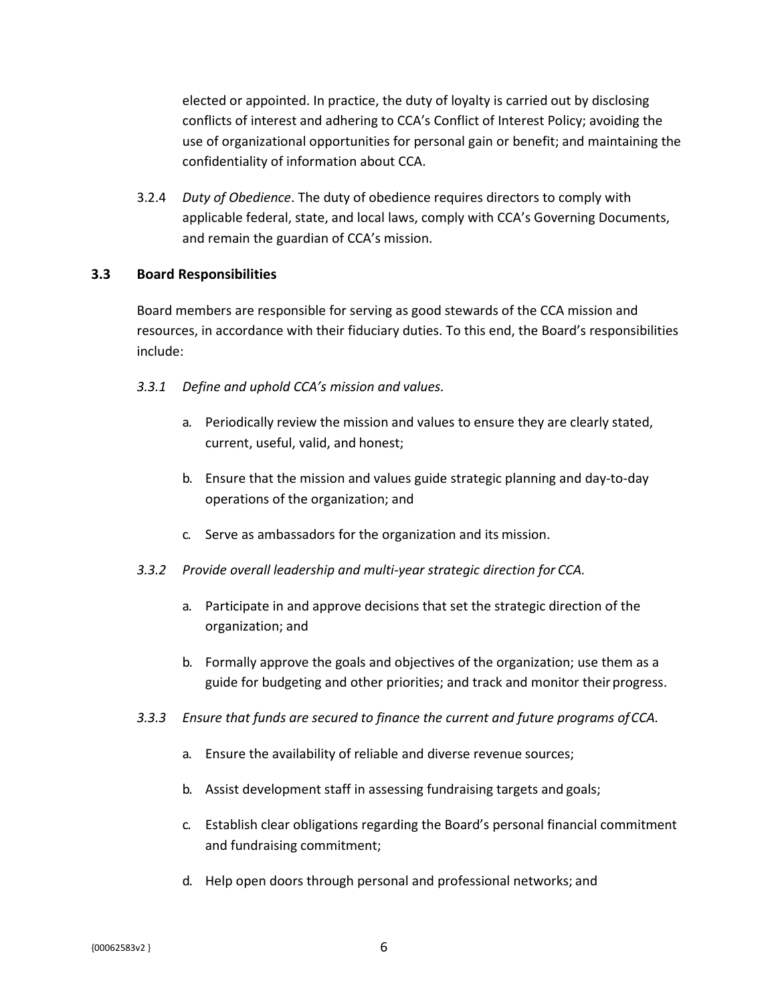elected or appointed. In practice, the duty of loyalty is carried out by disclosing conflicts of interest and adhering to CCA's Conflict of Interest Policy; avoiding the use of organizational opportunities for personal gain or benefit; and maintaining the confidentiality of information about CCA.

3.2.4 *Duty of Obedience*. The duty of obedience requires directors to comply with applicable federal, state, and local laws, comply with CCA's Governing Documents, and remain the guardian of CCA's mission.

### <span id="page-10-0"></span>**3.3 Board Responsibilities**

Board members are responsible for serving as good stewards of the CCA mission and resources, in accordance with their fiduciary duties. To this end, the Board's responsibilities include:

- *3.3.1 Define and uphold CCA's mission and values.*
	- a. Periodically review the mission and values to ensure they are clearly stated, current, useful, valid, and honest;
	- b. Ensure that the mission and values guide strategic planning and day-to-day operations of the organization; and
	- c. Serve as ambassadors for the organization and its mission.
- *3.3.2 Provide overall leadership and multi-year strategic direction for CCA.*
	- a. Participate in and approve decisions that set the strategic direction of the organization; and
	- b. Formally approve the goals and objectives of the organization; use them as a guide for budgeting and other priorities; and track and monitor their progress.
- *3.3.3 Ensure that funds are secured to finance the current and future programs ofCCA.*
	- a. Ensure the availability of reliable and diverse revenue sources;
	- b. Assist development staff in assessing fundraising targets and goals;
	- c. Establish clear obligations regarding the Board's personal financial commitment and fundraising commitment;
	- d. Help open doors through personal and professional networks; and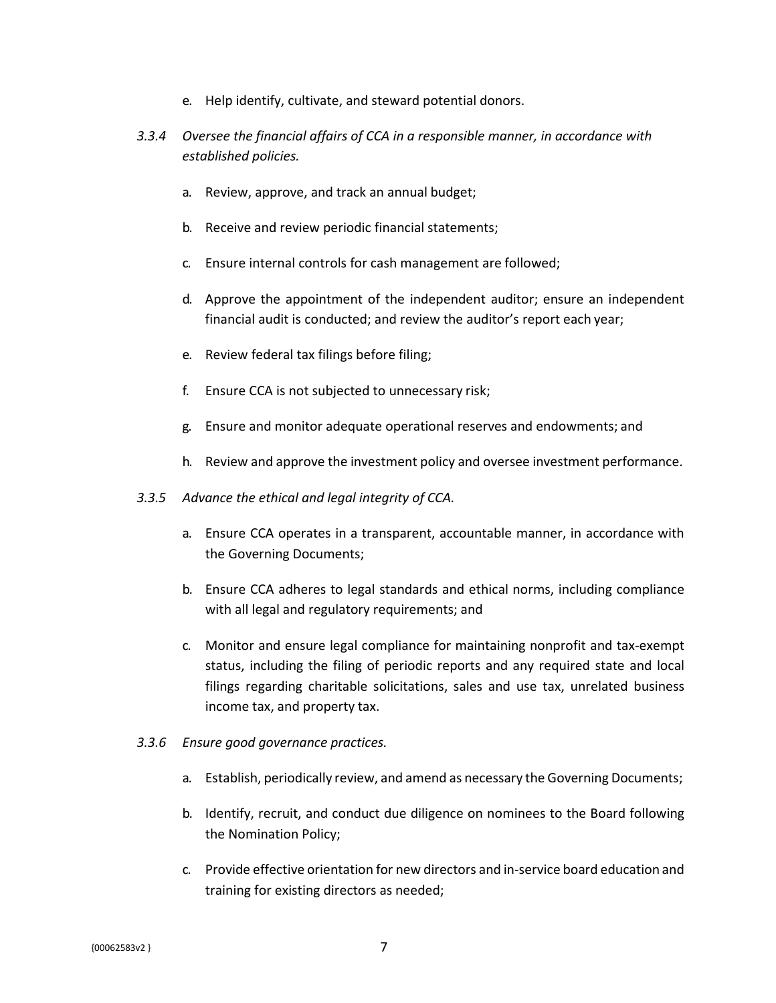- e. Help identify, cultivate, and steward potential donors.
- *3.3.4 Oversee the financial affairs of CCA in a responsible manner, in accordance with established policies.*
	- a. Review, approve, and track an annual budget;
	- b. Receive and review periodic financial statements;
	- c. Ensure internal controls for cash management are followed;
	- d. Approve the appointment of the independent auditor; ensure an independent financial audit is conducted; and review the auditor's report each year;
	- e. Review federal tax filings before filing;
	- f. Ensure CCA is not subjected to unnecessary risk;
	- g. Ensure and monitor adequate operational reserves and endowments; and
	- h. Review and approve the investment policy and oversee investment performance.
- *3.3.5 Advance the ethical and legal integrity of CCA.*
	- a. Ensure CCA operates in a transparent, accountable manner, in accordance with the Governing Documents;
	- b. Ensure CCA adheres to legal standards and ethical norms, including compliance with all legal and regulatory requirements; and
	- c. Monitor and ensure legal compliance for maintaining nonprofit and tax-exempt status, including the filing of periodic reports and any required state and local filings regarding charitable solicitations, sales and use tax, unrelated business income tax, and property tax.
- *3.3.6 Ensure good governance practices.*
	- a. Establish, periodically review, and amend as necessary the Governing Documents;
	- b. Identify, recruit, and conduct due diligence on nominees to the Board following the Nomination Policy;
	- c. Provide effective orientation for new directors and in-service board education and training for existing directors as needed;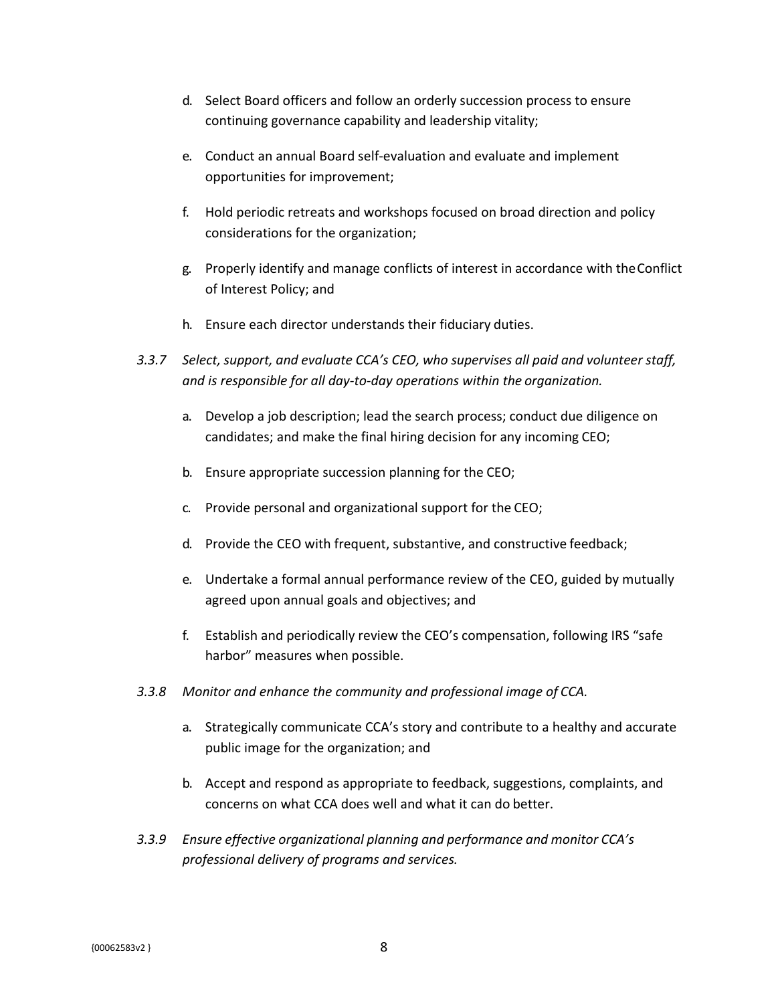- d. Select Board officers and follow an orderly succession process to ensure continuing governance capability and leadership vitality;
- e. Conduct an annual Board self-evaluation and evaluate and implement opportunities for improvement;
- f. Hold periodic retreats and workshops focused on broad direction and policy considerations for the organization;
- g. Properly identify and manage conflicts of interest in accordance with theConflict of Interest Policy; and
- h. Ensure each director understands their fiduciary duties.
- *3.3.7 Select, support, and evaluate CCA's CEO, who supervises all paid and volunteer staff, and is responsible for all day-to-day operations within the organization.*
	- a. Develop a job description; lead the search process; conduct due diligence on candidates; and make the final hiring decision for any incoming CEO;
	- b. Ensure appropriate succession planning for the CEO;
	- c. Provide personal and organizational support for the CEO;
	- d. Provide the CEO with frequent, substantive, and constructive feedback;
	- e. Undertake a formal annual performance review of the CEO, guided by mutually agreed upon annual goals and objectives; and
	- f. Establish and periodically review the CEO's compensation, following IRS "safe harbor" measures when possible.
- *3.3.8 Monitor and enhance the community and professional image of CCA.*
	- a. Strategically communicate CCA's story and contribute to a healthy and accurate public image for the organization; and
	- b. Accept and respond as appropriate to feedback, suggestions, complaints, and concerns on what CCA does well and what it can do better.
- *3.3.9 Ensure effective organizational planning and performance and monitor CCA's professional delivery of programs and services.*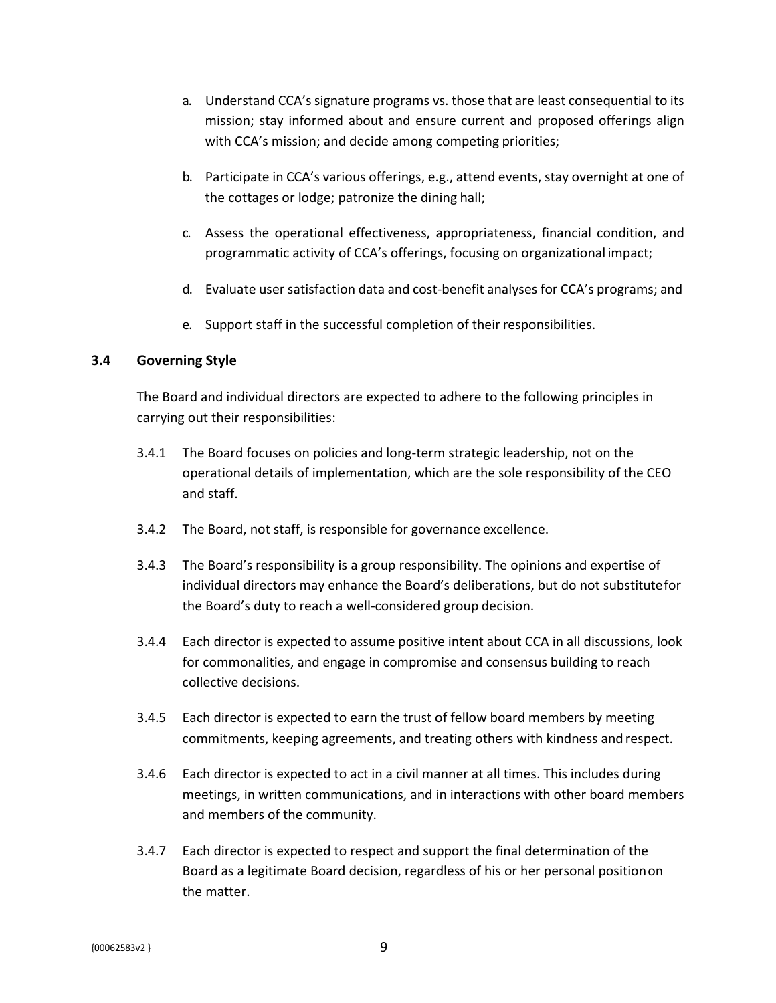- a. Understand CCA's signature programs vs. those that are least consequential to its mission; stay informed about and ensure current and proposed offerings align with CCA's mission; and decide among competing priorities;
- b. Participate in CCA's various offerings, e.g., attend events, stay overnight at one of the cottages or lodge; patronize the dining hall;
- c. Assess the operational effectiveness, appropriateness, financial condition, and programmatic activity of CCA's offerings, focusing on organizational impact;
- d. Evaluate user satisfaction data and cost-benefit analyses for CCA's programs; and
- e. Support staff in the successful completion of their responsibilities.

### <span id="page-13-0"></span>**3.4 Governing Style**

The Board and individual directors are expected to adhere to the following principles in carrying out their responsibilities:

- 3.4.1 The Board focuses on policies and long-term strategic leadership, not on the operational details of implementation, which are the sole responsibility of the CEO and staff.
- 3.4.2 The Board, not staff, is responsible for governance excellence.
- 3.4.3 The Board's responsibility is a group responsibility. The opinions and expertise of individual directors may enhance the Board's deliberations, but do not substitutefor the Board's duty to reach a well-considered group decision.
- 3.4.4 Each director is expected to assume positive intent about CCA in all discussions, look for commonalities, and engage in compromise and consensus building to reach collective decisions.
- 3.4.5 Each director is expected to earn the trust of fellow board members by meeting commitments, keeping agreements, and treating others with kindness andrespect.
- 3.4.6 Each director is expected to act in a civil manner at all times. This includes during meetings, in written communications, and in interactions with other board members and members of the community.
- 3.4.7 Each director is expected to respect and support the final determination of the Board as a legitimate Board decision, regardless of his or her personal positionon the matter.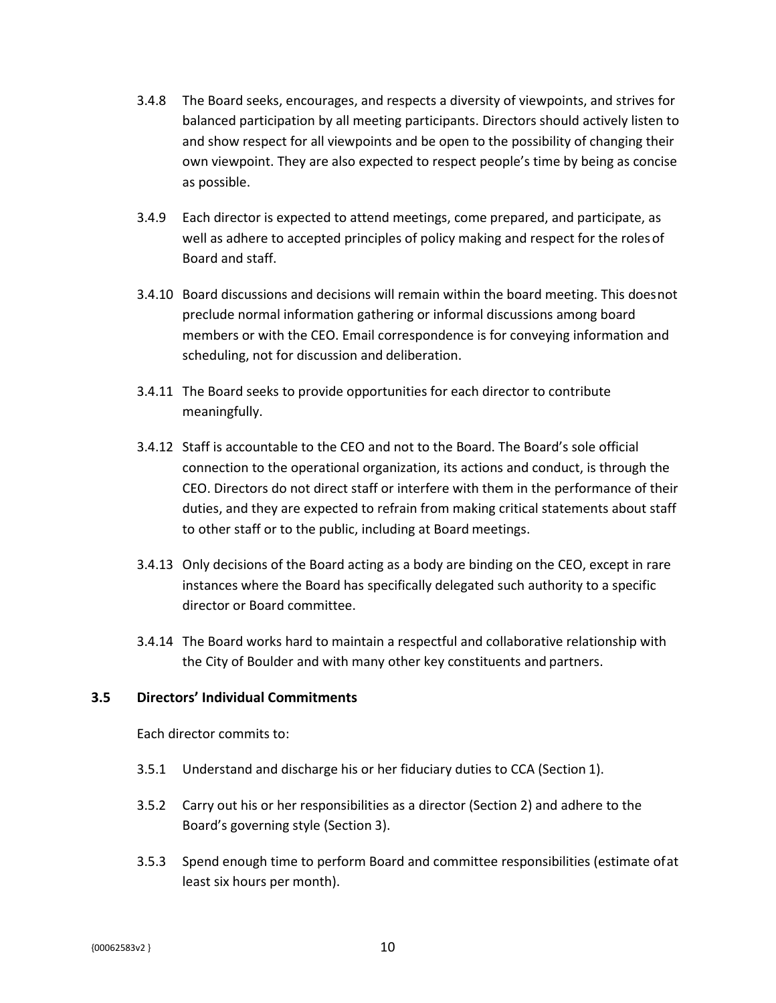- 3.4.8 The Board seeks, encourages, and respects a diversity of viewpoints, and strives for balanced participation by all meeting participants. Directors should actively listen to and show respect for all viewpoints and be open to the possibility of changing their own viewpoint. They are also expected to respect people's time by being as concise as possible.
- 3.4.9 Each director is expected to attend meetings, come prepared, and participate, as well as adhere to accepted principles of policy making and respect for the rolesof Board and staff.
- 3.4.10 Board discussions and decisions will remain within the board meeting. This doesnot preclude normal information gathering or informal discussions among board members or with the CEO. Email correspondence is for conveying information and scheduling, not for discussion and deliberation.
- 3.4.11 The Board seeks to provide opportunities for each director to contribute meaningfully.
- 3.4.12 Staff is accountable to the CEO and not to the Board. The Board's sole official connection to the operational organization, its actions and conduct, is through the CEO. Directors do not direct staff or interfere with them in the performance of their duties, and they are expected to refrain from making critical statements about staff to other staff or to the public, including at Board meetings.
- 3.4.13 Only decisions of the Board acting as a body are binding on the CEO, except in rare instances where the Board has specifically delegated such authority to a specific director or Board committee.
- 3.4.14 The Board works hard to maintain a respectful and collaborative relationship with the City of Boulder and with many other key constituents and partners.

### <span id="page-14-0"></span>**3.5 Directors' Individual Commitments**

Each director commits to:

- 3.5.1 Understand and discharge his or her fiduciary duties to CCA (Section 1).
- 3.5.2 Carry out his or her responsibilities as a director (Section 2) and adhere to the Board's governing style (Section 3).
- 3.5.3 Spend enough time to perform Board and committee responsibilities (estimate ofat least six hours per month).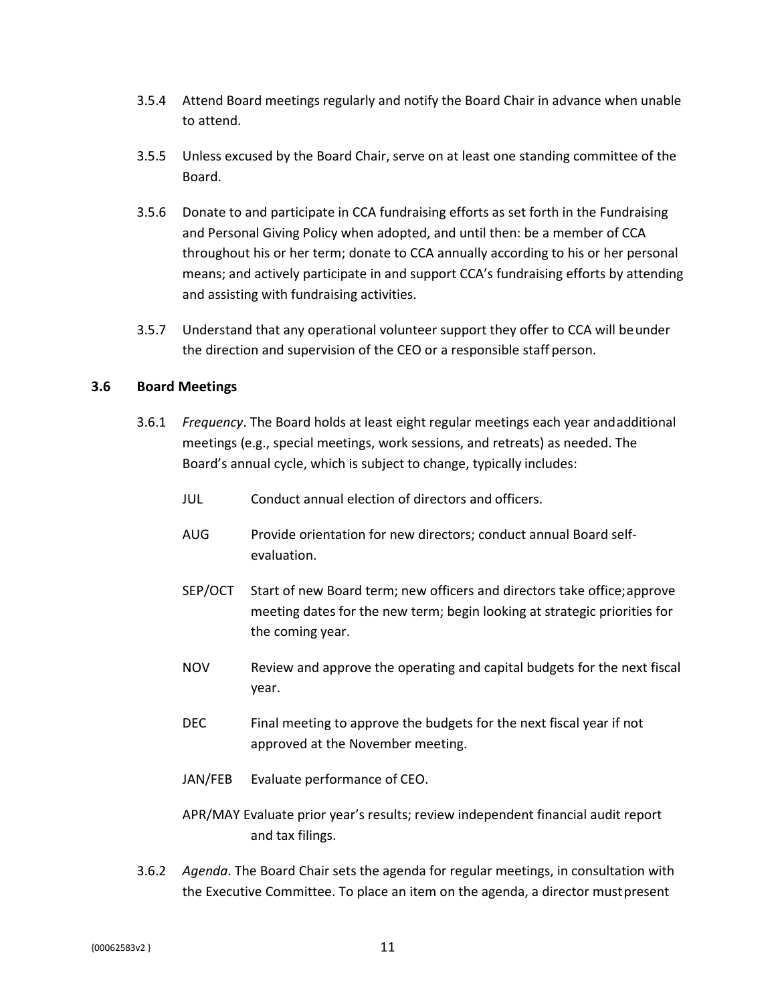- 3.5.4 Attend Board meetings regularly and notify the Board Chair in advance when unable to attend.
- 3.5.5 Unless excused by the Board Chair, serve on at least one standing committee of the Board.
- 3.5.6 Donate to and participate in CCA fundraising efforts as set forth in the Fundraising and Personal Giving Policy when adopted, and until then: be a member of CCA throughout his or her term; donate to CCA annually according to his or her personal means; and actively participate in and support CCA's fundraising efforts by attending and assisting with fundraising activities.
- 3.5.7 Understand that any operational volunteer support they offer to CCA will beunder the direction and supervision of the CEO or a responsible staff person.

### <span id="page-15-0"></span>**3.6 Board Meetings**

- 3.6.1 *Frequency*. The Board holds at least eight regular meetings each year andadditional meetings (e.g., special meetings, work sessions, and retreats) as needed. The Board's annual cycle, which is subject to change, typically includes:
	- JUL Conduct annual election of directors and officers.
	- AUG Provide orientation for new directors; conduct annual Board selfevaluation.
	- SEP/OCT Start of new Board term; new officers and directors take office;approve meeting dates for the new term; begin looking at strategic priorities for the coming year.
	- NOV Review and approve the operating and capital budgets for the next fiscal year.
	- DEC Final meeting to approve the budgets for the next fiscal year if not approved at the November meeting.
	- JAN/FEB Evaluate performance of CEO.
	- APR/MAY Evaluate prior year's results; review independent financial audit report and tax filings.
- 3.6.2 *Agenda*. The Board Chair sets the agenda for regular meetings, in consultation with the Executive Committee. To place an item on the agenda, a director mustpresent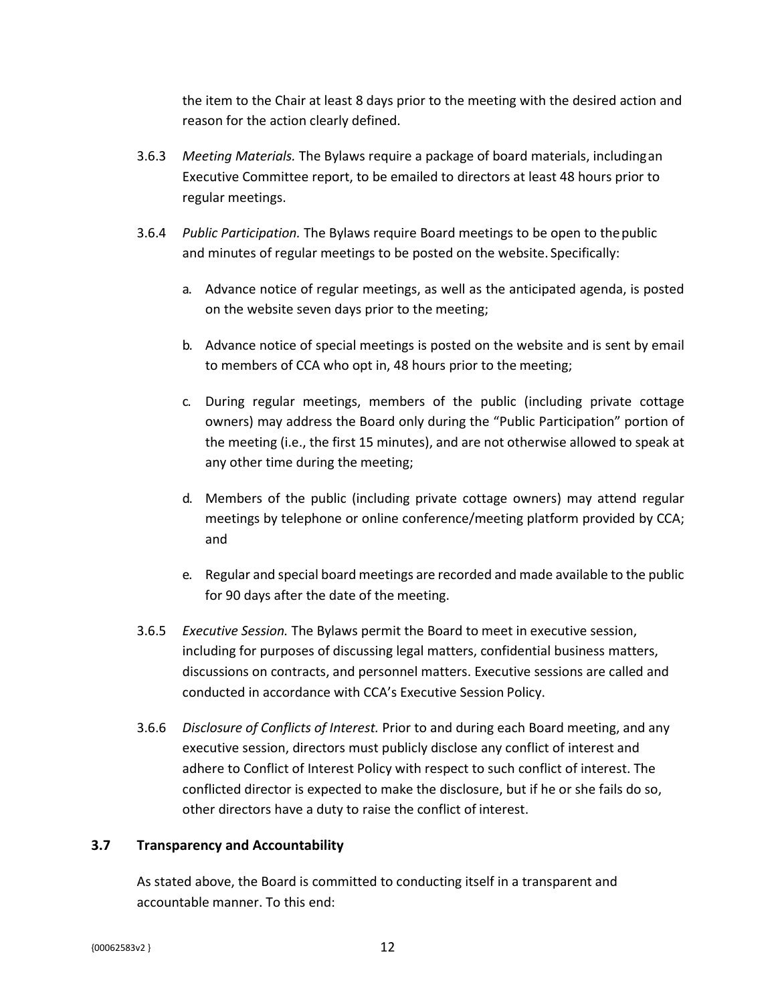the item to the Chair at least 8 days prior to the meeting with the desired action and reason for the action clearly defined.

- 3.6.3 *Meeting Materials.* The Bylaws require a package of board materials, includingan Executive Committee report, to be emailed to directors at least 48 hours prior to regular meetings.
- 3.6.4 *Public Participation.* The Bylaws require Board meetings to be open to thepublic and minutes of regular meetings to be posted on the website. Specifically:
	- a. Advance notice of regular meetings, as well as the anticipated agenda, is posted on the website seven days prior to the meeting;
	- b. Advance notice of special meetings is posted on the website and is sent by email to members of CCA who opt in, 48 hours prior to the meeting;
	- c. During regular meetings, members of the public (including private cottage owners) may address the Board only during the "Public Participation" portion of the meeting (i.e., the first 15 minutes), and are not otherwise allowed to speak at any other time during the meeting;
	- d. Members of the public (including private cottage owners) may attend regular meetings by telephone or online conference/meeting platform provided by CCA; and
	- e. Regular and special board meetings are recorded and made available to the public for 90 days after the date of the meeting.
- 3.6.5 *Executive Session.* The Bylaws permit the Board to meet in executive session, including for purposes of discussing legal matters, confidential business matters, discussions on contracts, and personnel matters. Executive sessions are called and conducted in accordance with CCA's Executive Session Policy.
- 3.6.6 *Disclosure of Conflicts of Interest.* Prior to and during each Board meeting, and any executive session, directors must publicly disclose any conflict of interest and adhere to Conflict of Interest Policy with respect to such conflict of interest. The conflicted director is expected to make the disclosure, but if he or she fails do so, other directors have a duty to raise the conflict of interest.

### <span id="page-16-0"></span>**3.7 Transparency and Accountability**

As stated above, the Board is committed to conducting itself in a transparent and accountable manner. To this end: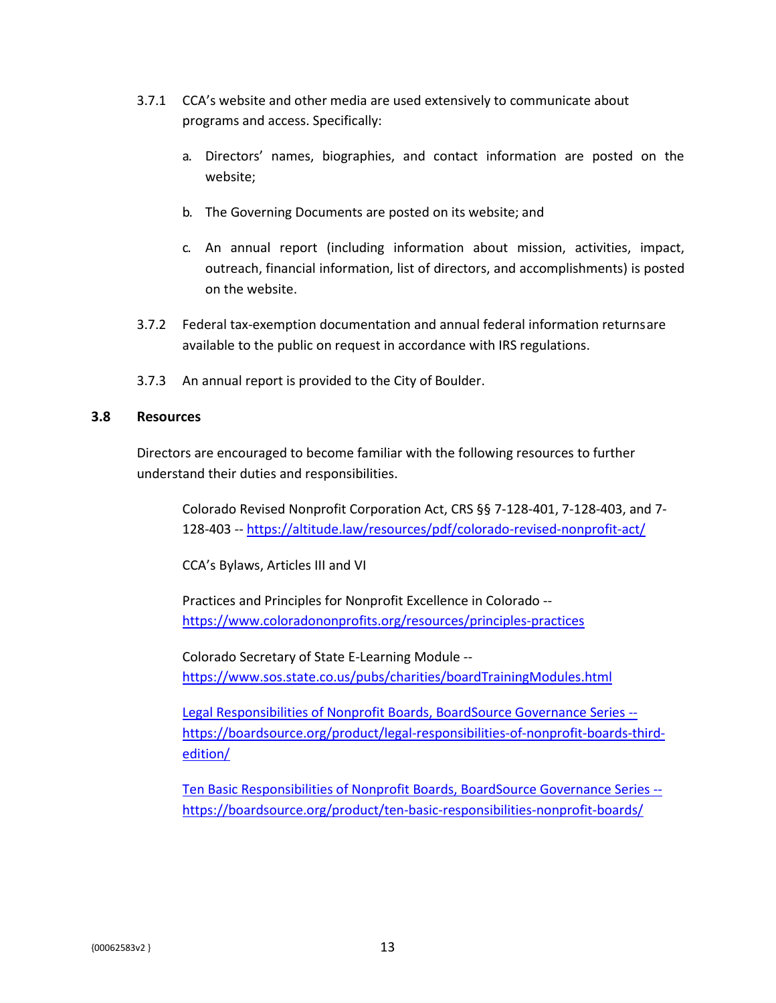- 3.7.1 CCA's website and other media are used extensively to communicate about programs and access. Specifically:
	- a. Directors' names, biographies, and contact information are posted on the website;
	- b. The Governing Documents are posted on its website; and
	- c. An annual report (including information about mission, activities, impact, outreach, financial information, list of directors, and accomplishments) is posted on the website.
- 3.7.2 Federal tax-exemption documentation and annual federal information returnsare available to the public on request in accordance with IRS regulations.
- 3.7.3 An annual report is provided to the City of Boulder.

### <span id="page-17-0"></span>**3.8 Resources**

Directors are encouraged to become familiar with the following resources to further understand their duties and responsibilities.

Colorado Revised Nonprofit Corporation Act, CRS §§ 7-128-401, 7-128-403, and 7- 128-403 -- https://altitude.law/resources/pdf/colorado-revised-nonprofit-act/

CCA's Bylaws, Articles III and VI

Practices and Principles for Nonprofit Excellence in Colorado - https:[//www.coloradononprofits.org/resources/principles-practices](http://www.coloradononprofits.org/resources/principles-practices)

Colorado Secretary of State E-Learning Module - https:[//www.sos.state.co.us/pubs/charities/boardTrainingModules.html](http://www.sos.state.co.us/pubs/charities/boardTrainingModules.html)

Legal Responsibilities of Nonprofit Boards, BoardSource Governance Series - https://boardsource.org/product/legal-responsibilities-of-nonprofit-boards-thirdedition/

Ten Basic Responsibilities of Nonprofit Boards, BoardSource Governance Series - https://boardsource.org/product/ten-basic-responsibilities-nonprofit-boards/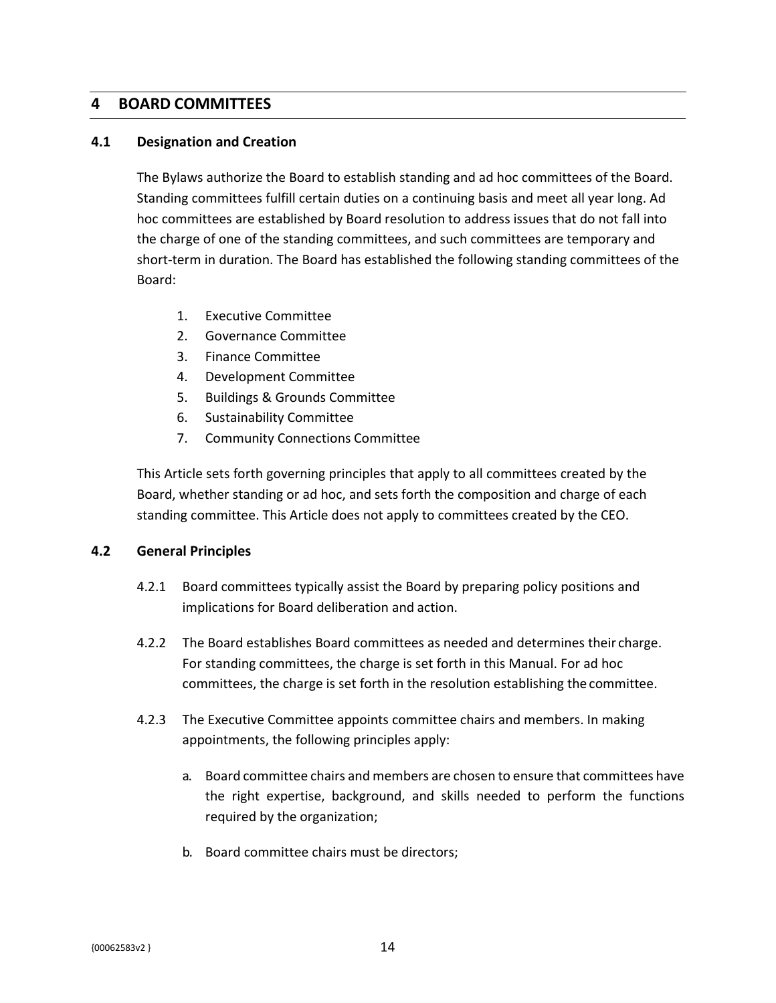## <span id="page-18-0"></span>**4 BOARD COMMITTEES**

### <span id="page-18-1"></span>**4.1 Designation and Creation**

The Bylaws authorize the Board to establish standing and ad hoc committees of the Board. Standing committees fulfill certain duties on a continuing basis and meet all year long. Ad hoc committees are established by Board resolution to address issues that do not fall into the charge of one of the standing committees, and such committees are temporary and short-term in duration. The Board has established the following standing committees of the Board:

- 1. Executive Committee
- 2. Governance Committee
- 3. Finance Committee
- 4. Development Committee
- 5. Buildings & Grounds Committee
- 6. Sustainability Committee
- 7. Community Connections Committee

This Article sets forth governing principles that apply to all committees created by the Board, whether standing or ad hoc, and sets forth the composition and charge of each standing committee. This Article does not apply to committees created by the CEO.

### <span id="page-18-2"></span>**4.2 General Principles**

- 4.2.1 Board committees typically assist the Board by preparing policy positions and implications for Board deliberation and action.
- 4.2.2 The Board establishes Board committees as needed and determines their charge. For standing committees, the charge is set forth in this Manual. For ad hoc committees, the charge is set forth in the resolution establishing the committee.
- 4.2.3 The Executive Committee appoints committee chairs and members. In making appointments, the following principles apply:
	- a. Board committee chairs and members are chosen to ensure that committees have the right expertise, background, and skills needed to perform the functions required by the organization;
	- b. Board committee chairs must be directors;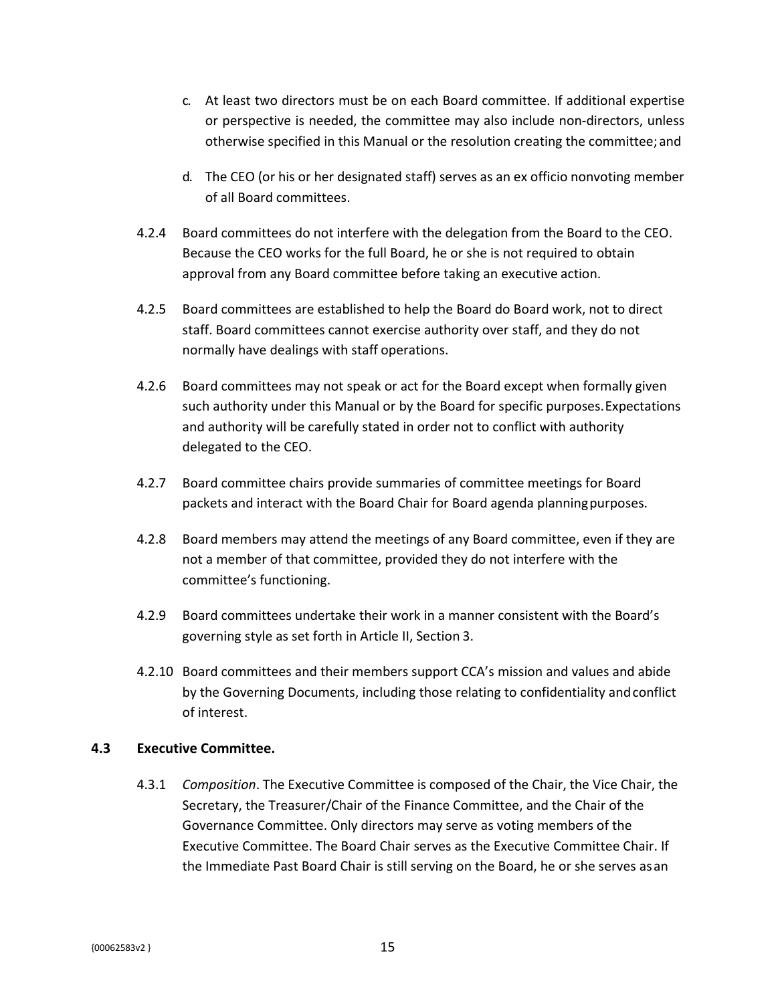- c. At least two directors must be on each Board committee. If additional expertise or perspective is needed, the committee may also include non-directors, unless otherwise specified in this Manual or the resolution creating the committee; and
- d. The CEO (or his or her designated staff) serves as an ex officio nonvoting member of all Board committees.
- 4.2.4 Board committees do not interfere with the delegation from the Board to the CEO. Because the CEO works for the full Board, he or she is not required to obtain approval from any Board committee before taking an executive action.
- 4.2.5 Board committees are established to help the Board do Board work, not to direct staff. Board committees cannot exercise authority over staff, and they do not normally have dealings with staff operations.
- 4.2.6 Board committees may not speak or act for the Board except when formally given such authority under this Manual or by the Board for specific purposes.Expectations and authority will be carefully stated in order not to conflict with authority delegated to the CEO.
- 4.2.7 Board committee chairs provide summaries of committee meetings for Board packets and interact with the Board Chair for Board agenda planningpurposes.
- 4.2.8 Board members may attend the meetings of any Board committee, even if they are not a member of that committee, provided they do not interfere with the committee's functioning.
- 4.2.9 Board committees undertake their work in a manner consistent with the Board's governing style as set forth in Article II, Section 3.
- 4.2.10 Board committees and their members support CCA's mission and values and abide by the Governing Documents, including those relating to confidentiality andconflict of interest.

### <span id="page-19-0"></span>**4.3 Executive Committee.**

4.3.1 *Composition*. The Executive Committee is composed of the Chair, the Vice Chair, the Secretary, the Treasurer/Chair of the Finance Committee, and the Chair of the Governance Committee. Only directors may serve as voting members of the Executive Committee. The Board Chair serves as the Executive Committee Chair. If the Immediate Past Board Chair is still serving on the Board, he or she serves asan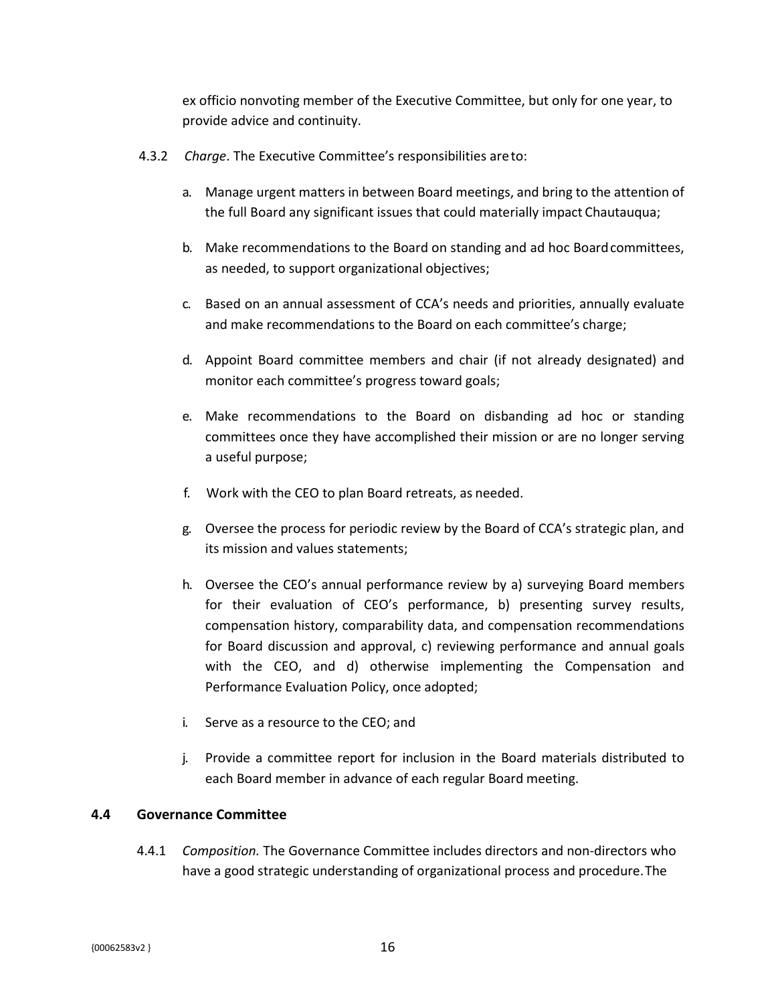ex officio nonvoting member of the Executive Committee, but only for one year, to provide advice and continuity.

- 4.3.2 *Charge*. The Executive Committee's responsibilities areto:
	- a. Manage urgent matters in between Board meetings, and bring to the attention of the full Board any significant issues that could materially impact Chautauqua;
	- b. Make recommendations to the Board on standing and ad hoc Boardcommittees, as needed, to support organizational objectives;
	- c. Based on an annual assessment of CCA's needs and priorities, annually evaluate and make recommendations to the Board on each committee's charge;
	- d. Appoint Board committee members and chair (if not already designated) and monitor each committee's progress toward goals;
	- e. Make recommendations to the Board on disbanding ad hoc or standing committees once they have accomplished their mission or are no longer serving a useful purpose;
	- f. Work with the CEO to plan Board retreats, as needed.
	- g. Oversee the process for periodic review by the Board of CCA's strategic plan, and its mission and values statements;
	- h. Oversee the CEO's annual performance review by a) surveying Board members for their evaluation of CEO's performance, b) presenting survey results, compensation history, comparability data, and compensation recommendations for Board discussion and approval, c) reviewing performance and annual goals with the CEO, and d) otherwise implementing the Compensation and Performance Evaluation Policy, once adopted;
	- i. Serve as a resource to the CEO; and
	- j. Provide a committee report for inclusion in the Board materials distributed to each Board member in advance of each regular Board meeting.

### <span id="page-20-0"></span>**4.4 Governance Committee**

4.4.1 *Composition.* The Governance Committee includes directors and non-directors who have a good strategic understanding of organizational process and procedure.The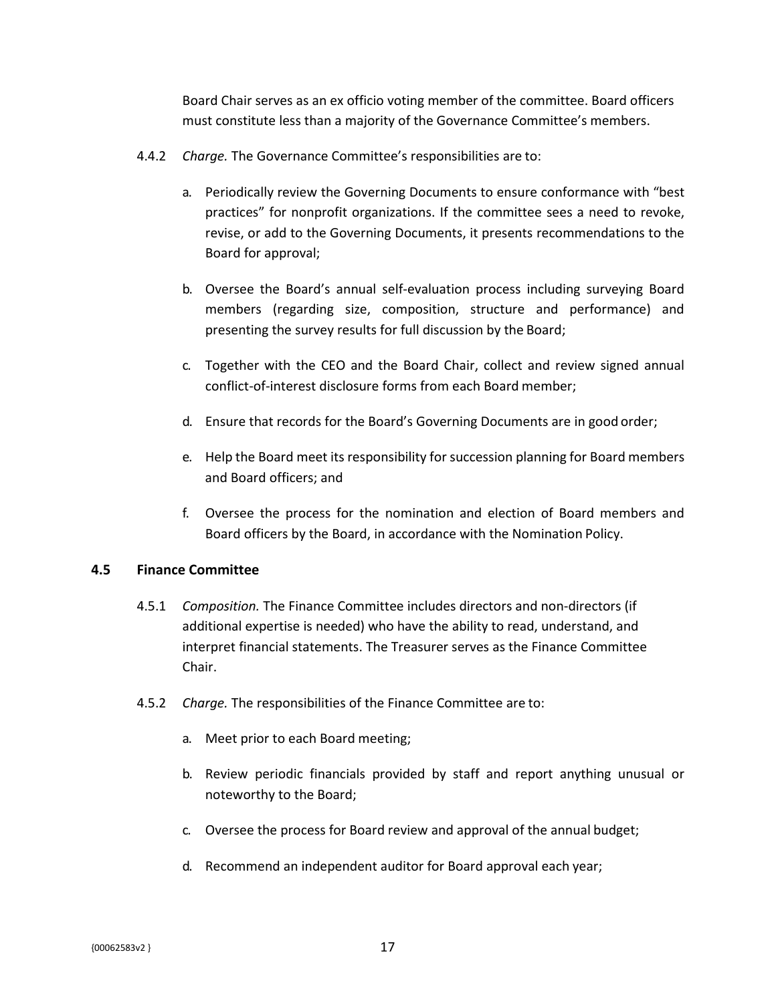Board Chair serves as an ex officio voting member of the committee. Board officers must constitute less than a majority of the Governance Committee's members.

- 4.4.2 *Charge.* The Governance Committee's responsibilities are to:
	- a. Periodically review the Governing Documents to ensure conformance with "best practices" for nonprofit organizations. If the committee sees a need to revoke, revise, or add to the Governing Documents, it presents recommendations to the Board for approval;
	- b. Oversee the Board's annual self-evaluation process including surveying Board members (regarding size, composition, structure and performance) and presenting the survey results for full discussion by the Board;
	- c. Together with the CEO and the Board Chair, collect and review signed annual conflict-of-interest disclosure forms from each Board member;
	- d. Ensure that records for the Board's Governing Documents are in good order;
	- e. Help the Board meet its responsibility for succession planning for Board members and Board officers; and
	- f. Oversee the process for the nomination and election of Board members and Board officers by the Board, in accordance with the Nomination Policy.

### <span id="page-21-0"></span>**4.5 Finance Committee**

- 4.5.1 *Composition.* The Finance Committee includes directors and non-directors (if additional expertise is needed) who have the ability to read, understand, and interpret financial statements. The Treasurer serves as the Finance Committee Chair.
- 4.5.2 *Charge.* The responsibilities of the Finance Committee are to:
	- a. Meet prior to each Board meeting;
	- b. Review periodic financials provided by staff and report anything unusual or noteworthy to the Board;
	- c. Oversee the process for Board review and approval of the annual budget;
	- d. Recommend an independent auditor for Board approval each year;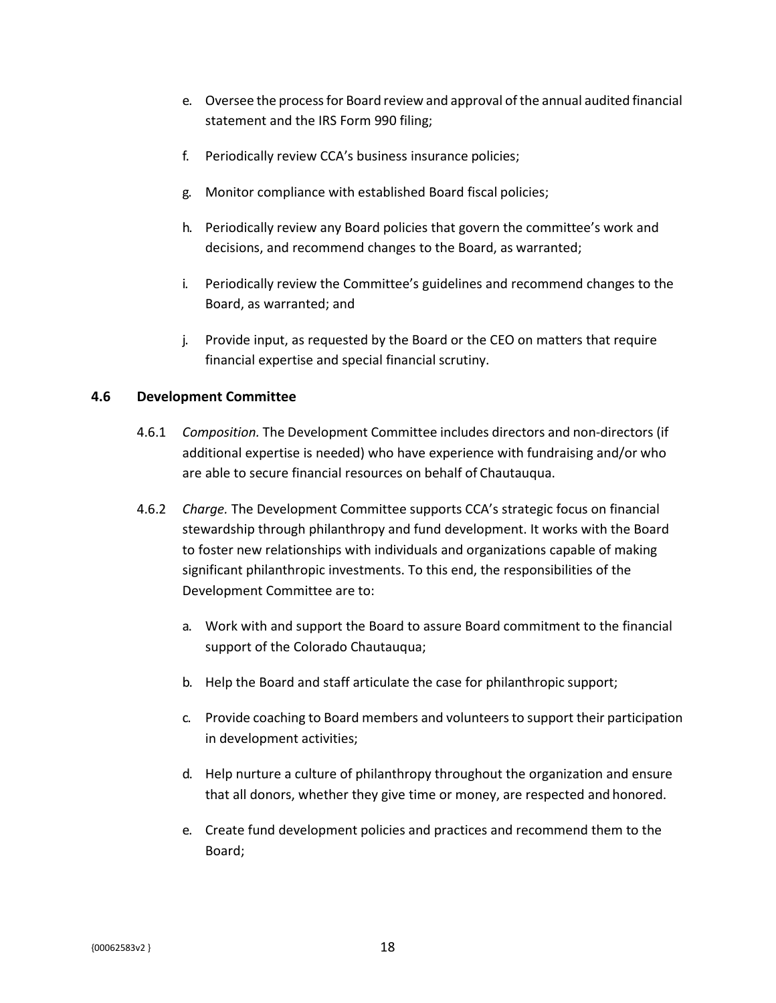- e. Oversee the processfor Board review and approval ofthe annual audited financial statement and the IRS Form 990 filing;
- f. Periodically review CCA's business insurance policies;
- g. Monitor compliance with established Board fiscal policies;
- h. Periodically review any Board policies that govern the committee's work and decisions, and recommend changes to the Board, as warranted;
- i. Periodically review the Committee's guidelines and recommend changes to the Board, as warranted; and
- j. Provide input, as requested by the Board or the CEO on matters that require financial expertise and special financial scrutiny.

### <span id="page-22-0"></span>**4.6 Development Committee**

- 4.6.1 *Composition.* The Development Committee includes directors and non-directors (if additional expertise is needed) who have experience with fundraising and/or who are able to secure financial resources on behalf of Chautauqua.
- 4.6.2 *Charge.* The Development Committee supports CCA's strategic focus on financial stewardship through philanthropy and fund development. It works with the Board to foster new relationships with individuals and organizations capable of making significant philanthropic investments. To this end, the responsibilities of the Development Committee are to:
	- a. Work with and support the Board to assure Board commitment to the financial support of the Colorado Chautauqua;
	- b. Help the Board and staff articulate the case for philanthropic support;
	- c. Provide coaching to Board members and volunteersto support their participation in development activities;
	- d. Help nurture a culture of philanthropy throughout the organization and ensure that all donors, whether they give time or money, are respected and honored.
	- e. Create fund development policies and practices and recommend them to the Board;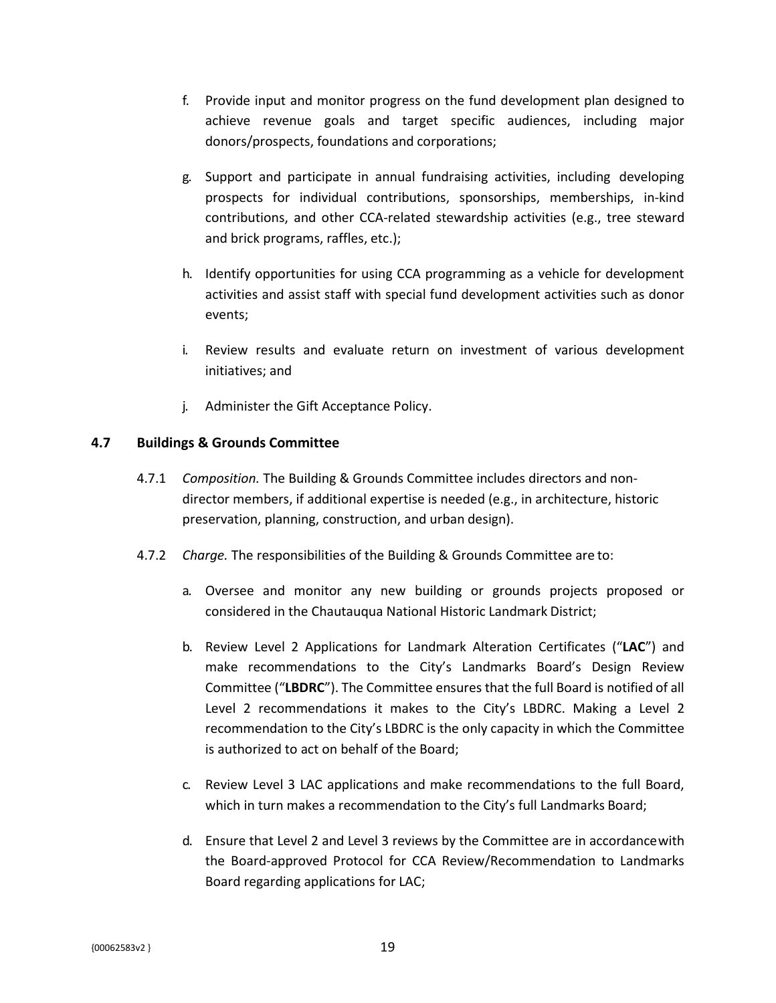- f. Provide input and monitor progress on the fund development plan designed to achieve revenue goals and target specific audiences, including major donors/prospects, foundations and corporations;
- g. Support and participate in annual fundraising activities, including developing prospects for individual contributions, sponsorships, memberships, in-kind contributions, and other CCA-related stewardship activities (e.g., tree steward and brick programs, raffles, etc.);
- h. Identify opportunities for using CCA programming as a vehicle for development activities and assist staff with special fund development activities such as donor events;
- i. Review results and evaluate return on investment of various development initiatives; and
- j. Administer the Gift Acceptance Policy.

### <span id="page-23-0"></span>**4.7 Buildings & Grounds Committee**

- 4.7.1 *Composition.* The Building & Grounds Committee includes directors and nondirector members, if additional expertise is needed (e.g., in architecture, historic preservation, planning, construction, and urban design).
- 4.7.2 *Charge.* The responsibilities of the Building & Grounds Committee are to:
	- a. Oversee and monitor any new building or grounds projects proposed or considered in the Chautauqua National Historic Landmark District;
	- b. Review Level 2 Applications for Landmark Alteration Certificates ("**LAC**") and make recommendations to the City's Landmarks Board's Design Review Committee ("**LBDRC**"). The Committee ensures that the full Board is notified of all Level 2 recommendations it makes to the City's LBDRC. Making a Level 2 recommendation to the City's LBDRC is the only capacity in which the Committee is authorized to act on behalf of the Board;
	- c. Review Level 3 LAC applications and make recommendations to the full Board, which in turn makes a recommendation to the City's full Landmarks Board;
	- d. Ensure that Level 2 and Level 3 reviews by the Committee are in accordancewith the Board-approved Protocol for CCA Review/Recommendation to Landmarks Board regarding applications for LAC;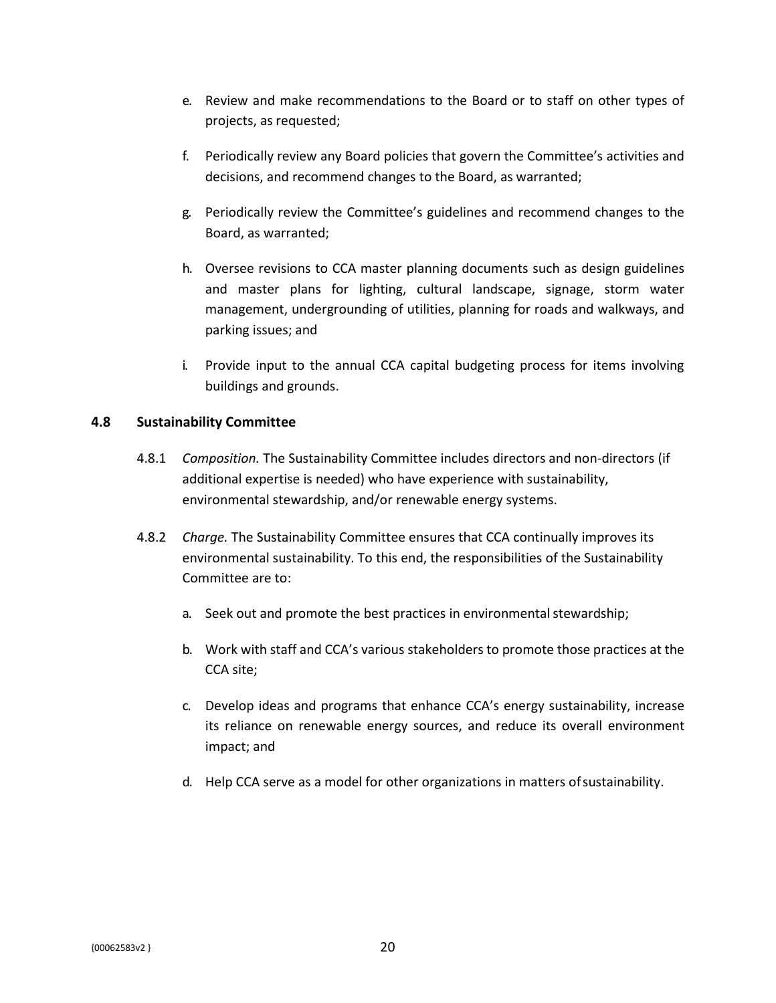- e. Review and make recommendations to the Board or to staff on other types of projects, as requested;
- f. Periodically review any Board policies that govern the Committee's activities and decisions, and recommend changes to the Board, as warranted;
- g. Periodically review the Committee's guidelines and recommend changes to the Board, as warranted;
- h. Oversee revisions to CCA master planning documents such as design guidelines and master plans for lighting, cultural landscape, signage, storm water management, undergrounding of utilities, planning for roads and walkways, and parking issues; and
- i. Provide input to the annual CCA capital budgeting process for items involving buildings and grounds.

### <span id="page-24-0"></span>**4.8 Sustainability Committee**

- 4.8.1 *Composition.* The Sustainability Committee includes directors and non-directors (if additional expertise is needed) who have experience with sustainability, environmental stewardship, and/or renewable energy systems.
- 4.8.2 *Charge.* The Sustainability Committee ensures that CCA continually improves its environmental sustainability. To this end, the responsibilities of the Sustainability Committee are to:
	- a. Seek out and promote the best practices in environmental stewardship;
	- b. Work with staff and CCA's various stakeholders to promote those practices at the CCA site;
	- c. Develop ideas and programs that enhance CCA's energy sustainability, increase its reliance on renewable energy sources, and reduce its overall environment impact; and
	- d. Help CCA serve as a model for other organizations in matters ofsustainability.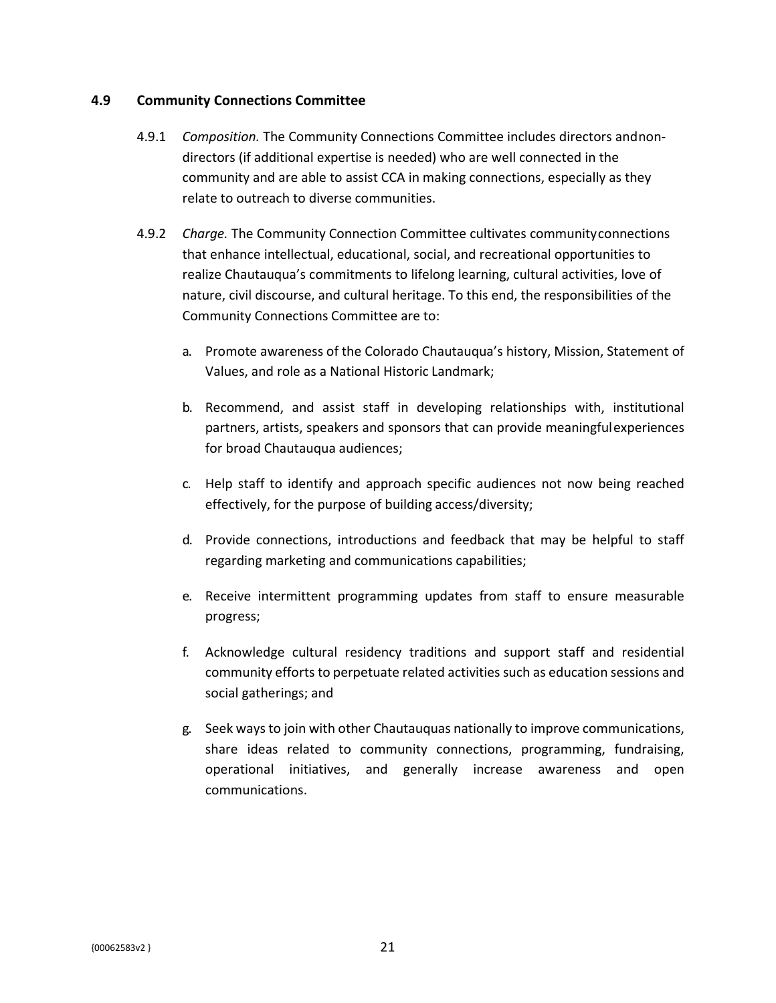### <span id="page-25-0"></span>**4.9 Community Connections Committee**

- 4.9.1 *Composition.* The Community Connections Committee includes directors andnondirectors (if additional expertise is needed) who are well connected in the community and are able to assist CCA in making connections, especially as they relate to outreach to diverse communities.
- 4.9.2 *Charge.* The Community Connection Committee cultivates communityconnections that enhance intellectual, educational, social, and recreational opportunities to realize Chautauqua's commitments to lifelong learning, cultural activities, love of nature, civil discourse, and cultural heritage. To this end, the responsibilities of the Community Connections Committee are to:
	- a. Promote awareness of the Colorado Chautauqua's history, Mission, Statement of Values, and role as a National Historic Landmark;
	- b. Recommend, and assist staff in developing relationships with, institutional partners, artists, speakers and sponsors that can provide meaningfulexperiences for broad Chautauqua audiences;
	- c. Help staff to identify and approach specific audiences not now being reached effectively, for the purpose of building access/diversity;
	- d. Provide connections, introductions and feedback that may be helpful to staff regarding marketing and communications capabilities;
	- e. Receive intermittent programming updates from staff to ensure measurable progress;
	- f. Acknowledge cultural residency traditions and support staff and residential community efforts to perpetuate related activities such as education sessions and social gatherings; and
	- g. Seek waysto join with other Chautauquas nationally to improve communications, share ideas related to community connections, programming, fundraising, operational initiatives, and generally increase awareness and open communications.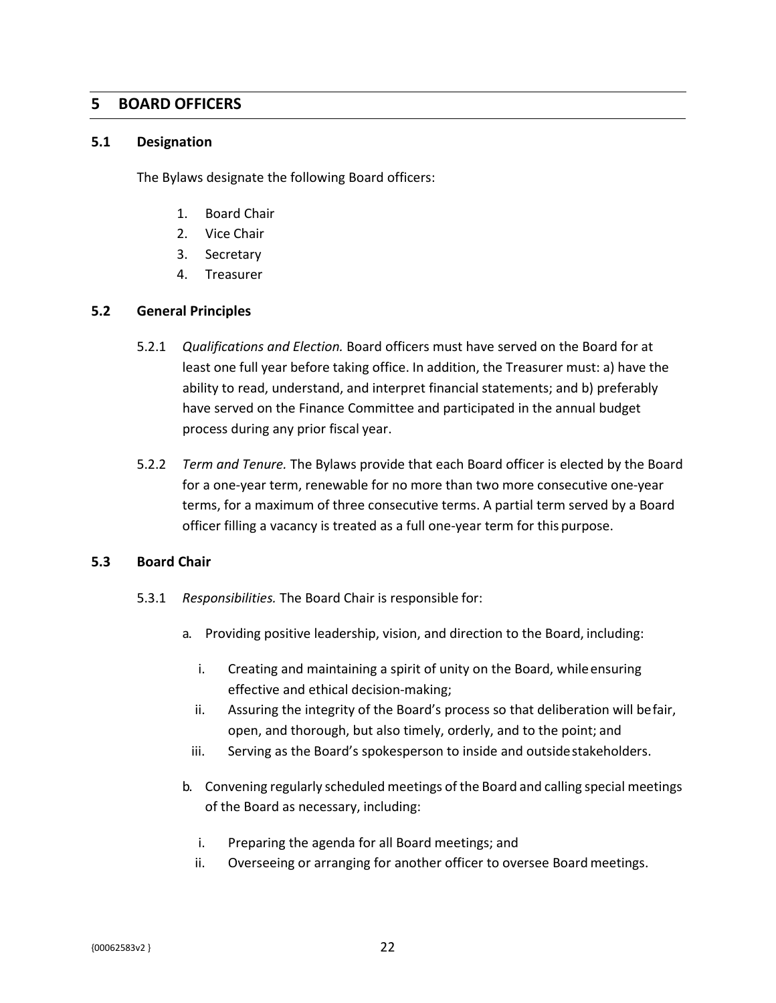## <span id="page-26-0"></span>**5 BOARD OFFICERS**

#### <span id="page-26-1"></span>**5.1 Designation**

The Bylaws designate the following Board officers:

- 1. Board Chair
- 2. Vice Chair
- 3. Secretary
- 4. Treasurer

### <span id="page-26-2"></span>**5.2 General Principles**

- 5.2.1 *Qualifications and Election.* Board officers must have served on the Board for at least one full year before taking office. In addition, the Treasurer must: a) have the ability to read, understand, and interpret financial statements; and b) preferably have served on the Finance Committee and participated in the annual budget process during any prior fiscal year.
- 5.2.2 *Term and Tenure.* The Bylaws provide that each Board officer is elected by the Board for a one-year term, renewable for no more than two more consecutive one-year terms, for a maximum of three consecutive terms. A partial term served by a Board officer filling a vacancy is treated as a full one-year term for this purpose.

### <span id="page-26-3"></span>**5.3 Board Chair**

- 5.3.1 *Responsibilities.* The Board Chair is responsible for:
	- a. Providing positive leadership, vision, and direction to the Board, including:
		- i. Creating and maintaining a spirit of unity on the Board, whileensuring effective and ethical decision-making;
		- ii. Assuring the integrity of the Board's process so that deliberation will befair, open, and thorough, but also timely, orderly, and to the point; and
		- iii. Serving as the Board's spokesperson to inside and outside stakeholders.
	- b. Convening regularly scheduled meetings of the Board and calling special meetings of the Board as necessary, including:
		- i. Preparing the agenda for all Board meetings; and
		- ii. Overseeing or arranging for another officer to oversee Board meetings.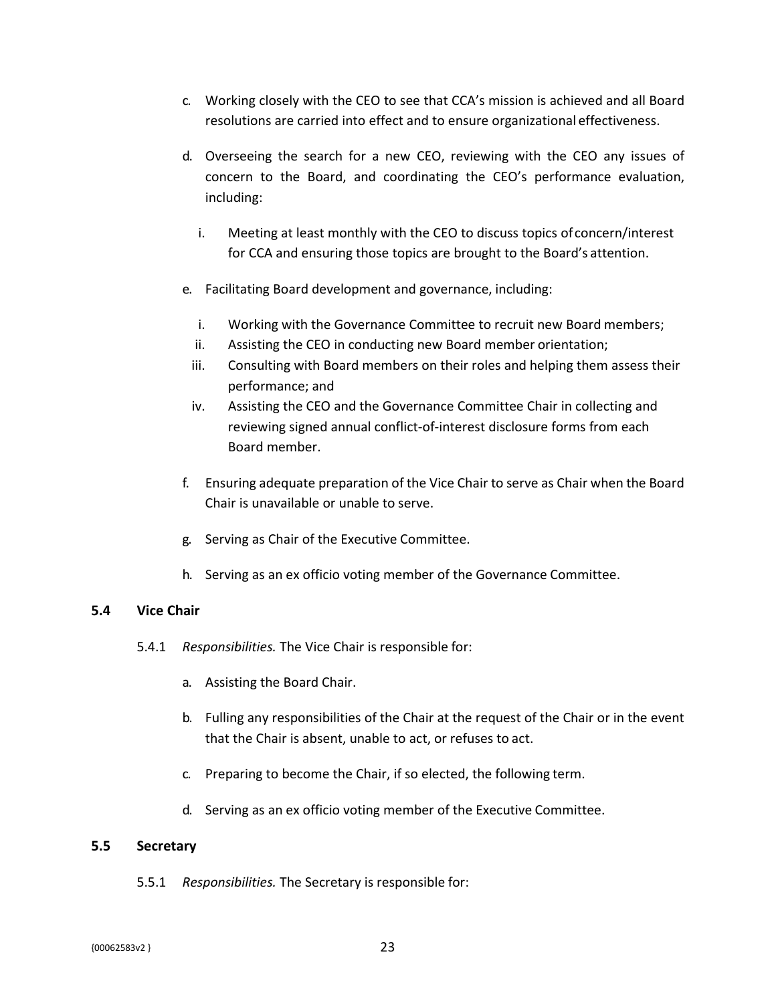- c. Working closely with the CEO to see that CCA's mission is achieved and all Board resolutions are carried into effect and to ensure organizational effectiveness.
- d. Overseeing the search for a new CEO, reviewing with the CEO any issues of concern to the Board, and coordinating the CEO's performance evaluation, including:
	- i. Meeting at least monthly with the CEO to discuss topics ofconcern/interest for CCA and ensuring those topics are brought to the Board's attention.
- e. Facilitating Board development and governance, including:
	- i. Working with the Governance Committee to recruit new Board members;
	- ii. Assisting the CEO in conducting new Board member orientation;
	- iii. Consulting with Board members on their roles and helping them assess their performance; and
	- iv. Assisting the CEO and the Governance Committee Chair in collecting and reviewing signed annual conflict-of-interest disclosure forms from each Board member.
- f. Ensuring adequate preparation of the Vice Chair to serve as Chair when the Board Chair is unavailable or unable to serve.
- g. Serving as Chair of the Executive Committee.
- h. Serving as an ex officio voting member of the Governance Committee.

### <span id="page-27-0"></span>**5.4 Vice Chair**

- 5.4.1 *Responsibilities.* The Vice Chair is responsible for:
	- a. Assisting the Board Chair.
	- b. Fulling any responsibilities of the Chair at the request of the Chair or in the event that the Chair is absent, unable to act, or refuses to act.
	- c. Preparing to become the Chair, if so elected, the following term.
	- d. Serving as an ex officio voting member of the Executive Committee.

### <span id="page-27-1"></span>**5.5 Secretary**

5.5.1 *Responsibilities.* The Secretary is responsible for: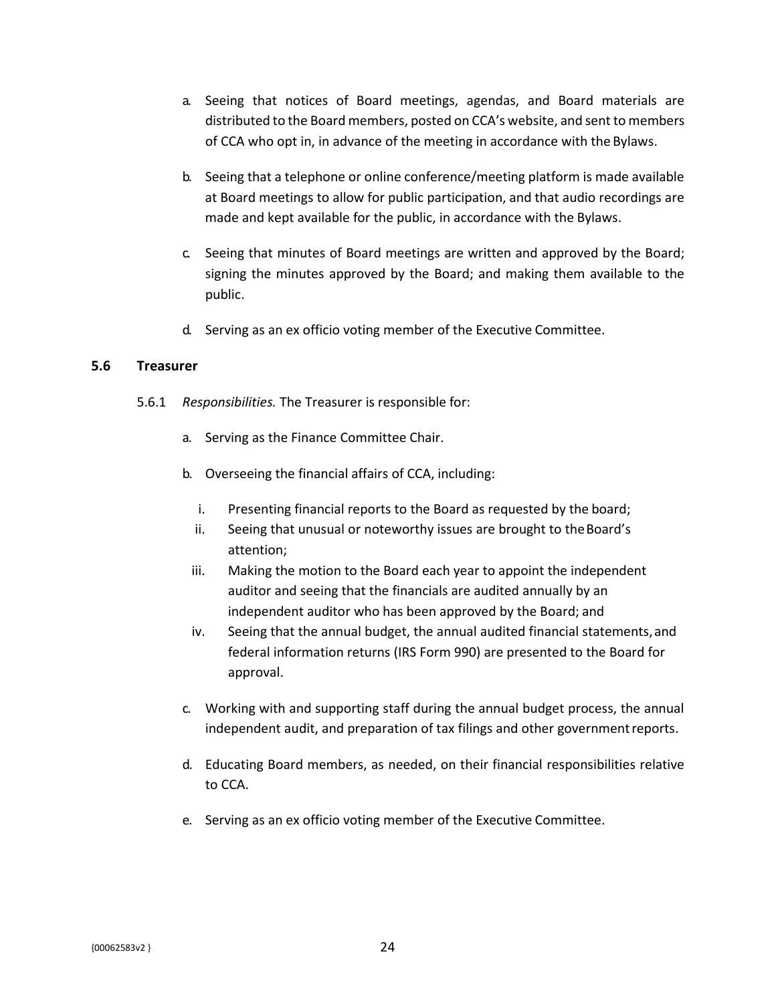- a. Seeing that notices of Board meetings, agendas, and Board materials are distributed to the Board members, posted on CCA's website, and sent to members of CCA who opt in, in advance of the meeting in accordance with the Bylaws.
- b. Seeing that a telephone or online conference/meeting platform is made available at Board meetings to allow for public participation, and that audio recordings are made and kept available for the public, in accordance with the Bylaws.
- c. Seeing that minutes of Board meetings are written and approved by the Board; signing the minutes approved by the Board; and making them available to the public.
- d. Serving as an ex officio voting member of the Executive Committee.

### <span id="page-28-0"></span>**5.6 Treasurer**

- 5.6.1 *Responsibilities.* The Treasurer is responsible for:
	- a. Serving as the Finance Committee Chair.
	- b. Overseeing the financial affairs of CCA, including:
		- i. Presenting financial reports to the Board as requested by the board;
		- ii. Seeing that unusual or noteworthy issues are brought to the Board's attention;
		- iii. Making the motion to the Board each year to appoint the independent auditor and seeing that the financials are audited annually by an independent auditor who has been approved by the Board; and
		- iv. Seeing that the annual budget, the annual audited financial statements,and federal information returns (IRS Form 990) are presented to the Board for approval.
	- c. Working with and supporting staff during the annual budget process, the annual independent audit, and preparation of tax filings and other governmentreports.
	- d. Educating Board members, as needed, on their financial responsibilities relative to CCA.
	- e. Serving as an ex officio voting member of the Executive Committee.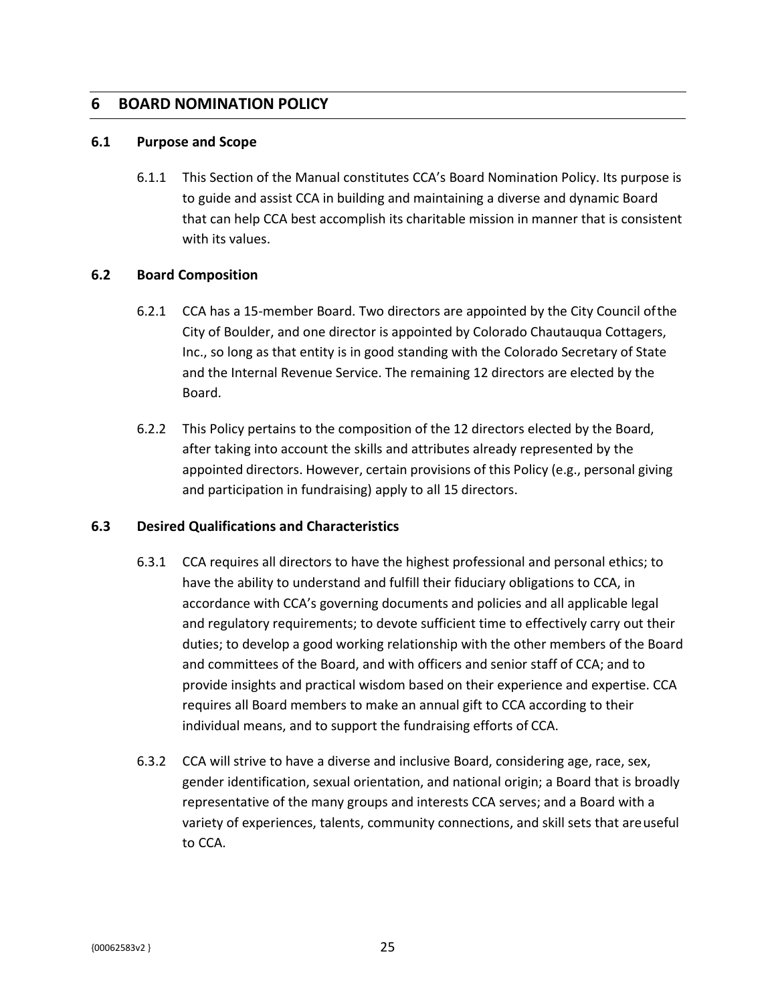## <span id="page-29-0"></span>**6 BOARD NOMINATION POLICY**

#### <span id="page-29-1"></span>**6.1 Purpose and Scope**

6.1.1 This Section of the Manual constitutes CCA's Board Nomination Policy. Its purpose is to guide and assist CCA in building and maintaining a diverse and dynamic Board that can help CCA best accomplish its charitable mission in manner that is consistent with its values.

### <span id="page-29-2"></span>**6.2 Board Composition**

- 6.2.1 CCA has a 15-member Board. Two directors are appointed by the City Council ofthe City of Boulder, and one director is appointed by Colorado Chautauqua Cottagers, Inc., so long as that entity is in good standing with the Colorado Secretary of State and the Internal Revenue Service. The remaining 12 directors are elected by the Board.
- 6.2.2 This Policy pertains to the composition of the 12 directors elected by the Board, after taking into account the skills and attributes already represented by the appointed directors. However, certain provisions of this Policy (e.g., personal giving and participation in fundraising) apply to all 15 directors.

### <span id="page-29-3"></span>**6.3 Desired Qualifications and Characteristics**

- 6.3.1 CCA requires all directors to have the highest professional and personal ethics; to have the ability to understand and fulfill their fiduciary obligations to CCA, in accordance with CCA's governing documents and policies and all applicable legal and regulatory requirements; to devote sufficient time to effectively carry out their duties; to develop a good working relationship with the other members of the Board and committees of the Board, and with officers and senior staff of CCA; and to provide insights and practical wisdom based on their experience and expertise. CCA requires all Board members to make an annual gift to CCA according to their individual means, and to support the fundraising efforts of CCA.
- 6.3.2 CCA will strive to have a diverse and inclusive Board, considering age, race, sex, gender identification, sexual orientation, and national origin; a Board that is broadly representative of the many groups and interests CCA serves; and a Board with a variety of experiences, talents, community connections, and skill sets that areuseful to CCA.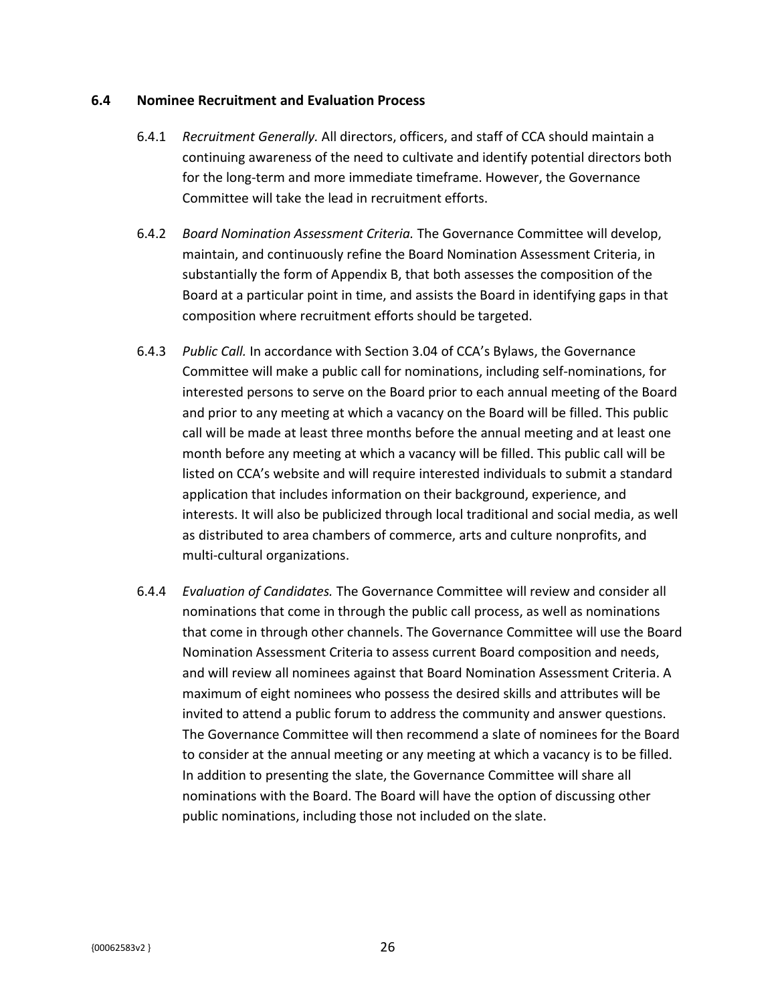### <span id="page-30-0"></span>**6.4 Nominee Recruitment and Evaluation Process**

- 6.4.1 *Recruitment Generally.* All directors, officers, and staff of CCA should maintain a continuing awareness of the need to cultivate and identify potential directors both for the long-term and more immediate timeframe. However, the Governance Committee will take the lead in recruitment efforts.
- 6.4.2 *Board Nomination Assessment Criteria.* The Governance Committee will develop, maintain, and continuously refine the Board Nomination Assessment Criteria, in substantially the form of Appendix B, that both assesses the composition of the Board at a particular point in time, and assists the Board in identifying gaps in that composition where recruitment efforts should be targeted.
- 6.4.3 *Public Call.* In accordance with Section 3.04 of CCA's Bylaws, the Governance Committee will make a public call for nominations, including self-nominations, for interested persons to serve on the Board prior to each annual meeting of the Board and prior to any meeting at which a vacancy on the Board will be filled. This public call will be made at least three months before the annual meeting and at least one month before any meeting at which a vacancy will be filled. This public call will be listed on CCA's website and will require interested individuals to submit a standard application that includes information on their background, experience, and interests. It will also be publicized through local traditional and social media, as well as distributed to area chambers of commerce, arts and culture nonprofits, and multi-cultural organizations.
- 6.4.4 *Evaluation of Candidates.* The Governance Committee will review and consider all nominations that come in through the public call process, as well as nominations that come in through other channels. The Governance Committee will use the Board Nomination Assessment Criteria to assess current Board composition and needs, and will review all nominees against that Board Nomination Assessment Criteria. A maximum of eight nominees who possess the desired skills and attributes will be invited to attend a public forum to address the community and answer questions. The Governance Committee will then recommend a slate of nominees for the Board to consider at the annual meeting or any meeting at which a vacancy is to be filled. In addition to presenting the slate, the Governance Committee will share all nominations with the Board. The Board will have the option of discussing other public nominations, including those not included on the slate.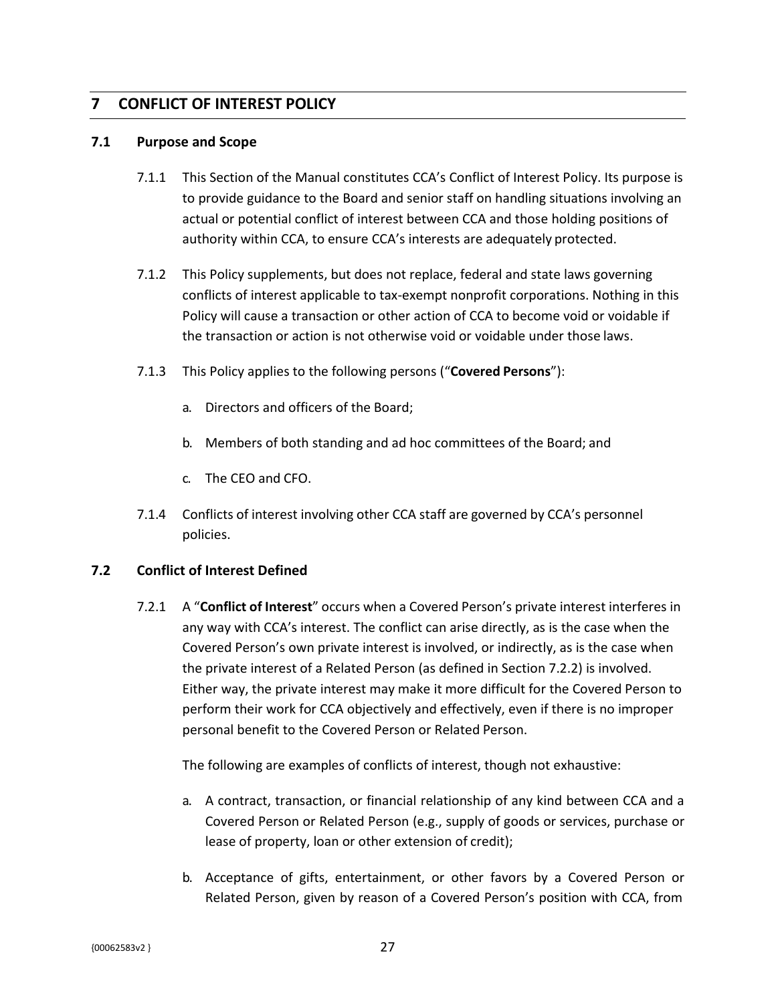## <span id="page-31-0"></span>**7 CONFLICT OF INTEREST POLICY**

### <span id="page-31-1"></span>**7.1 Purpose and Scope**

- 7.1.1 This Section of the Manual constitutes CCA's Conflict of Interest Policy. Its purpose is to provide guidance to the Board and senior staff on handling situations involving an actual or potential conflict of interest between CCA and those holding positions of authority within CCA, to ensure CCA's interests are adequately protected.
- 7.1.2 This Policy supplements, but does not replace, federal and state laws governing conflicts of interest applicable to tax-exempt nonprofit corporations. Nothing in this Policy will cause a transaction or other action of CCA to become void or voidable if the transaction or action is not otherwise void or voidable under those laws.
- 7.1.3 This Policy applies to the following persons ("**Covered Persons**"):
	- a. Directors and officers of the Board;
	- b. Members of both standing and ad hoc committees of the Board; and
	- c. The CEO and CFO.
- 7.1.4 Conflicts of interest involving other CCA staff are governed by CCA's personnel policies.

### <span id="page-31-2"></span>**7.2 Conflict of Interest Defined**

7.2.1 A "**Conflict of Interest**" occurs when a Covered Person's private interest interferes in any way with CCA's interest. The conflict can arise directly, as is the case when the Covered Person's own private interest is involved, or indirectly, as is the case when the private interest of a Related Person (as defined in Section 7.2.2) is involved. Either way, the private interest may make it more difficult for the Covered Person to perform their work for CCA objectively and effectively, even if there is no improper personal benefit to the Covered Person or Related Person.

The following are examples of conflicts of interest, though not exhaustive:

- a. A contract, transaction, or financial relationship of any kind between CCA and a Covered Person or Related Person (e.g., supply of goods or services, purchase or lease of property, loan or other extension of credit);
- b. Acceptance of gifts, entertainment, or other favors by a Covered Person or Related Person, given by reason of a Covered Person's position with CCA, from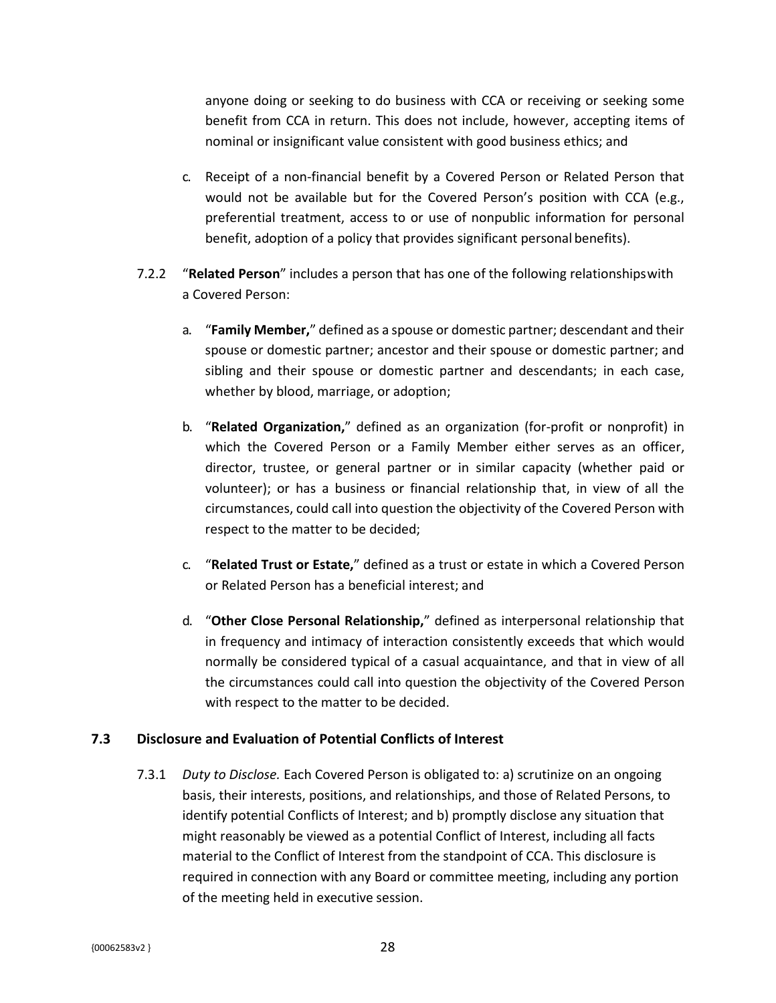anyone doing or seeking to do business with CCA or receiving or seeking some benefit from CCA in return. This does not include, however, accepting items of nominal or insignificant value consistent with good business ethics; and

- c. Receipt of a non-financial benefit by a Covered Person or Related Person that would not be available but for the Covered Person's position with CCA (e.g., preferential treatment, access to or use of nonpublic information for personal benefit, adoption of a policy that provides significant personal benefits).
- 7.2.2 "**Related Person**" includes a person that has one of the following relationshipswith a Covered Person:
	- a. "**Family Member,**" defined as a spouse or domestic partner; descendant and their spouse or domestic partner; ancestor and their spouse or domestic partner; and sibling and their spouse or domestic partner and descendants; in each case, whether by blood, marriage, or adoption;
	- b. "**Related Organization,**" defined as an organization (for-profit or nonprofit) in which the Covered Person or a Family Member either serves as an officer, director, trustee, or general partner or in similar capacity (whether paid or volunteer); or has a business or financial relationship that, in view of all the circumstances, could call into question the objectivity of the Covered Person with respect to the matter to be decided;
	- c. "**Related Trust or Estate,**" defined as a trust or estate in which a Covered Person or Related Person has a beneficial interest; and
	- d. "**Other Close Personal Relationship,**" defined as interpersonal relationship that in frequency and intimacy of interaction consistently exceeds that which would normally be considered typical of a casual acquaintance, and that in view of all the circumstances could call into question the objectivity of the Covered Person with respect to the matter to be decided.

### <span id="page-32-0"></span>**7.3 Disclosure and Evaluation of Potential Conflicts of Interest**

7.3.1 *Duty to Disclose.* Each Covered Person is obligated to: a) scrutinize on an ongoing basis, their interests, positions, and relationships, and those of Related Persons, to identify potential Conflicts of Interest; and b) promptly disclose any situation that might reasonably be viewed as a potential Conflict of Interest, including all facts material to the Conflict of Interest from the standpoint of CCA. This disclosure is required in connection with any Board or committee meeting, including any portion of the meeting held in executive session.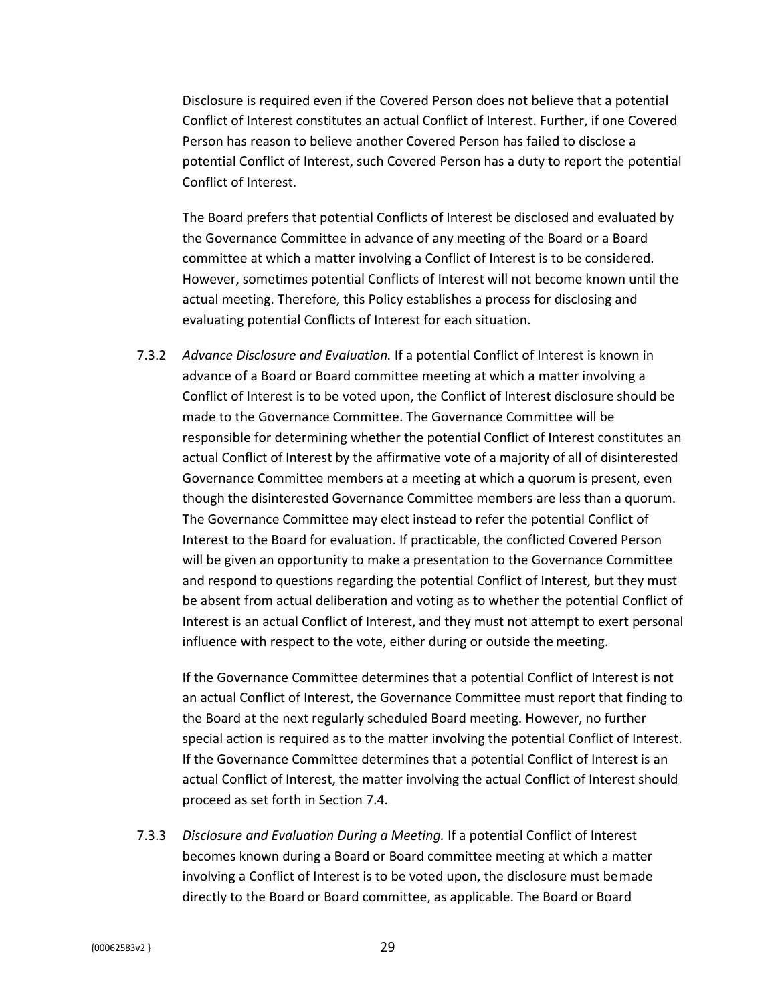Disclosure is required even if the Covered Person does not believe that a potential Conflict of Interest constitutes an actual Conflict of Interest. Further, if one Covered Person has reason to believe another Covered Person has failed to disclose a potential Conflict of Interest, such Covered Person has a duty to report the potential Conflict of Interest.

The Board prefers that potential Conflicts of Interest be disclosed and evaluated by the Governance Committee in advance of any meeting of the Board or a Board committee at which a matter involving a Conflict of Interest is to be considered. However, sometimes potential Conflicts of Interest will not become known until the actual meeting. Therefore, this Policy establishes a process for disclosing and evaluating potential Conflicts of Interest for each situation.

7.3.2 *Advance Disclosure and Evaluation.* If a potential Conflict of Interest is known in advance of a Board or Board committee meeting at which a matter involving a Conflict of Interest is to be voted upon, the Conflict of Interest disclosure should be made to the Governance Committee. The Governance Committee will be responsible for determining whether the potential Conflict of Interest constitutes an actual Conflict of Interest by the affirmative vote of a majority of all of disinterested Governance Committee members at a meeting at which a quorum is present, even though the disinterested Governance Committee members are less than a quorum. The Governance Committee may elect instead to refer the potential Conflict of Interest to the Board for evaluation. If practicable, the conflicted Covered Person will be given an opportunity to make a presentation to the Governance Committee and respond to questions regarding the potential Conflict of Interest, but they must be absent from actual deliberation and voting as to whether the potential Conflict of Interest is an actual Conflict of Interest, and they must not attempt to exert personal influence with respect to the vote, either during or outside the meeting.

If the Governance Committee determines that a potential Conflict of Interest is not an actual Conflict of Interest, the Governance Committee must report that finding to the Board at the next regularly scheduled Board meeting. However, no further special action is required as to the matter involving the potential Conflict of Interest. If the Governance Committee determines that a potential Conflict of Interest is an actual Conflict of Interest, the matter involving the actual Conflict of Interest should proceed as set forth in Section 7.4.

7.3.3 *Disclosure and Evaluation During a Meeting.* If a potential Conflict of Interest becomes known during a Board or Board committee meeting at which a matter involving a Conflict of Interest is to be voted upon, the disclosure must bemade directly to the Board or Board committee, as applicable. The Board or Board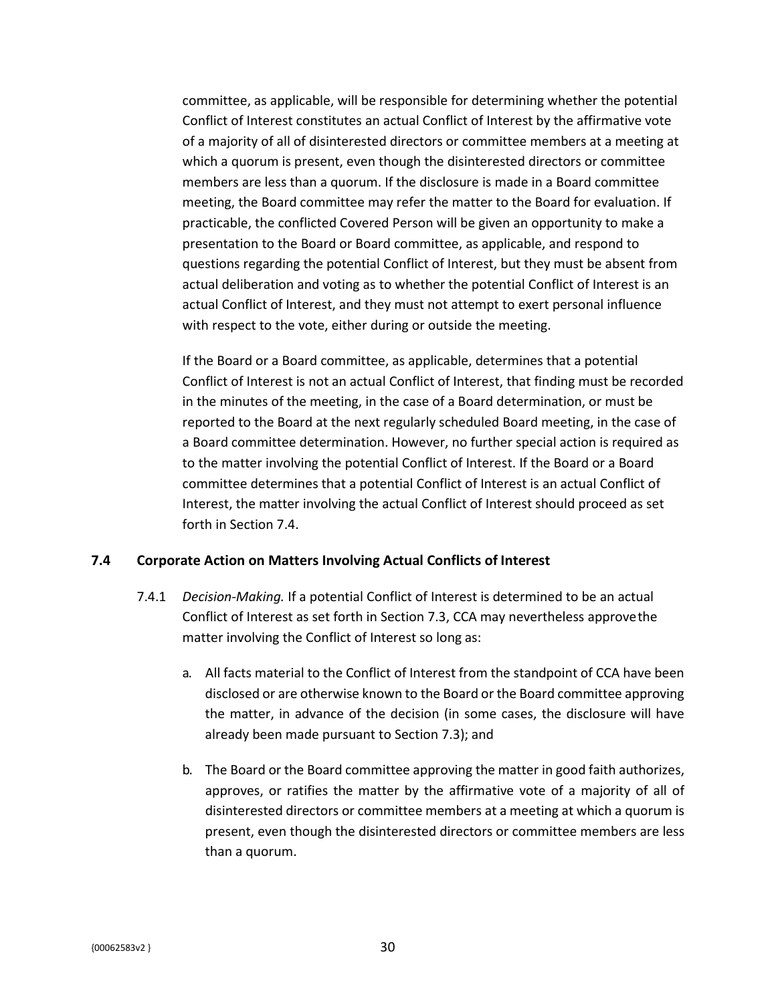committee, as applicable, will be responsible for determining whether the potential Conflict of Interest constitutes an actual Conflict of Interest by the affirmative vote of a majority of all of disinterested directors or committee members at a meeting at which a quorum is present, even though the disinterested directors or committee members are less than a quorum. If the disclosure is made in a Board committee meeting, the Board committee may refer the matter to the Board for evaluation. If practicable, the conflicted Covered Person will be given an opportunity to make a presentation to the Board or Board committee, as applicable, and respond to questions regarding the potential Conflict of Interest, but they must be absent from actual deliberation and voting as to whether the potential Conflict of Interest is an actual Conflict of Interest, and they must not attempt to exert personal influence with respect to the vote, either during or outside the meeting.

If the Board or a Board committee, as applicable, determines that a potential Conflict of Interest is not an actual Conflict of Interest, that finding must be recorded in the minutes of the meeting, in the case of a Board determination, or must be reported to the Board at the next regularly scheduled Board meeting, in the case of a Board committee determination. However, no further special action is required as to the matter involving the potential Conflict of Interest. If the Board or a Board committee determines that a potential Conflict of Interest is an actual Conflict of Interest, the matter involving the actual Conflict of Interest should proceed as set forth in Section 7.4.

### <span id="page-34-0"></span>**7.4 Corporate Action on Matters Involving Actual Conflicts of Interest**

- 7.4.1 *Decision-Making.* If a potential Conflict of Interest is determined to be an actual Conflict of Interest as set forth in Section 7.3, CCA may nevertheless approvethe matter involving the Conflict of Interest so long as:
	- a. All facts material to the Conflict of Interest from the standpoint of CCA have been disclosed or are otherwise known to the Board or the Board committee approving the matter, in advance of the decision (in some cases, the disclosure will have already been made pursuant to Section 7.3); and
	- b. The Board or the Board committee approving the matter in good faith authorizes, approves, or ratifies the matter by the affirmative vote of a majority of all of disinterested directors or committee members at a meeting at which a quorum is present, even though the disinterested directors or committee members are less than a quorum.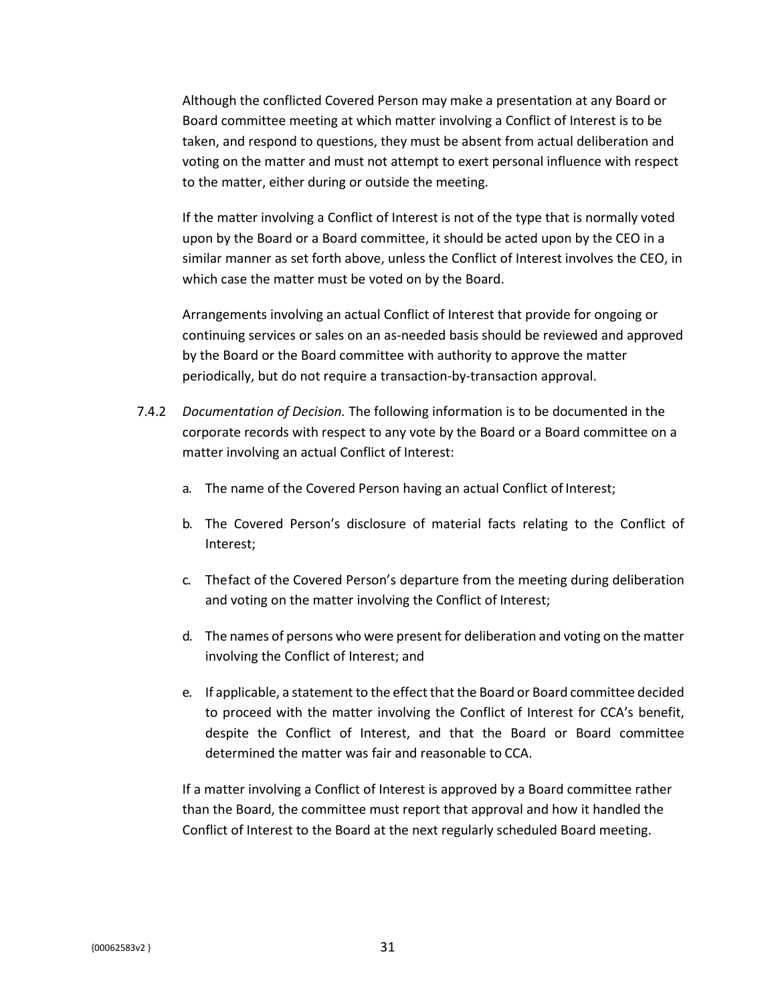Although the conflicted Covered Person may make a presentation at any Board or Board committee meeting at which matter involving a Conflict of Interest is to be taken, and respond to questions, they must be absent from actual deliberation and voting on the matter and must not attempt to exert personal influence with respect to the matter, either during or outside the meeting.

If the matter involving a Conflict of Interest is not of the type that is normally voted upon by the Board or a Board committee, it should be acted upon by the CEO in a similar manner as set forth above, unless the Conflict of Interest involves the CEO, in which case the matter must be voted on by the Board.

Arrangements involving an actual Conflict of Interest that provide for ongoing or continuing services or sales on an as-needed basis should be reviewed and approved by the Board or the Board committee with authority to approve the matter periodically, but do not require a transaction-by-transaction approval.

- 7.4.2 *Documentation of Decision.* The following information is to be documented in the corporate records with respect to any vote by the Board or a Board committee on a matter involving an actual Conflict of Interest:
	- a. The name of the Covered Person having an actual Conflict of Interest;
	- b. The Covered Person's disclosure of material facts relating to the Conflict of Interest;
	- c. Thefact of the Covered Person's departure from the meeting during deliberation and voting on the matter involving the Conflict of Interest;
	- d. The names of persons who were present for deliberation and voting on the matter involving the Conflict of Interest; and
	- e. If applicable, a statement to the effect that the Board or Board committee decided to proceed with the matter involving the Conflict of Interest for CCA's benefit, despite the Conflict of Interest, and that the Board or Board committee determined the matter was fair and reasonable to CCA.

If a matter involving a Conflict of Interest is approved by a Board committee rather than the Board, the committee must report that approval and how it handled the Conflict of Interest to the Board at the next regularly scheduled Board meeting.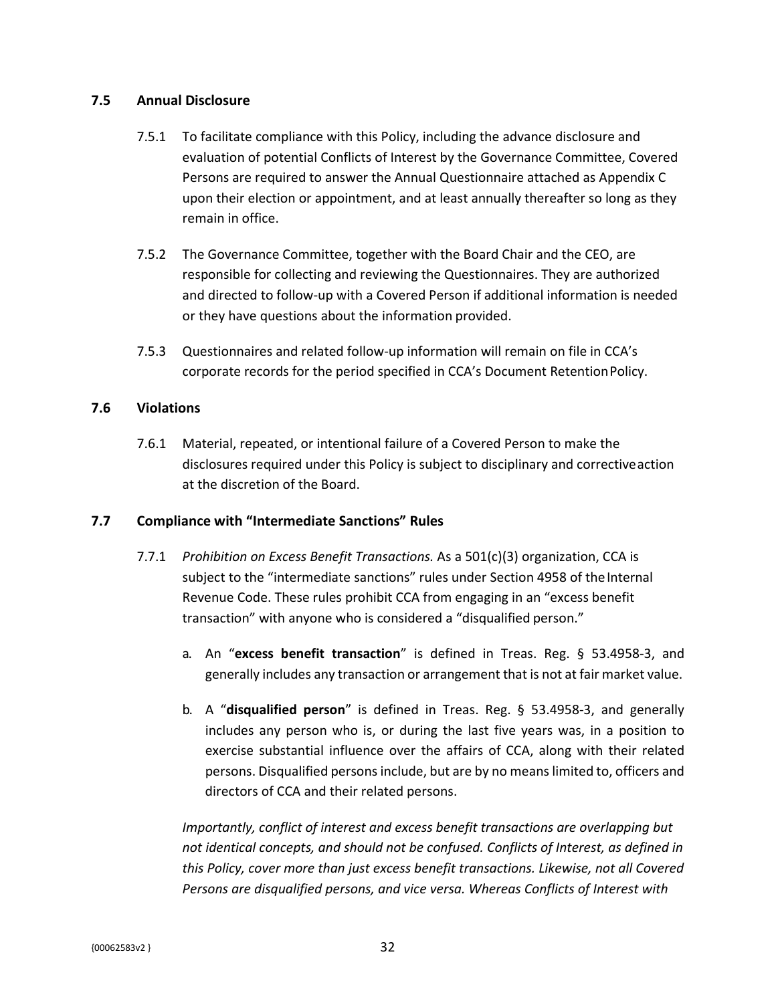#### **7.5 Annual Disclosure**

- 7.5.1 To facilitate compliance with this Policy, including the advance disclosure and evaluation of potential Conflicts of Interest by the Governance Committee, Covered Persons are required to answer the Annual Questionnaire attached as Appendix C upon their election or appointment, and at least annually thereafter so long as they remain in office.
- 7.5.2 The Governance Committee, together with the Board Chair and the CEO, are responsible for collecting and reviewing the Questionnaires. They are authorized and directed to follow-up with a Covered Person if additional information is needed or they have questions about the information provided.
- 7.5.3 Questionnaires and related follow-up information will remain on file in CCA's corporate records for the period specified in CCA's Document RetentionPolicy.

### **7.6 Violations**

7.6.1 Material, repeated, or intentional failure of a Covered Person to make the disclosures required under this Policy is subject to disciplinary and correctiveaction at the discretion of the Board.

### **7.7 Compliance with "Intermediate Sanctions" Rules**

- 7.7.1 *Prohibition on Excess Benefit Transactions.* As a 501(c)(3) organization, CCA is subject to the "intermediate sanctions" rules under Section 4958 of the Internal Revenue Code. These rules prohibit CCA from engaging in an "excess benefit transaction" with anyone who is considered a "disqualified person."
	- a. An "**excess benefit transaction**" is defined in Treas. Reg. § 53.4958-3, and generally includes any transaction or arrangement that is not at fair market value.
	- b. A "**disqualified person**" is defined in Treas. Reg. § 53.4958-3, and generally includes any person who is, or during the last five years was, in a position to exercise substantial influence over the affairs of CCA, along with their related persons. Disqualified personsinclude, but are by no meanslimited to, officers and directors of CCA and their related persons.

*Importantly, conflict of interest and excess benefit transactions are overlapping but not identical concepts, and should not be confused. Conflicts of Interest, as defined in this Policy, cover more than just excess benefit transactions. Likewise, not all Covered Persons are disqualified persons, and vice versa. Whereas Conflicts of Interest with*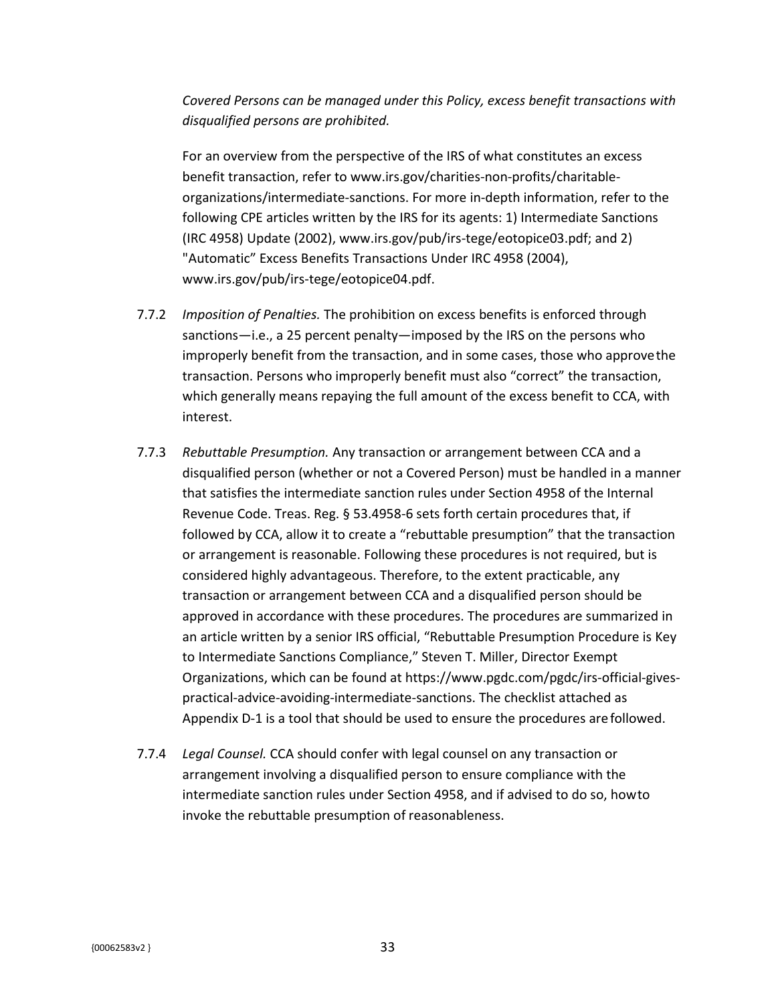*Covered Persons can be managed under this Policy, excess benefit transactions with disqualified persons are prohibited.*

For an overview from the perspective of the IRS of what constitutes an excess benefit transaction, ref[er to www.irs.gov/charities-non-profits/charitable](http://www.irs.gov/charities-non-profits/charitable-)organizations/intermediate-sanctions. For more in-depth information, refer to the following CPE articles written by the IRS for its agents: 1) Intermediate Sanctions (IRC 4958) Update (2002)[, www.irs.gov/pub/irs-tege/eotopice03.pdf; a](http://www.irs.gov/pub/irs-tege/eotopice03.pdf%3B)nd 2) "Automatic" Excess Benefits Transactions Under IRC 4958 (2004), [www.irs.gov/pub/irs-tege/eotopice04.pdf.](http://www.irs.gov/pub/irs-tege/eotopice04.pdf)

- 7.7.2 *Imposition of Penalties.* The prohibition on excess benefits is enforced through sanctions—i.e., a 25 percent penalty—imposed by the IRS on the persons who improperly benefit from the transaction, and in some cases, those who approvethe transaction. Persons who improperly benefit must also "correct" the transaction, which generally means repaying the full amount of the excess benefit to CCA, with interest.
- 7.7.3 *Rebuttable Presumption.* Any transaction or arrangement between CCA and a disqualified person (whether or not a Covered Person) must be handled in a manner that satisfies the intermediate sanction rules under Section 4958 of the Internal Revenue Code. Treas. Reg. § 53.4958-6 sets forth certain procedures that, if followed by CCA, allow it to create a "rebuttable presumption" that the transaction or arrangement is reasonable. Following these procedures is not required, but is considered highly advantageous. Therefore, to the extent practicable, any transaction or arrangement between CCA and a disqualified person should be approved in accordance with these procedures. The procedures are summarized in an article written by a senior IRS official, "Rebuttable Presumption Procedure is Key to Intermediate Sanctions Compliance," Steven T. Miller, Director Exempt Organizations, which can be found at [https://www.pgdc.com/pgdc/irs-of](http://www.pgdc.com/pgdc/irs-official-gives-)fi[cial-gives](http://www.pgdc.com/pgdc/irs-official-gives-)practical-advice-avoiding-intermediate-sanctions. The checklist attached as Appendix D-1 is a tool that should be used to ensure the procedures arefollowed.
- 7.7.4 *Legal Counsel.* CCA should confer with legal counsel on any transaction or arrangement involving a disqualified person to ensure compliance with the intermediate sanction rules under Section 4958, and if advised to do so, howto invoke the rebuttable presumption of reasonableness.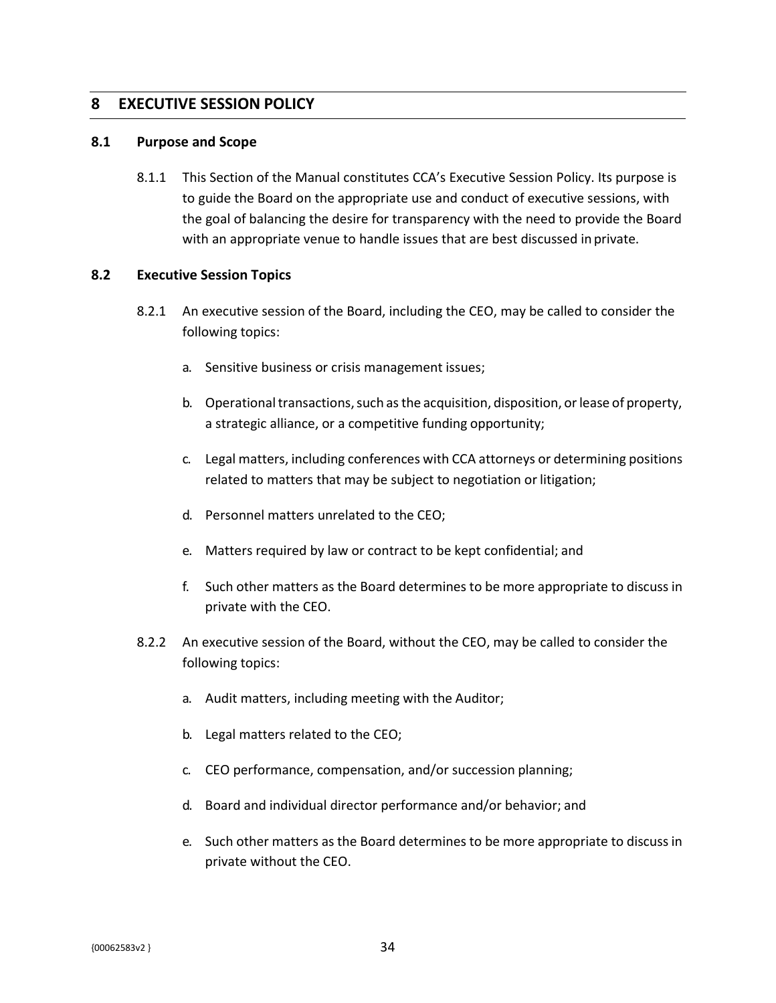### **8 EXECUTIVE SESSION POLICY**

#### **8.1 Purpose and Scope**

8.1.1 This Section of the Manual constitutes CCA's Executive Session Policy. Its purpose is to guide the Board on the appropriate use and conduct of executive sessions, with the goal of balancing the desire for transparency with the need to provide the Board with an appropriate venue to handle issues that are best discussed in private.

#### **8.2 Executive Session Topics**

- 8.2.1 An executive session of the Board, including the CEO, may be called to consider the following topics:
	- a. Sensitive business or crisis management issues;
	- b. Operational transactions, such as the acquisition, disposition, or lease of property, a strategic alliance, or a competitive funding opportunity;
	- c. Legal matters, including conferences with CCA attorneys or determining positions related to matters that may be subject to negotiation or litigation;
	- d. Personnel matters unrelated to the CEO;
	- e. Matters required by law or contract to be kept confidential; and
	- f. Such other matters as the Board determines to be more appropriate to discuss in private with the CEO.
- 8.2.2 An executive session of the Board, without the CEO, may be called to consider the following topics:
	- a. Audit matters, including meeting with the Auditor;
	- b. Legal matters related to the CEO;
	- c. CEO performance, compensation, and/or succession planning;
	- d. Board and individual director performance and/or behavior; and
	- e. Such other matters as the Board determines to be more appropriate to discuss in private without the CEO.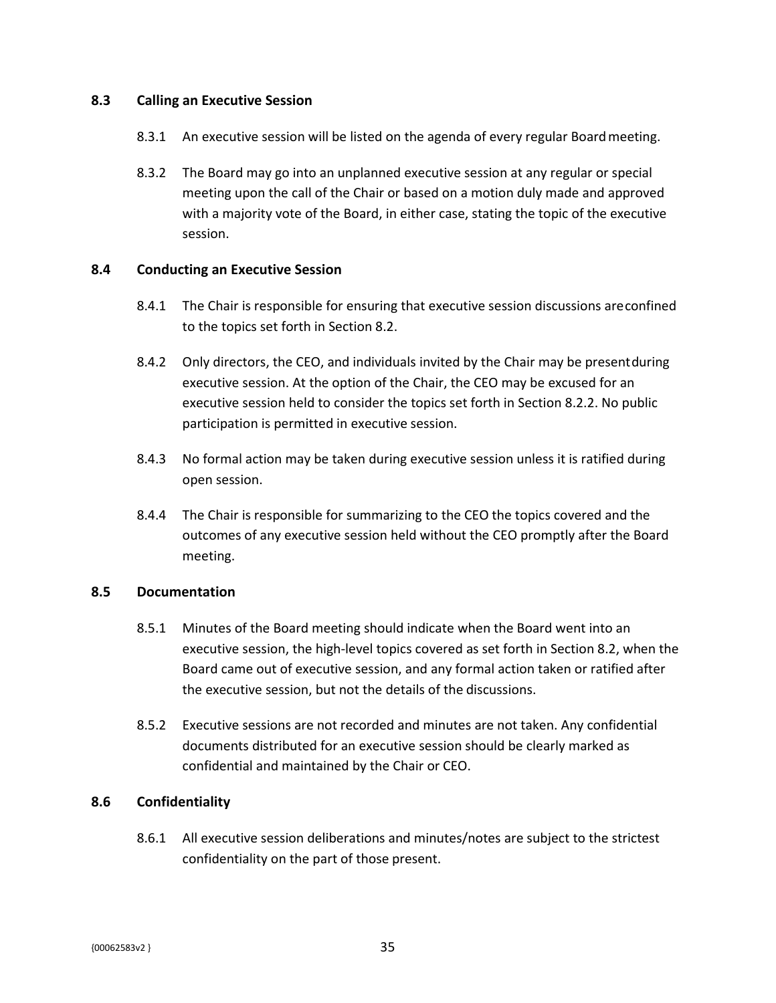#### **8.3 Calling an Executive Session**

- 8.3.1 An executive session will be listed on the agenda of every regular Boardmeeting.
- 8.3.2 The Board may go into an unplanned executive session at any regular or special meeting upon the call of the Chair or based on a motion duly made and approved with a majority vote of the Board, in either case, stating the topic of the executive session.

#### **8.4 Conducting an Executive Session**

- 8.4.1 The Chair is responsible for ensuring that executive session discussions areconfined to the topics set forth in Section 8.2.
- 8.4.2 Only directors, the CEO, and individuals invited by the Chair may be presentduring executive session. At the option of the Chair, the CEO may be excused for an executive session held to consider the topics set forth in Section 8.2.2. No public participation is permitted in executive session.
- 8.4.3 No formal action may be taken during executive session unless it is ratified during open session.
- 8.4.4 The Chair is responsible for summarizing to the CEO the topics covered and the outcomes of any executive session held without the CEO promptly after the Board meeting.

### **8.5 Documentation**

- 8.5.1 Minutes of the Board meeting should indicate when the Board went into an executive session, the high-level topics covered as set forth in Section 8.2, when the Board came out of executive session, and any formal action taken or ratified after the executive session, but not the details of the discussions.
- 8.5.2 Executive sessions are not recorded and minutes are not taken. Any confidential documents distributed for an executive session should be clearly marked as confidential and maintained by the Chair or CEO.

### **8.6 Confidentiality**

8.6.1 All executive session deliberations and minutes/notes are subject to the strictest confidentiality on the part of those present.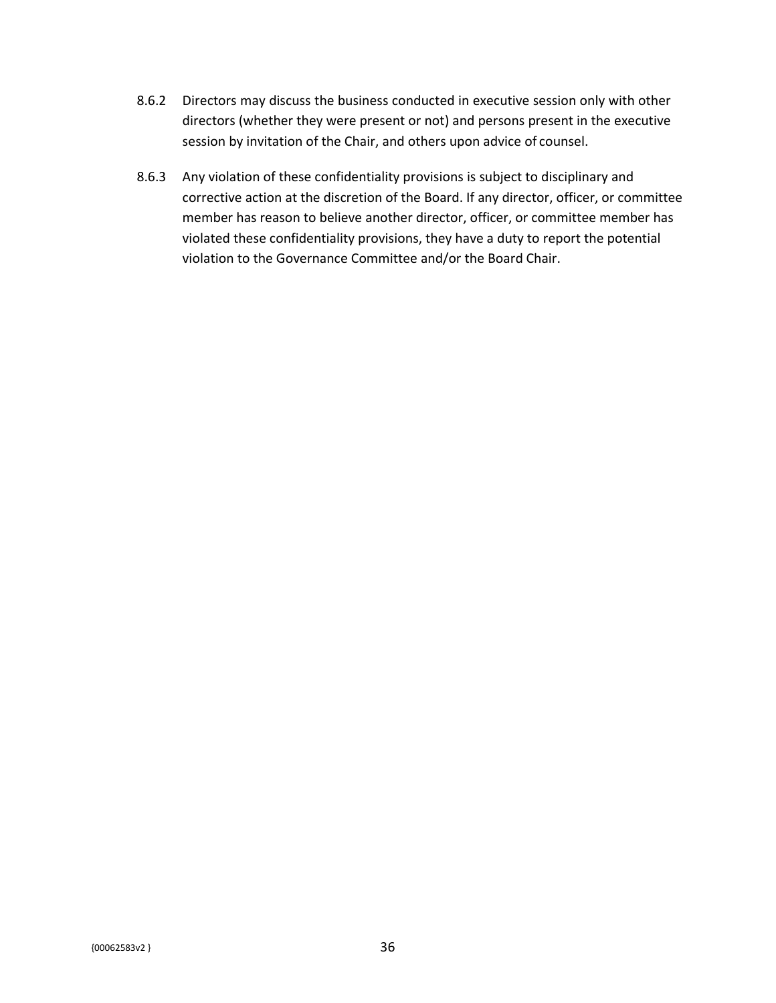- 8.6.2 Directors may discuss the business conducted in executive session only with other directors (whether they were present or not) and persons present in the executive session by invitation of the Chair, and others upon advice of counsel.
- 8.6.3 Any violation of these confidentiality provisions is subject to disciplinary and corrective action at the discretion of the Board. If any director, officer, or committee member has reason to believe another director, officer, or committee member has violated these confidentiality provisions, they have a duty to report the potential violation to the Governance Committee and/or the Board Chair.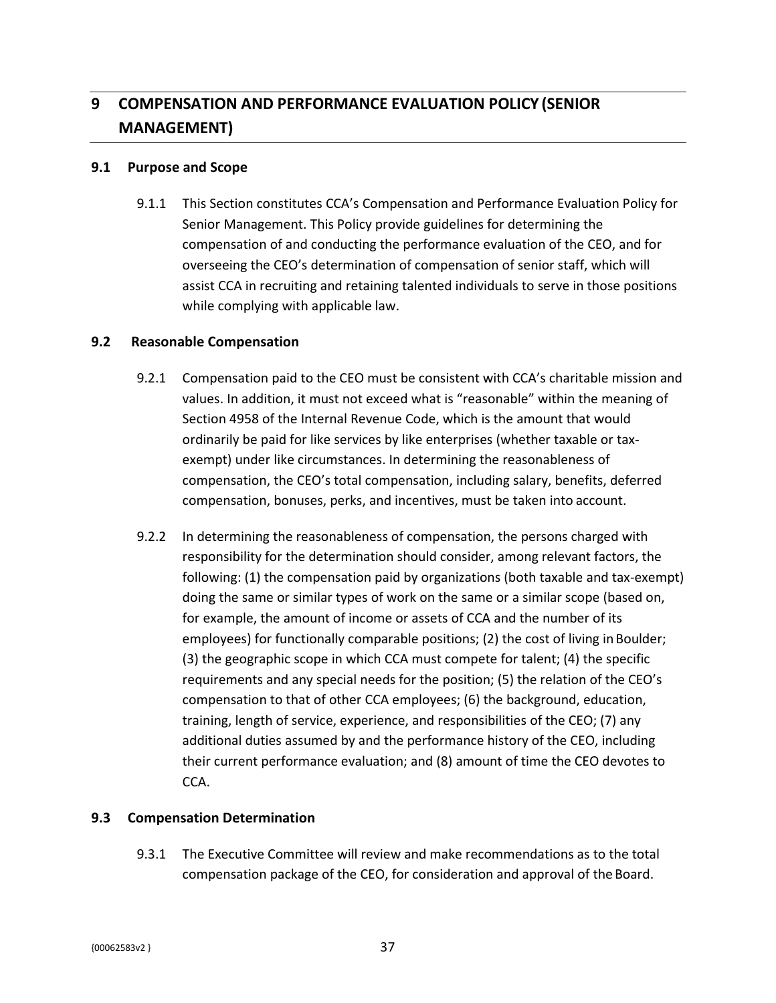# **9 COMPENSATION AND PERFORMANCE EVALUATION POLICY (SENIOR MANAGEMENT)**

#### **9.1 Purpose and Scope**

9.1.1 This Section constitutes CCA's Compensation and Performance Evaluation Policy for Senior Management. This Policy provide guidelines for determining the compensation of and conducting the performance evaluation of the CEO, and for overseeing the CEO's determination of compensation of senior staff, which will assist CCA in recruiting and retaining talented individuals to serve in those positions while complying with applicable law.

#### **9.2 Reasonable Compensation**

- 9.2.1 Compensation paid to the CEO must be consistent with CCA's charitable mission and values. In addition, it must not exceed what is "reasonable" within the meaning of Section 4958 of the Internal Revenue Code, which is the amount that would ordinarily be paid for like services by like enterprises (whether taxable or taxexempt) under like circumstances. In determining the reasonableness of compensation, the CEO's total compensation, including salary, benefits, deferred compensation, bonuses, perks, and incentives, must be taken into account.
- 9.2.2 In determining the reasonableness of compensation, the persons charged with responsibility for the determination should consider, among relevant factors, the following: (1) the compensation paid by organizations (both taxable and tax-exempt) doing the same or similar types of work on the same or a similar scope (based on, for example, the amount of income or assets of CCA and the number of its employees) for functionally comparable positions; (2) the cost of living in Boulder; (3) the geographic scope in which CCA must compete for talent; (4) the specific requirements and any special needs for the position; (5) the relation of the CEO's compensation to that of other CCA employees; (6) the background, education, training, length of service, experience, and responsibilities of the CEO; (7) any additional duties assumed by and the performance history of the CEO, including their current performance evaluation; and (8) amount of time the CEO devotes to CCA.

### **9.3 Compensation Determination**

9.3.1 The Executive Committee will review and make recommendations as to the total compensation package of the CEO, for consideration and approval of the Board.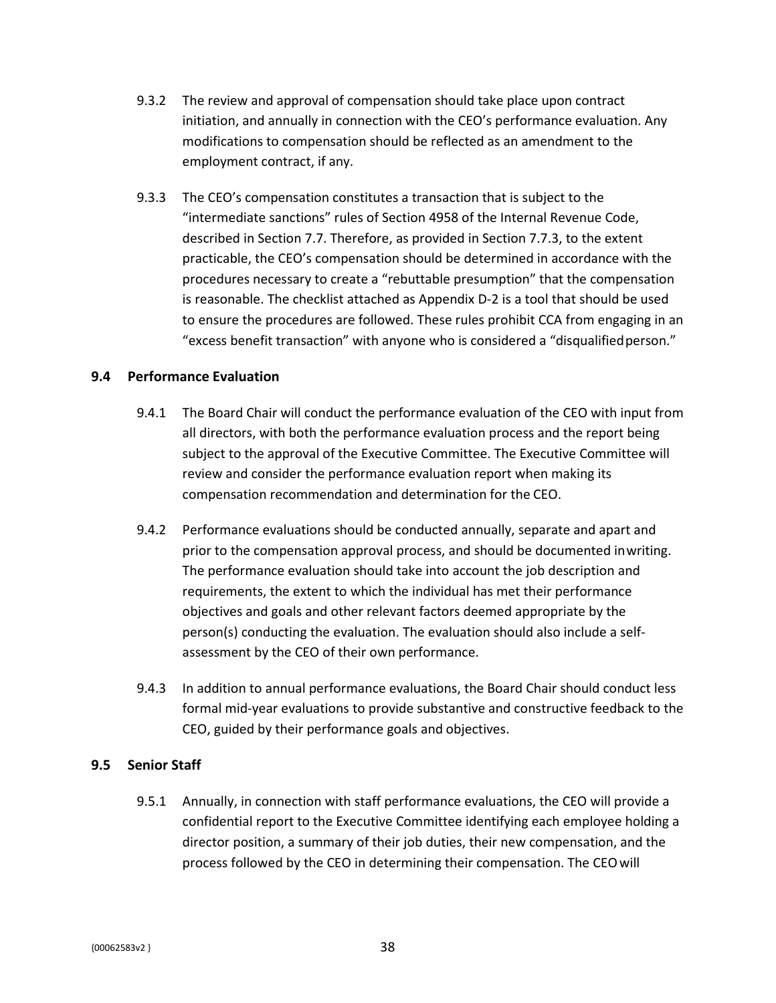- 9.3.2 The review and approval of compensation should take place upon contract initiation, and annually in connection with the CEO's performance evaluation. Any modifications to compensation should be reflected as an amendment to the employment contract, if any.
- 9.3.3 The CEO's compensation constitutes a transaction that is subject to the "intermediate sanctions" rules of Section 4958 of the Internal Revenue Code, described in Section 7.7. Therefore, as provided in Section 7.7.3, to the extent practicable, the CEO's compensation should be determined in accordance with the procedures necessary to create a "rebuttable presumption" that the compensation is reasonable. The checklist attached as Appendix D-2 is a tool that should be used to ensure the procedures are followed. These rules prohibit CCA from engaging in an "excess benefit transaction" with anyone who is considered a "disqualified person."

#### **9.4 Performance Evaluation**

- 9.4.1 The Board Chair will conduct the performance evaluation of the CEO with input from all directors, with both the performance evaluation process and the report being subject to the approval of the Executive Committee. The Executive Committee will review and consider the performance evaluation report when making its compensation recommendation and determination for the CEO.
- 9.4.2 Performance evaluations should be conducted annually, separate and apart and prior to the compensation approval process, and should be documented inwriting. The performance evaluation should take into account the job description and requirements, the extent to which the individual has met their performance objectives and goals and other relevant factors deemed appropriate by the person(s) conducting the evaluation. The evaluation should also include a selfassessment by the CEO of their own performance.
- 9.4.3 In addition to annual performance evaluations, the Board Chair should conduct less formal mid-year evaluations to provide substantive and constructive feedback to the CEO, guided by their performance goals and objectives.

### **9.5 Senior Staff**

9.5.1 Annually, in connection with staff performance evaluations, the CEO will provide a confidential report to the Executive Committee identifying each employee holding a director position, a summary of their job duties, their new compensation, and the process followed by the CEO in determining their compensation. The CEOwill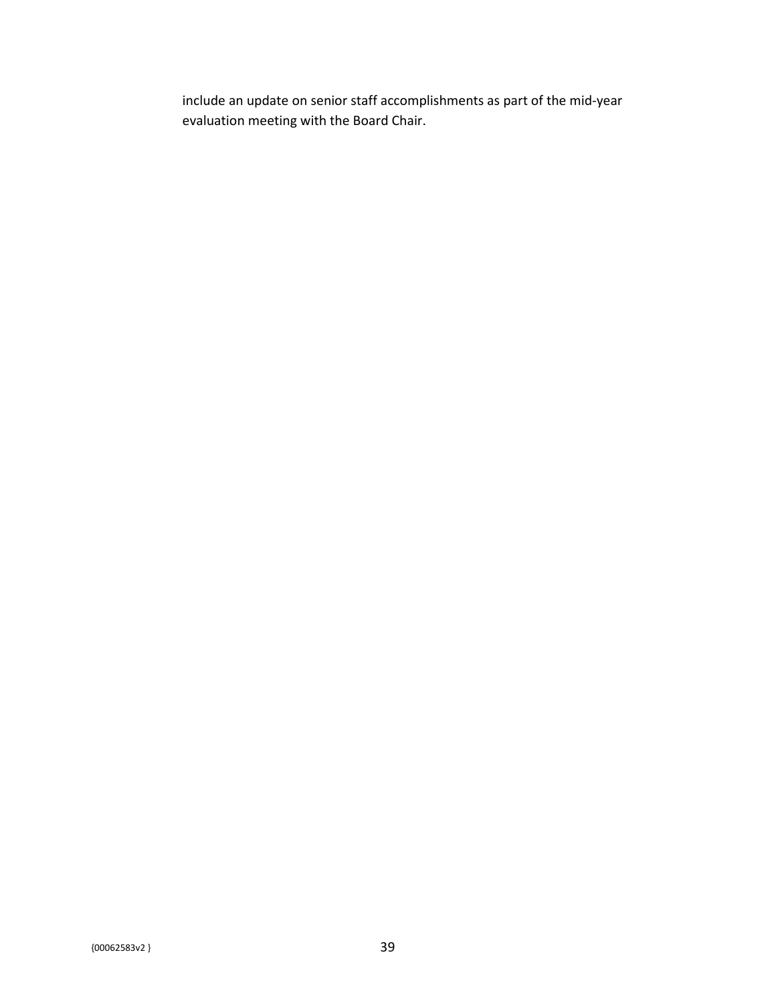include an update on senior staff accomplishments as part of the mid-year evaluation meeting with the Board Chair.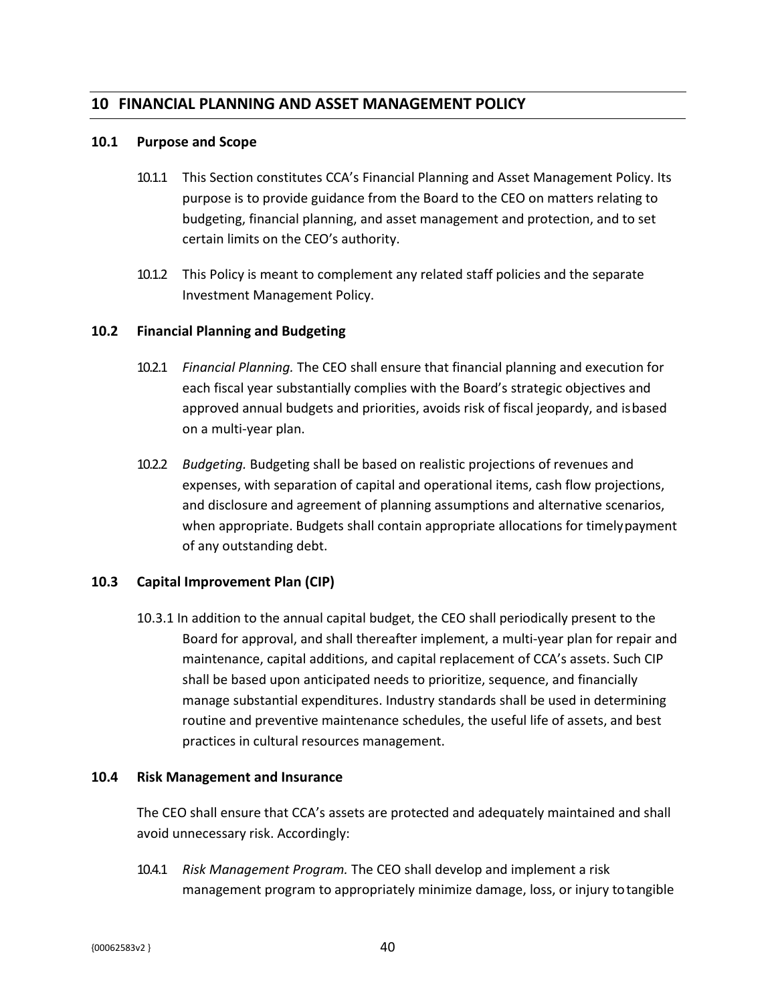## **10 FINANCIAL PLANNING AND ASSET MANAGEMENT POLICY**

#### **10.1 Purpose and Scope**

- 10.1.1 This Section constitutes CCA's Financial Planning and Asset Management Policy. Its purpose is to provide guidance from the Board to the CEO on matters relating to budgeting, financial planning, and asset management and protection, and to set certain limits on the CEO's authority.
- 10.1.2 This Policy is meant to complement any related staff policies and the separate Investment Management Policy.

#### **10.2 Financial Planning and Budgeting**

- 10.2.1 *Financial Planning.* The CEO shall ensure that financial planning and execution for each fiscal year substantially complies with the Board's strategic objectives and approved annual budgets and priorities, avoids risk of fiscal jeopardy, and isbased on a multi-year plan.
- 10.2.2 *Budgeting.* Budgeting shall be based on realistic projections of revenues and expenses, with separation of capital and operational items, cash flow projections, and disclosure and agreement of planning assumptions and alternative scenarios, when appropriate. Budgets shall contain appropriate allocations for timelypayment of any outstanding debt.

#### **10.3 Capital Improvement Plan (CIP)**

10.3.1 In addition to the annual capital budget, the CEO shall periodically present to the Board for approval, and shall thereafter implement, a multi-year plan for repair and maintenance, capital additions, and capital replacement of CCA's assets. Such CIP shall be based upon anticipated needs to prioritize, sequence, and financially manage substantial expenditures. Industry standards shall be used in determining routine and preventive maintenance schedules, the useful life of assets, and best practices in cultural resources management.

#### **10.4 Risk Management and Insurance**

The CEO shall ensure that CCA's assets are protected and adequately maintained and shall avoid unnecessary risk. Accordingly:

10.4.1 *Risk Management Program.* The CEO shall develop and implement a risk management program to appropriately minimize damage, loss, or injury totangible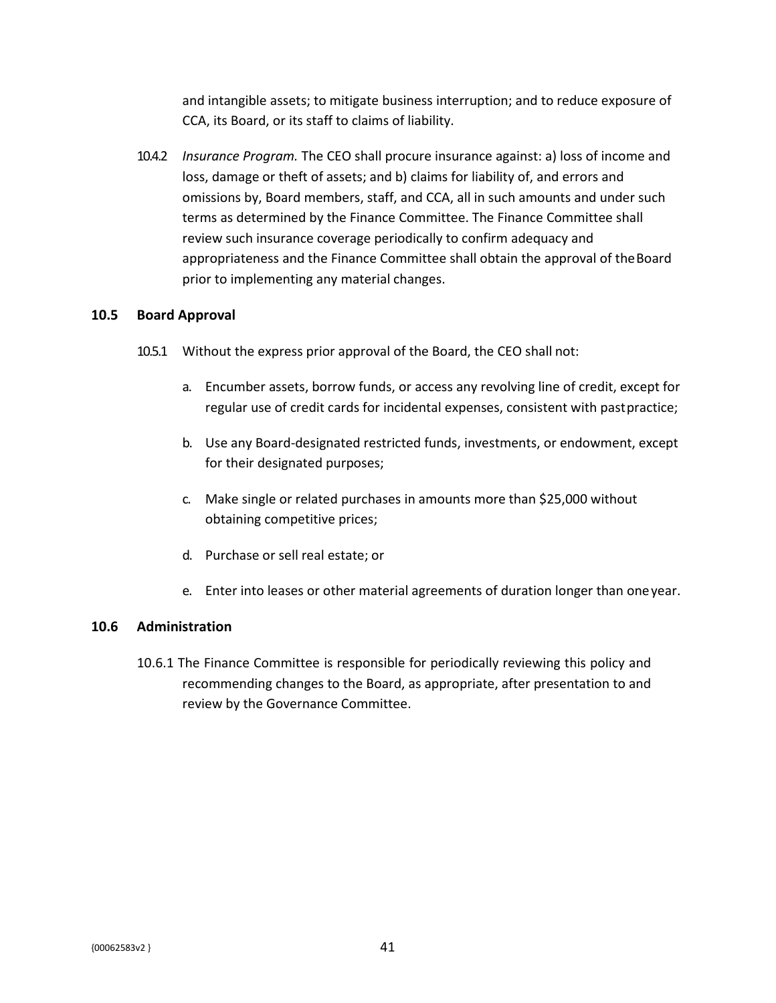and intangible assets; to mitigate business interruption; and to reduce exposure of CCA, its Board, or its staff to claims of liability.

10.4.2 *Insurance Program.* The CEO shall procure insurance against: a) loss of income and loss, damage or theft of assets; and b) claims for liability of, and errors and omissions by, Board members, staff, and CCA, all in such amounts and under such terms as determined by the Finance Committee. The Finance Committee shall review such insurance coverage periodically to confirm adequacy and appropriateness and the Finance Committee shall obtain the approval of the Board prior to implementing any material changes.

### **10.5 Board Approval**

- 10.5.1 Without the express prior approval of the Board, the CEO shall not:
	- a. Encumber assets, borrow funds, or access any revolving line of credit, except for regular use of credit cards for incidental expenses, consistent with pastpractice;
	- b. Use any Board-designated restricted funds, investments, or endowment, except for their designated purposes;
	- c. Make single or related purchases in amounts more than \$25,000 without obtaining competitive prices;
	- d. Purchase or sell real estate; or
	- e. Enter into leases or other material agreements of duration longer than oneyear.

#### **10.6 Administration**

10.6.1 The Finance Committee is responsible for periodically reviewing this policy and recommending changes to the Board, as appropriate, after presentation to and review by the Governance Committee.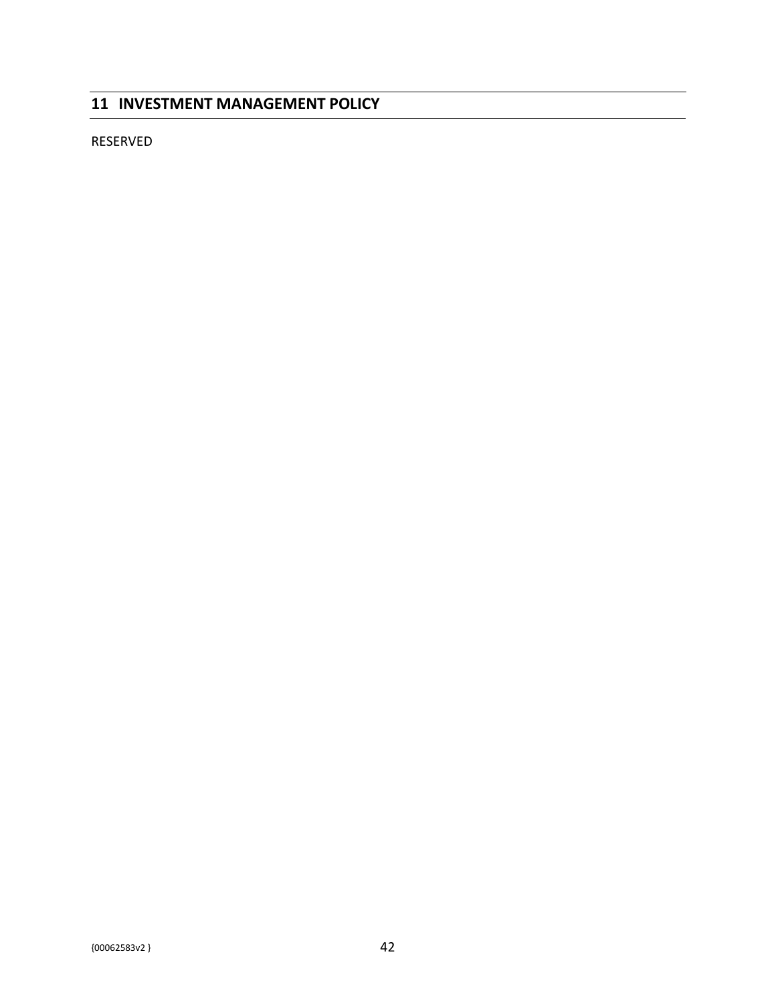## **11 INVESTMENT MANAGEMENT POLICY**

RESERVED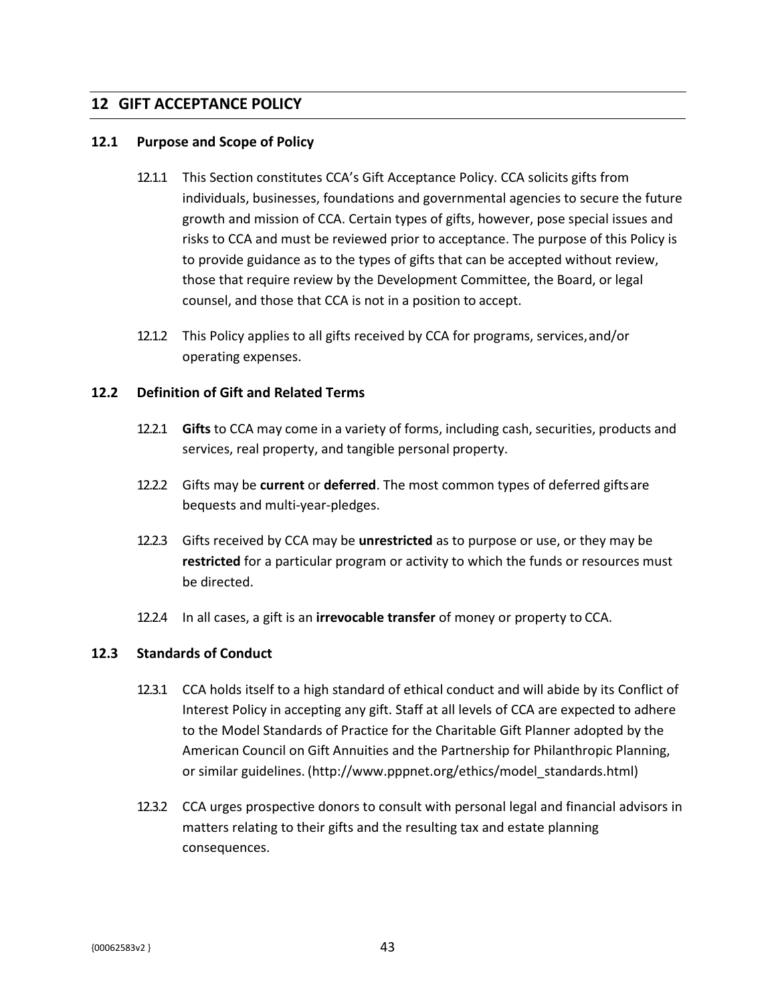### **12 GIFT ACCEPTANCE POLICY**

#### **12.1 Purpose and Scope of Policy**

- 12.1.1 This Section constitutes CCA's Gift Acceptance Policy. CCA solicits gifts from individuals, businesses, foundations and governmental agencies to secure the future growth and mission of CCA. Certain types of gifts, however, pose special issues and risks to CCA and must be reviewed prior to acceptance. The purpose of this Policy is to provide guidance as to the types of gifts that can be accepted without review, those that require review by the Development Committee, the Board, or legal counsel, and those that CCA is not in a position to accept.
- 12.1.2 This Policy applies to all gifts received by CCA for programs, services,and/or operating expenses.

#### **12.2 Definition of Gift and Related Terms**

- 12.2.1 **Gifts** to CCA may come in a variety of forms, including cash, securities, products and services, real property, and tangible personal property.
- 12.2.2 Gifts may be **current** or **deferred**. The most common types of deferred giftsare bequests and multi-year-pledges.
- 12.2.3 Gifts received by CCA may be **unrestricted** as to purpose or use, or they may be **restricted** for a particular program or activity to which the funds or resources must be directed.
- 12.2.4 In all cases, a gift is an **irrevocable transfer** of money or property to CCA.

### **12.3 Standards of Conduct**

- 12.3.1 CCA holds itself to a high standard of ethical conduct and will abide by its Conflict of Interest Policy in accepting any gift. Staff at all levels of CCA are expected to adhere to the Model Standards of Practice for the Charitable Gift Planner adopted by the American Council on Gift Annuities and the Partnership for Philanthropic Planning, or similar guidelines. [\(http://www.pppnet.org/ethics/model\\_standards.html\)](http://www.pppnet.org/ethics/model_standards.html))
- 12.3.2 CCA urges prospective donors to consult with personal legal and financial advisors in matters relating to their gifts and the resulting tax and estate planning consequences.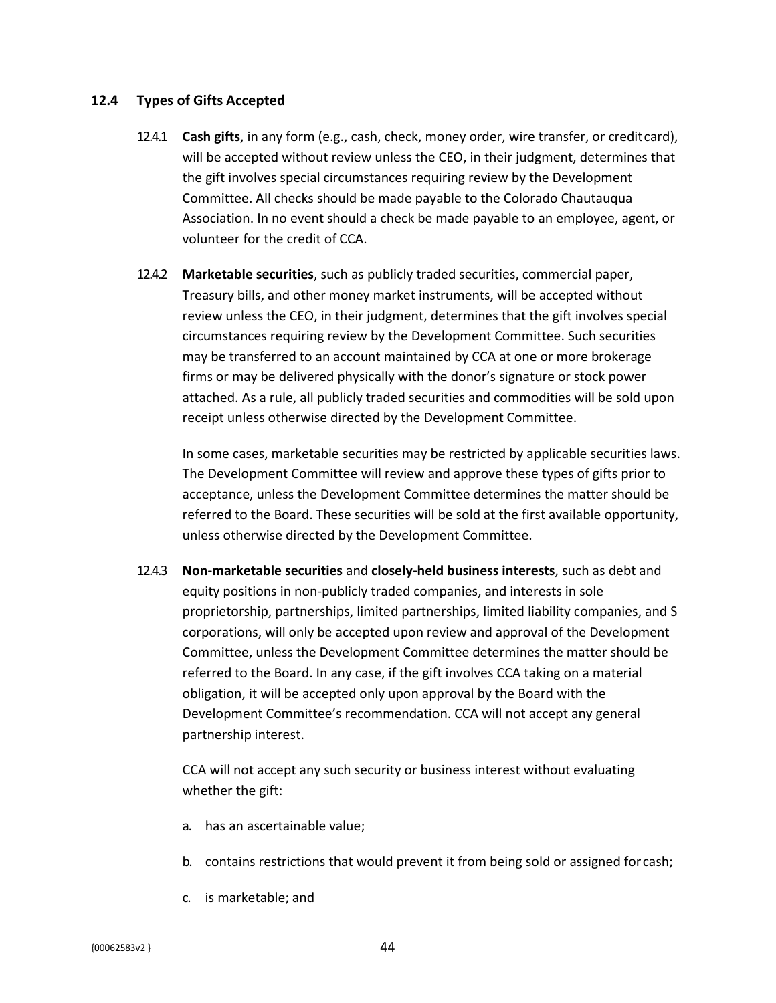#### **12.4 Types of Gifts Accepted**

- 12.4.1 **Cash gifts**, in any form (e.g., cash, check, money order, wire transfer, or creditcard), will be accepted without review unless the CEO, in their judgment, determines that the gift involves special circumstances requiring review by the Development Committee. All checks should be made payable to the Colorado Chautauqua Association. In no event should a check be made payable to an employee, agent, or volunteer for the credit of CCA.
- 12.4.2 **Marketable securities**, such as publicly traded securities, commercial paper, Treasury bills, and other money market instruments, will be accepted without review unless the CEO, in their judgment, determines that the gift involves special circumstances requiring review by the Development Committee. Such securities may be transferred to an account maintained by CCA at one or more brokerage firms or may be delivered physically with the donor's signature or stock power attached. As a rule, all publicly traded securities and commodities will be sold upon receipt unless otherwise directed by the Development Committee.

In some cases, marketable securities may be restricted by applicable securities laws. The Development Committee will review and approve these types of gifts prior to acceptance, unless the Development Committee determines the matter should be referred to the Board. These securities will be sold at the first available opportunity, unless otherwise directed by the Development Committee.

12.4.3 **Non-marketable securities** and **closely-held business interests**, such as debt and equity positions in non-publicly traded companies, and interests in sole proprietorship, partnerships, limited partnerships, limited liability companies, and S corporations, will only be accepted upon review and approval of the Development Committee, unless the Development Committee determines the matter should be referred to the Board. In any case, if the gift involves CCA taking on a material obligation, it will be accepted only upon approval by the Board with the Development Committee's recommendation. CCA will not accept any general partnership interest.

CCA will not accept any such security or business interest without evaluating whether the gift:

- a. has an ascertainable value;
- b. contains restrictions that would prevent it from being sold or assigned for cash;
- c. is marketable; and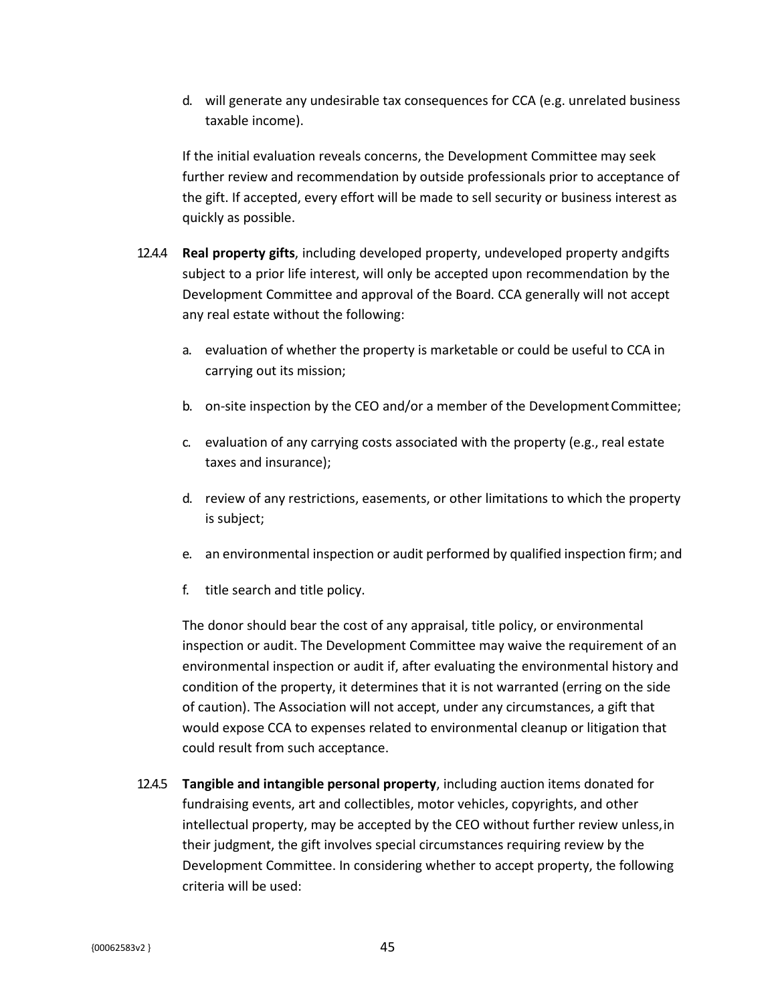d. will generate any undesirable tax consequences for CCA (e.g. unrelated business taxable income).

If the initial evaluation reveals concerns, the Development Committee may seek further review and recommendation by outside professionals prior to acceptance of the gift. If accepted, every effort will be made to sell security or business interest as quickly as possible.

- 12.4.4 **Real property gifts**, including developed property, undeveloped property andgifts subject to a prior life interest, will only be accepted upon recommendation by the Development Committee and approval of the Board. CCA generally will not accept any real estate without the following:
	- a. evaluation of whether the property is marketable or could be useful to CCA in carrying out its mission;
	- b. on-site inspection by the CEO and/or a member of the Development Committee;
	- c. evaluation of any carrying costs associated with the property (e.g., real estate taxes and insurance);
	- d. review of any restrictions, easements, or other limitations to which the property is subject;
	- e. an environmental inspection or audit performed by qualified inspection firm; and
	- f. title search and title policy.

The donor should bear the cost of any appraisal, title policy, or environmental inspection or audit. The Development Committee may waive the requirement of an environmental inspection or audit if, after evaluating the environmental history and condition of the property, it determines that it is not warranted (erring on the side of caution). The Association will not accept, under any circumstances, a gift that would expose CCA to expenses related to environmental cleanup or litigation that could result from such acceptance.

12.4.5 **Tangible and intangible personal property**, including auction items donated for fundraising events, art and collectibles, motor vehicles, copyrights, and other intellectual property, may be accepted by the CEO without further review unless,in their judgment, the gift involves special circumstances requiring review by the Development Committee. In considering whether to accept property, the following criteria will be used: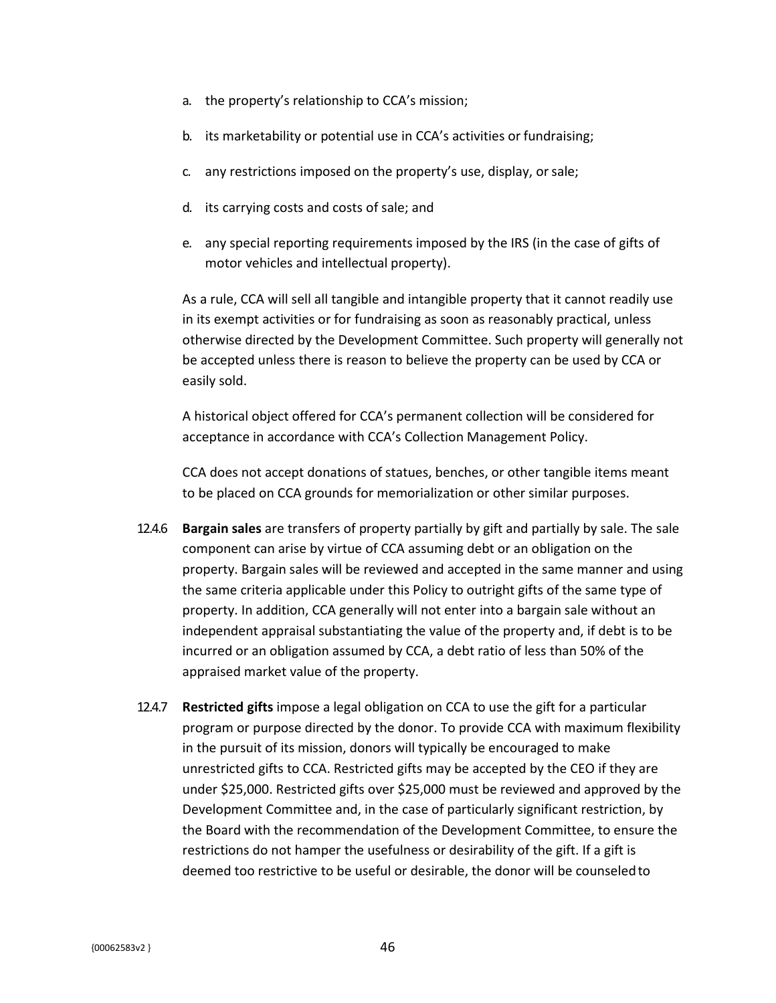- a. the property's relationship to CCA's mission;
- b. its marketability or potential use in CCA's activities or fundraising;
- c. any restrictions imposed on the property's use, display, orsale;
- d. its carrying costs and costs of sale; and
- e. any special reporting requirements imposed by the IRS (in the case of gifts of motor vehicles and intellectual property).

As a rule, CCA will sell all tangible and intangible property that it cannot readily use in its exempt activities or for fundraising as soon as reasonably practical, unless otherwise directed by the Development Committee. Such property will generally not be accepted unless there is reason to believe the property can be used by CCA or easily sold.

A historical object offered for CCA's permanent collection will be considered for acceptance in accordance with CCA's Collection Management Policy.

CCA does not accept donations of statues, benches, or other tangible items meant to be placed on CCA grounds for memorialization or other similar purposes.

- 12.4.6 **Bargain sales** are transfers of property partially by gift and partially by sale. The sale component can arise by virtue of CCA assuming debt or an obligation on the property. Bargain sales will be reviewed and accepted in the same manner and using the same criteria applicable under this Policy to outright gifts of the same type of property. In addition, CCA generally will not enter into a bargain sale without an independent appraisal substantiating the value of the property and, if debt is to be incurred or an obligation assumed by CCA, a debt ratio of less than 50% of the appraised market value of the property.
- 12.4.7 **Restricted gifts** impose a legal obligation on CCA to use the gift for a particular program or purpose directed by the donor. To provide CCA with maximum flexibility in the pursuit of its mission, donors will typically be encouraged to make unrestricted gifts to CCA. Restricted gifts may be accepted by the CEO if they are under \$25,000. Restricted gifts over \$25,000 must be reviewed and approved by the Development Committee and, in the case of particularly significant restriction, by the Board with the recommendation of the Development Committee, to ensure the restrictions do not hamper the usefulness or desirability of the gift. If a gift is deemed too restrictive to be useful or desirable, the donor will be counseledto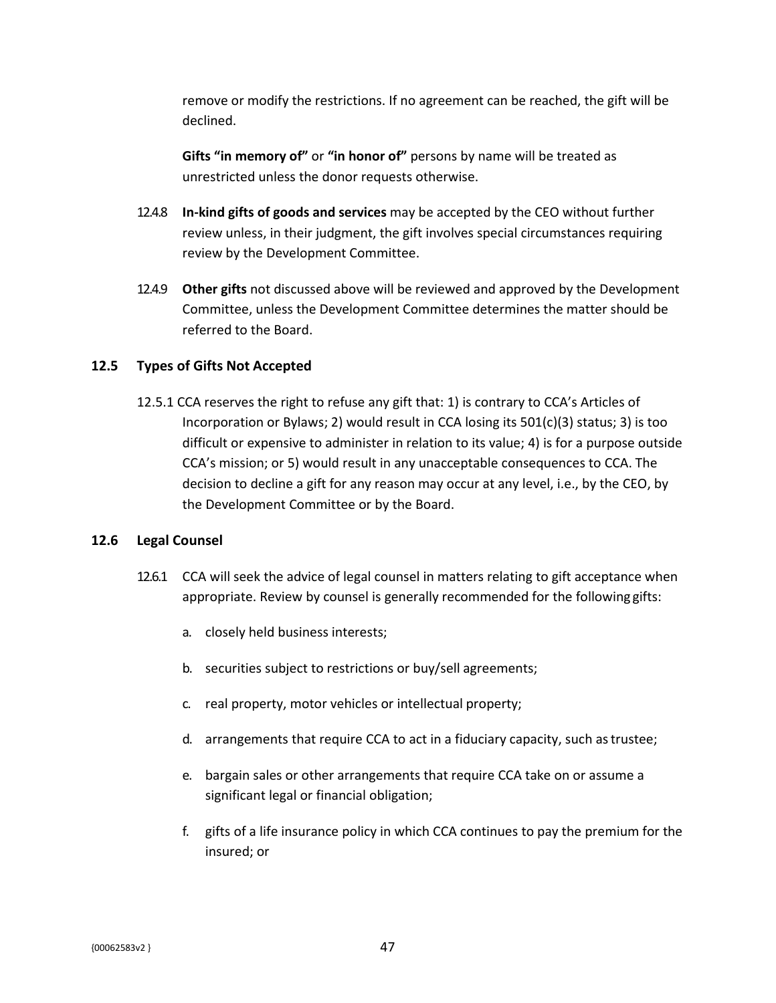remove or modify the restrictions. If no agreement can be reached, the gift will be declined.

**Gifts "in memory of"** or **"in honor of"** persons by name will be treated as unrestricted unless the donor requests otherwise.

- 12.4.8 **In-kind gifts of goods and services** may be accepted by the CEO without further review unless, in their judgment, the gift involves special circumstances requiring review by the Development Committee.
- 12.4.9 **Other gifts** not discussed above will be reviewed and approved by the Development Committee, unless the Development Committee determines the matter should be referred to the Board.

### **12.5 Types of Gifts Not Accepted**

12.5.1 CCA reserves the right to refuse any gift that: 1) is contrary to CCA's Articles of Incorporation or Bylaws; 2) would result in CCA losing its  $501(c)(3)$  status; 3) is too difficult or expensive to administer in relation to its value; 4) is for a purpose outside CCA's mission; or 5) would result in any unacceptable consequences to CCA. The decision to decline a gift for any reason may occur at any level, i.e., by the CEO, by the Development Committee or by the Board.

### **12.6 Legal Counsel**

- 12.6.1 CCA will seek the advice of legal counsel in matters relating to gift acceptance when appropriate. Review by counsel is generally recommended for the following gifts:
	- a. closely held business interests;
	- b. securities subject to restrictions or buy/sell agreements;
	- c. real property, motor vehicles or intellectual property;
	- d. arrangements that require CCA to act in a fiduciary capacity, such astrustee;
	- e. bargain sales or other arrangements that require CCA take on or assume a significant legal or financial obligation;
	- f. gifts of a life insurance policy in which CCA continues to pay the premium for the insured; or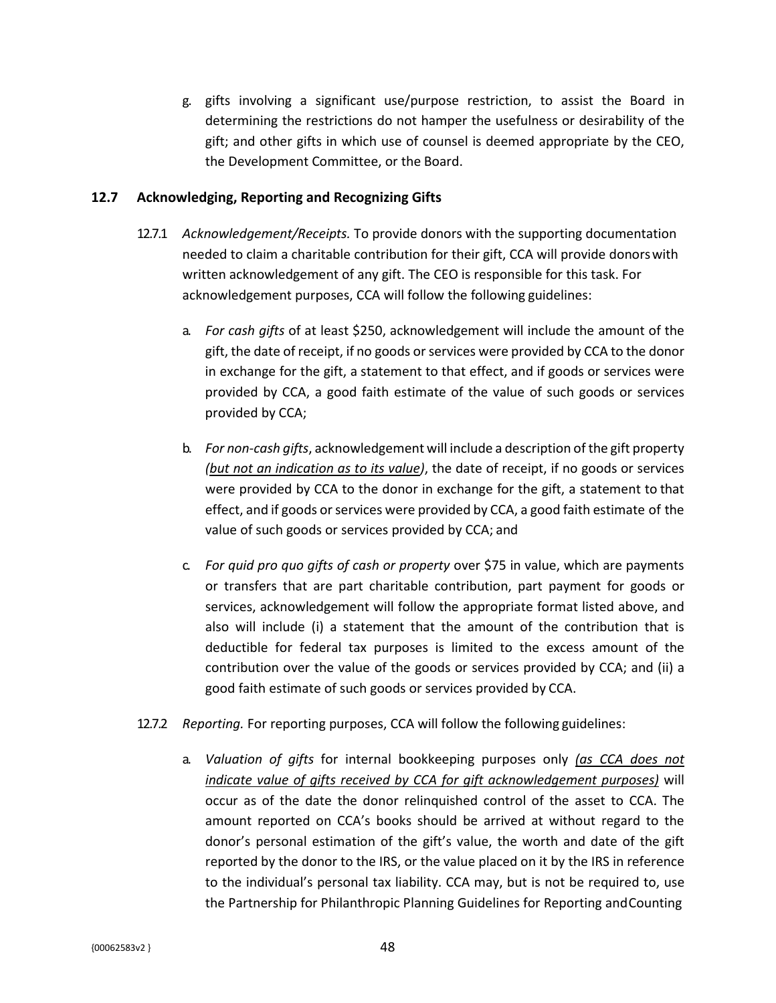g. gifts involving a significant use/purpose restriction, to assist the Board in determining the restrictions do not hamper the usefulness or desirability of the gift; and other gifts in which use of counsel is deemed appropriate by the CEO, the Development Committee, or the Board.

#### **12.7 Acknowledging, Reporting and Recognizing Gifts**

- 12.7.1 *Acknowledgement/Receipts.* To provide donors with the supporting documentation needed to claim a charitable contribution for their gift, CCA will provide donorswith written acknowledgement of any gift. The CEO is responsible for this task. For acknowledgement purposes, CCA will follow the following guidelines:
	- a. *For cash gifts* of at least \$250, acknowledgement will include the amount of the gift, the date of receipt, if no goods or services were provided by CCA to the donor in exchange for the gift, a statement to that effect, and if goods or services were provided by CCA, a good faith estimate of the value of such goods or services provided by CCA;
	- b. *For non-cash gifts*, acknowledgement will include a description of the gift property *(but not an indication as to its value)*, the date of receipt, if no goods or services were provided by CCA to the donor in exchange for the gift, a statement to that effect, and if goods or services were provided by CCA, a good faith estimate of the value of such goods or services provided by CCA; and
	- c. *For quid pro quo gifts of cash or property* over \$75 in value, which are payments or transfers that are part charitable contribution, part payment for goods or services, acknowledgement will follow the appropriate format listed above, and also will include (i) a statement that the amount of the contribution that is deductible for federal tax purposes is limited to the excess amount of the contribution over the value of the goods or services provided by CCA; and (ii) a good faith estimate of such goods or services provided by CCA.
- 12.7.2 *Reporting.* For reporting purposes, CCA will follow the following guidelines:
	- a. *Valuation of gifts* for internal bookkeeping purposes only *(as CCA does not indicate value of gifts received by CCA for gift acknowledgement purposes)* will occur as of the date the donor relinquished control of the asset to CCA. The amount reported on CCA's books should be arrived at without regard to the donor's personal estimation of the gift's value, the worth and date of the gift reported by the donor to the IRS, or the value placed on it by the IRS in reference to the individual's personal tax liability. CCA may, but is not be required to, use the Partnership for Philanthropic Planning Guidelines for Reporting andCounting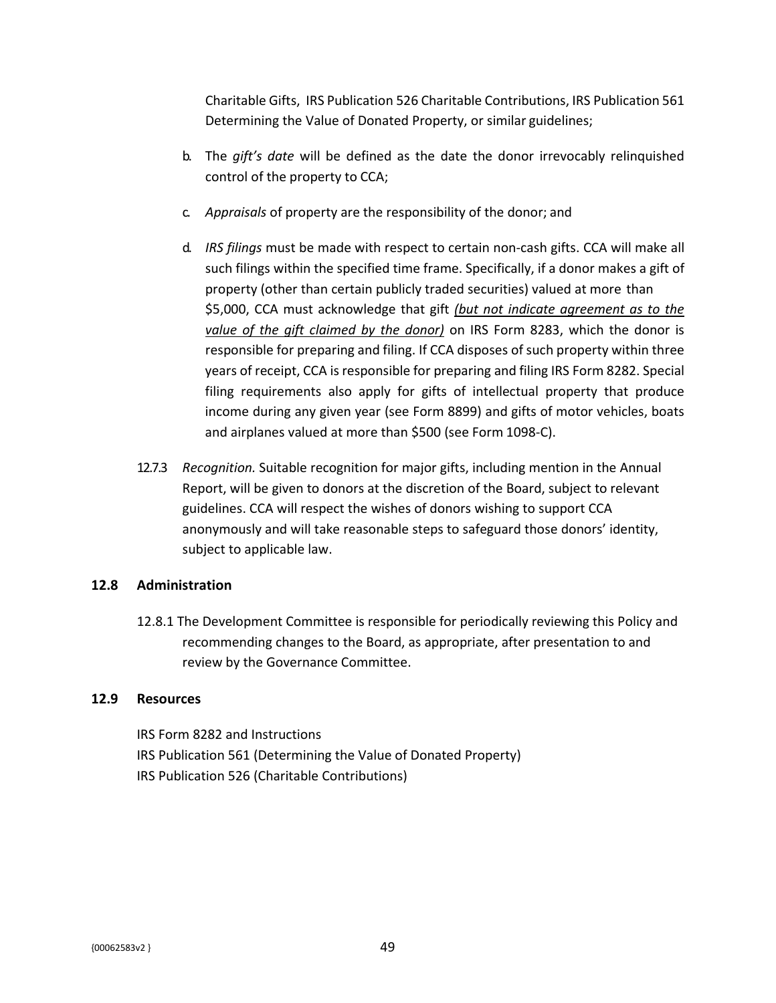Charitable Gifts, IRS Publication 526 Charitable Contributions, IRS Publication 561 Determining the Value of Donated Property, or similar guidelines;

- b. The *gift's date* will be defined as the date the donor irrevocably relinquished control of the property to CCA;
- c. *Appraisals* of property are the responsibility of the donor; and
- d. *IRS filings* must be made with respect to certain non-cash gifts. CCA will make all such filings within the specified time frame. Specifically, if a donor makes a gift of property (other than certain publicly traded securities) valued at more than \$5,000, CCA must acknowledge that gift *(but not indicate agreement as to the value of the gift claimed by the donor)* on IRS Form 8283, which the donor is responsible for preparing and filing. If CCA disposes of such property within three years of receipt, CCA is responsible for preparing and filing IRS Form 8282. Special filing requirements also apply for gifts of intellectual property that produce income during any given year (see Form 8899) and gifts of motor vehicles, boats and airplanes valued at more than \$500 (see Form 1098-C).
- 12.7.3 *Recognition.* Suitable recognition for major gifts, including mention in the Annual Report, will be given to donors at the discretion of the Board, subject to relevant guidelines. CCA will respect the wishes of donors wishing to support CCA anonymously and will take reasonable steps to safeguard those donors' identity, subject to applicable law.

### **12.8 Administration**

12.8.1 The Development Committee is responsible for periodically reviewing this Policy and recommending changes to the Board, as appropriate, after presentation to and review by the Governance Committee.

### **12.9 Resources**

IRS Form 8282 and Instructions IRS Publication 561 (Determining the Value of Donated Property) IRS Publication 526 (Charitable Contributions)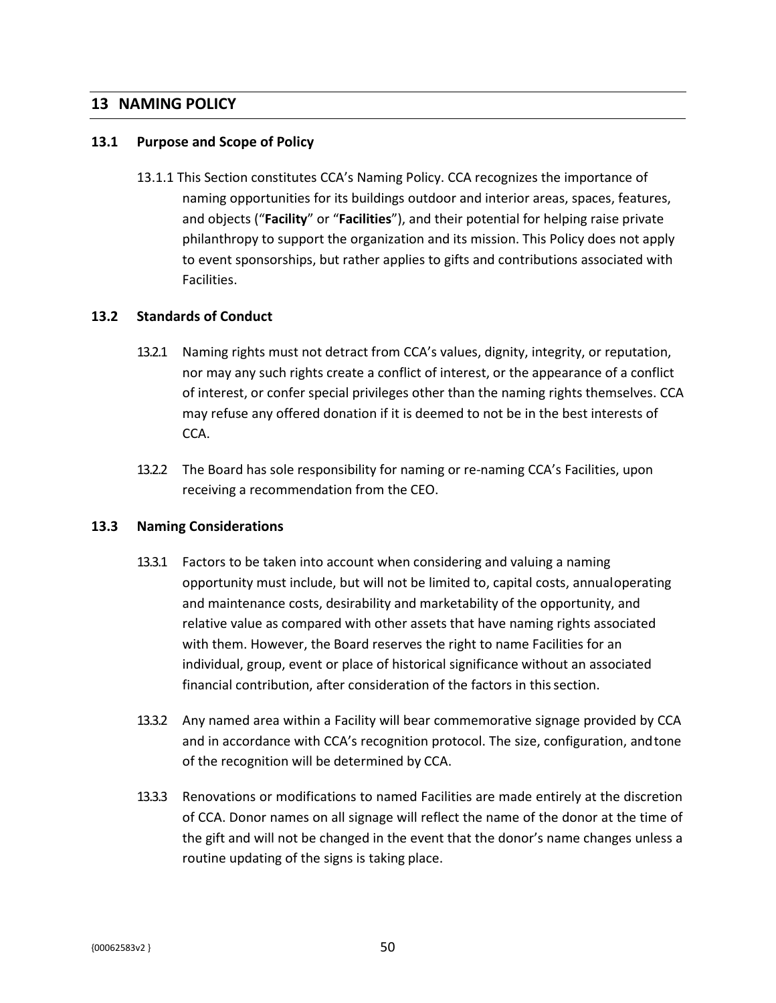## **13 NAMING POLICY**

#### **13.1 Purpose and Scope of Policy**

13.1.1 This Section constitutes CCA's Naming Policy. CCA recognizes the importance of naming opportunities for its buildings outdoor and interior areas, spaces, features, and objects ("**Facility**" or "**Facilities**"), and their potential for helping raise private philanthropy to support the organization and its mission. This Policy does not apply to event sponsorships, but rather applies to gifts and contributions associated with Facilities.

#### **13.2 Standards of Conduct**

- 13.2.1 Naming rights must not detract from CCA's values, dignity, integrity, or reputation, nor may any such rights create a conflict of interest, or the appearance of a conflict of interest, or confer special privileges other than the naming rights themselves. CCA may refuse any offered donation if it is deemed to not be in the best interests of CCA.
- 13.2.2 The Board has sole responsibility for naming or re-naming CCA's Facilities, upon receiving a recommendation from the CEO.

#### **13.3 Naming Considerations**

- 13.3.1 Factors to be taken into account when considering and valuing a naming opportunity must include, but will not be limited to, capital costs, annualoperating and maintenance costs, desirability and marketability of the opportunity, and relative value as compared with other assets that have naming rights associated with them. However, the Board reserves the right to name Facilities for an individual, group, event or place of historical significance without an associated financial contribution, after consideration of the factors in thissection.
- 13.3.2 Any named area within a Facility will bear commemorative signage provided by CCA and in accordance with CCA's recognition protocol. The size, configuration, andtone of the recognition will be determined by CCA.
- 13.3.3 Renovations or modifications to named Facilities are made entirely at the discretion of CCA. Donor names on all signage will reflect the name of the donor at the time of the gift and will not be changed in the event that the donor's name changes unless a routine updating of the signs is taking place.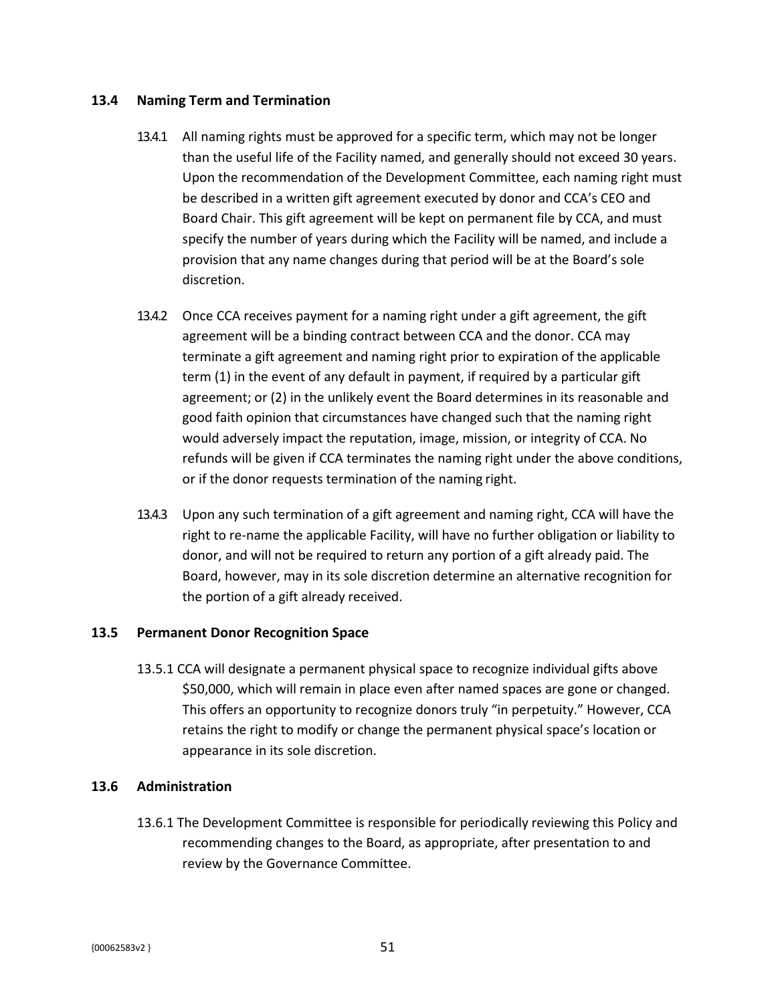#### **13.4 Naming Term and Termination**

- 13.4.1 All naming rights must be approved for a specific term, which may not be longer than the useful life of the Facility named, and generally should not exceed 30 years. Upon the recommendation of the Development Committee, each naming right must be described in a written gift agreement executed by donor and CCA's CEO and Board Chair. This gift agreement will be kept on permanent file by CCA, and must specify the number of years during which the Facility will be named, and include a provision that any name changes during that period will be at the Board's sole discretion.
- 13.4.2 Once CCA receives payment for a naming right under a gift agreement, the gift agreement will be a binding contract between CCA and the donor. CCA may terminate a gift agreement and naming right prior to expiration of the applicable term (1) in the event of any default in payment, if required by a particular gift agreement; or (2) in the unlikely event the Board determines in its reasonable and good faith opinion that circumstances have changed such that the naming right would adversely impact the reputation, image, mission, or integrity of CCA. No refunds will be given if CCA terminates the naming right under the above conditions, or if the donor requests termination of the naming right.
- 13.4.3 Upon any such termination of a gift agreement and naming right, CCA will have the right to re-name the applicable Facility, will have no further obligation or liability to donor, and will not be required to return any portion of a gift already paid. The Board, however, may in its sole discretion determine an alternative recognition for the portion of a gift already received.

#### **13.5 Permanent Donor Recognition Space**

13.5.1 CCA will designate a permanent physical space to recognize individual gifts above \$50,000, which will remain in place even after named spaces are gone or changed. This offers an opportunity to recognize donors truly "in perpetuity." However, CCA retains the right to modify or change the permanent physical space's location or appearance in its sole discretion.

### **13.6 Administration**

13.6.1 The Development Committee is responsible for periodically reviewing this Policy and recommending changes to the Board, as appropriate, after presentation to and review by the Governance Committee.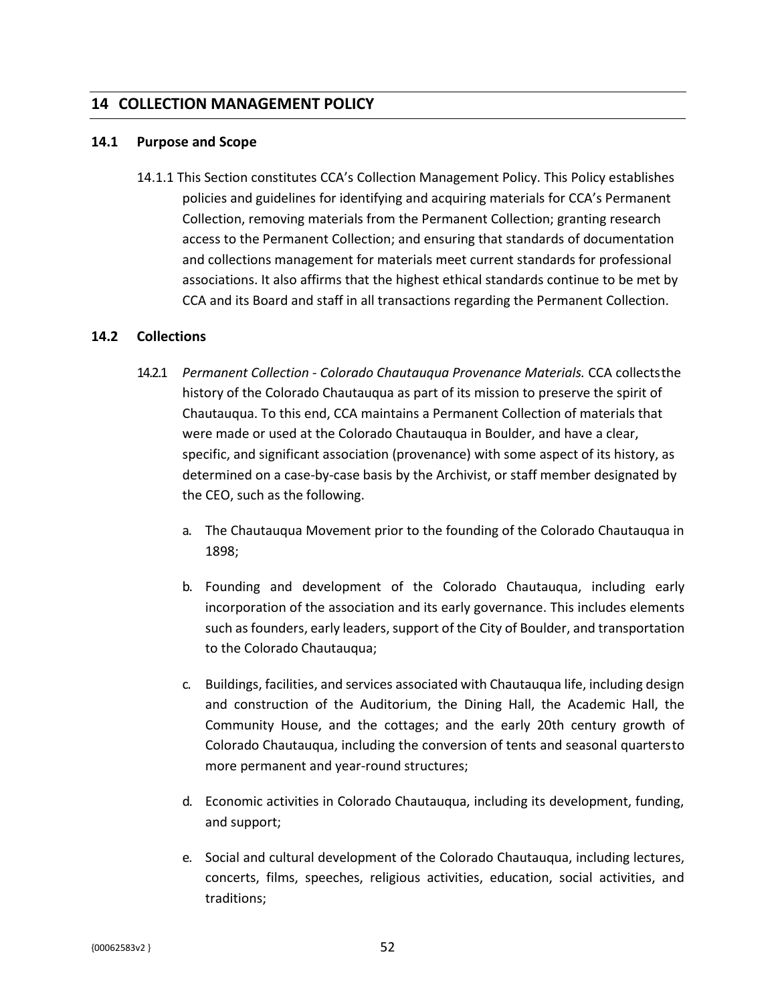## **14 COLLECTION MANAGEMENT POLICY**

#### **14.1 Purpose and Scope**

14.1.1 This Section constitutes CCA's Collection Management Policy. This Policy establishes policies and guidelines for identifying and acquiring materials for CCA's Permanent Collection, removing materials from the Permanent Collection; granting research access to the Permanent Collection; and ensuring that standards of documentation and collections management for materials meet current standards for professional associations. It also affirms that the highest ethical standards continue to be met by CCA and its Board and staff in all transactions regarding the Permanent Collection.

#### **14.2 Collections**

- 14.2.1 *Permanent Collection - Colorado Chautauqua Provenance Materials.* CCA collectsthe history of the Colorado Chautauqua as part of its mission to preserve the spirit of Chautauqua. To this end, CCA maintains a Permanent Collection of materials that were made or used at the Colorado Chautauqua in Boulder, and have a clear, specific, and significant association (provenance) with some aspect of its history, as determined on a case-by-case basis by the Archivist, or staff member designated by the CEO, such as the following.
	- a. The Chautauqua Movement prior to the founding of the Colorado Chautauqua in 1898;
	- b. Founding and development of the Colorado Chautauqua, including early incorporation of the association and its early governance. This includes elements such as founders, early leaders, support of the City of Boulder, and transportation to the Colorado Chautauqua;
	- c. Buildings, facilities, and services associated with Chautauqua life, including design and construction of the Auditorium, the Dining Hall, the Academic Hall, the Community House, and the cottages; and the early 20th century growth of Colorado Chautauqua, including the conversion of tents and seasonal quartersto more permanent and year-round structures;
	- d. Economic activities in Colorado Chautauqua, including its development, funding, and support;
	- e. Social and cultural development of the Colorado Chautauqua, including lectures, concerts, films, speeches, religious activities, education, social activities, and traditions;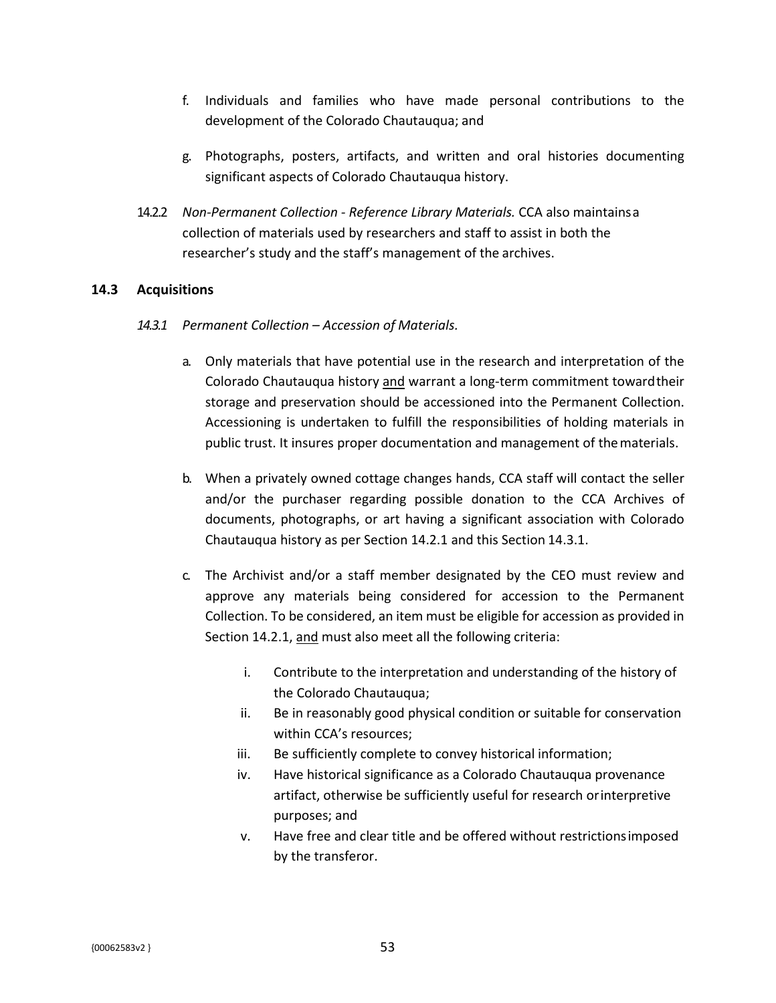- f. Individuals and families who have made personal contributions to the development of the Colorado Chautauqua; and
- g. Photographs, posters, artifacts, and written and oral histories documenting significant aspects of Colorado Chautauqua history.
- 14.2.2 *Non-Permanent Collection - Reference Library Materials.* CCA also maintainsa collection of materials used by researchers and staff to assist in both the researcher's study and the staff's management of the archives.

#### **14.3 Acquisitions**

- *14.3.1 Permanent Collection – Accession of Materials.*
	- a. Only materials that have potential use in the research and interpretation of the Colorado Chautauqua history and warrant a long-term commitment towardtheir storage and preservation should be accessioned into the Permanent Collection. Accessioning is undertaken to fulfill the responsibilities of holding materials in public trust. It insures proper documentation and management of thematerials.
	- b. When a privately owned cottage changes hands, CCA staff will contact the seller and/or the purchaser regarding possible donation to the CCA Archives of documents, photographs, or art having a significant association with Colorado Chautauqua history as per Section 14.2.1 and this Section 14.3.1.
	- c. The Archivist and/or a staff member designated by the CEO must review and approve any materials being considered for accession to the Permanent Collection. To be considered, an item must be eligible for accession as provided in Section 14.2.1, and must also meet all the following criteria:
		- i. Contribute to the interpretation and understanding of the history of the Colorado Chautauqua;
		- ii. Be in reasonably good physical condition or suitable for conservation within CCA's resources;
		- iii. Be sufficiently complete to convey historical information;
		- iv. Have historical significance as a Colorado Chautauqua provenance artifact, otherwise be sufficiently useful for research orinterpretive purposes; and
		- v. Have free and clear title and be offered without restrictionsimposed by the transferor.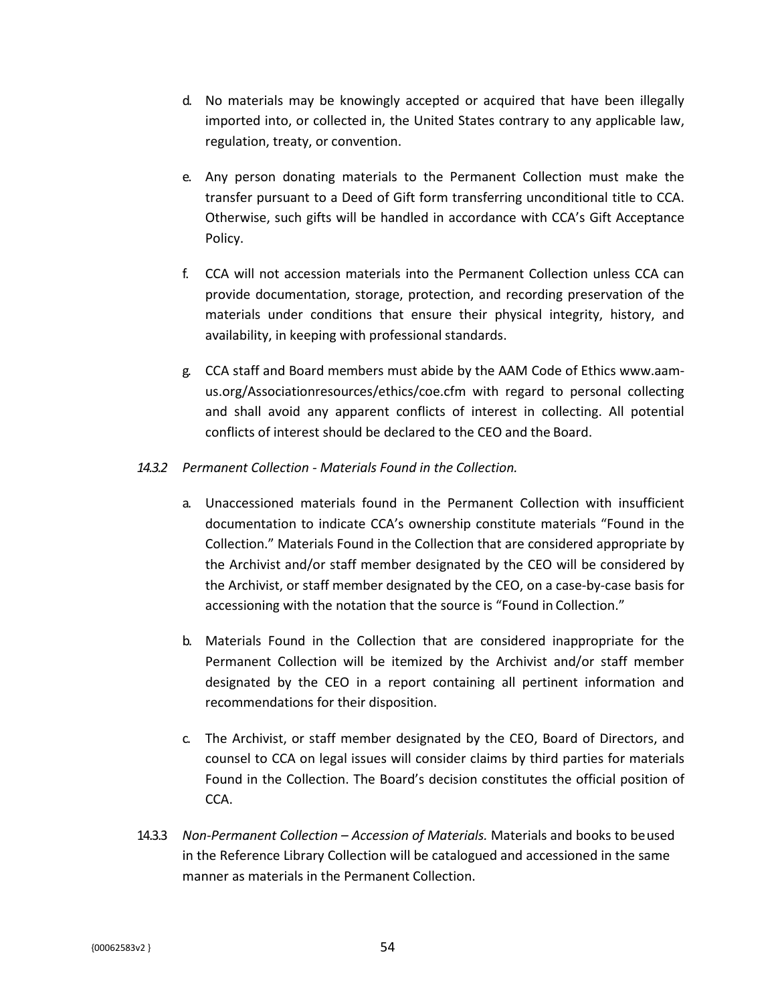- d. No materials may be knowingly accepted or acquired that have been illegally imported into, or collected in, the United States contrary to any applicable law, regulation, treaty, or convention.
- e. Any person donating materials to the Permanent Collection must make the transfer pursuant to a Deed of Gift form transferring unconditional title to CCA. Otherwise, such gifts will be handled in accordance with CCA's Gift Acceptance Policy.
- f. CCA will not accession materials into the Permanent Collection unless CCA can provide documentation, storage, protection, and recording preservation of the materials under conditions that ensure their physical integrity, history, and availability, in keeping with professional standards.
- g. CCA staff and Board members must abide by the AAM Code of Ethics www.aamus.org/Associationresources/ethics/coe.cfm with regard to personal collecting and shall avoid any apparent conflicts of interest in collecting. All potential conflicts of interest should be declared to the CEO and the Board.

#### *14.3.2 Permanent Collection - Materials Found in the Collection.*

- a. Unaccessioned materials found in the Permanent Collection with insufficient documentation to indicate CCA's ownership constitute materials "Found in the Collection." Materials Found in the Collection that are considered appropriate by the Archivist and/or staff member designated by the CEO will be considered by the Archivist, or staff member designated by the CEO, on a case-by-case basis for accessioning with the notation that the source is "Found in Collection."
- b. Materials Found in the Collection that are considered inappropriate for the Permanent Collection will be itemized by the Archivist and/or staff member designated by the CEO in a report containing all pertinent information and recommendations for their disposition.
- c. The Archivist, or staff member designated by the CEO, Board of Directors, and counsel to CCA on legal issues will consider claims by third parties for materials Found in the Collection. The Board's decision constitutes the official position of CCA.
- 14.3.3 *Non-Permanent Collection – Accession of Materials.* Materials and books to beused in the Reference Library Collection will be catalogued and accessioned in the same manner as materials in the Permanent Collection.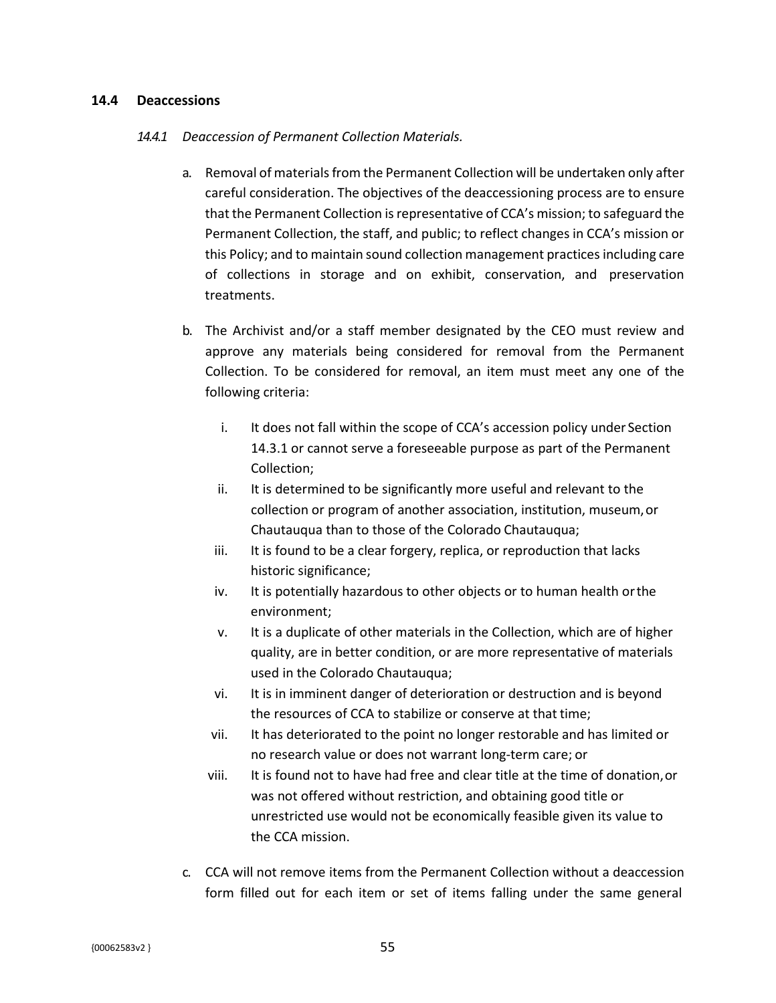#### **14.4 Deaccessions**

#### *14.4.1 Deaccession of Permanent Collection Materials.*

- a. Removal of materials from the Permanent Collection will be undertaken only after careful consideration. The objectives of the deaccessioning process are to ensure that the Permanent Collection isrepresentative of CCA's mission; to safeguard the Permanent Collection, the staff, and public; to reflect changes in CCA's mission or this Policy; and to maintain sound collection management practices including care of collections in storage and on exhibit, conservation, and preservation treatments.
- b. The Archivist and/or a staff member designated by the CEO must review and approve any materials being considered for removal from the Permanent Collection. To be considered for removal, an item must meet any one of the following criteria:
	- i. It does not fall within the scope of CCA's accession policy under Section 14.3.1 or cannot serve a foreseeable purpose as part of the Permanent Collection;
	- ii. It is determined to be significantly more useful and relevant to the collection or program of another association, institution, museum,or Chautauqua than to those of the Colorado Chautauqua;
	- iii. It is found to be a clear forgery, replica, or reproduction that lacks historic significance;
	- iv. It is potentially hazardous to other objects or to human health orthe environment;
	- v. It is a duplicate of other materials in the Collection, which are of higher quality, are in better condition, or are more representative of materials used in the Colorado Chautauqua;
	- vi. It is in imminent danger of deterioration or destruction and is beyond the resources of CCA to stabilize or conserve at that time;
	- vii. It has deteriorated to the point no longer restorable and has limited or no research value or does not warrant long-term care; or
	- viii. It is found not to have had free and clear title at the time of donation,or was not offered without restriction, and obtaining good title or unrestricted use would not be economically feasible given its value to the CCA mission.
- c. CCA will not remove items from the Permanent Collection without a deaccession form filled out for each item or set of items falling under the same general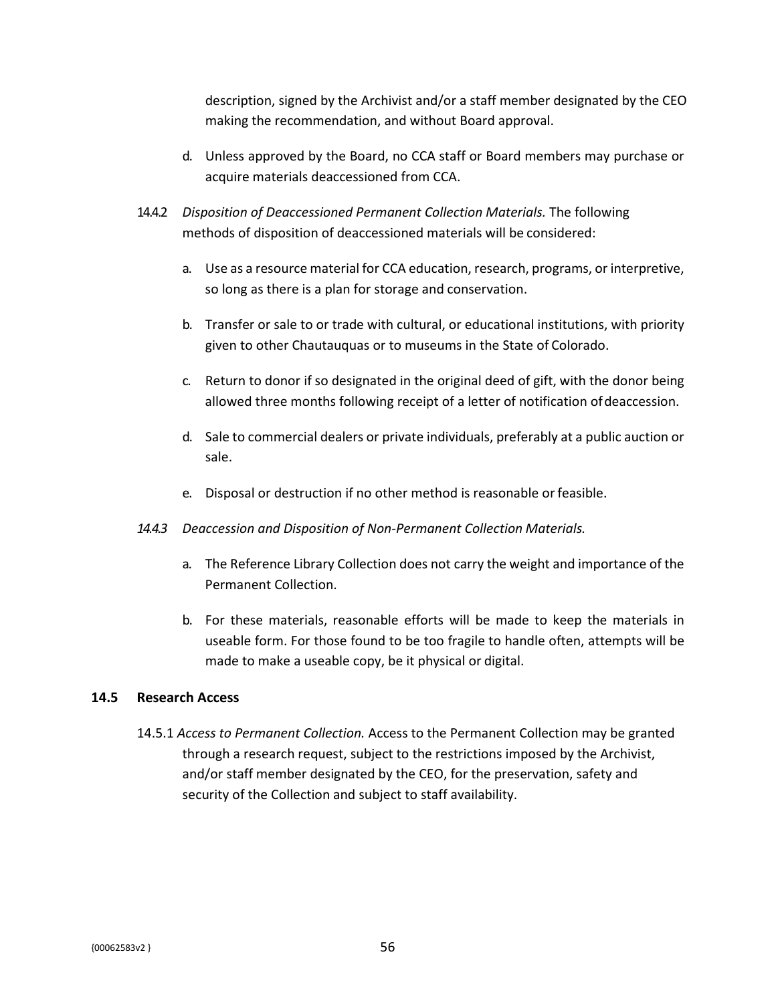description, signed by the Archivist and/or a staff member designated by the CEO making the recommendation, and without Board approval.

- d. Unless approved by the Board, no CCA staff or Board members may purchase or acquire materials deaccessioned from CCA.
- 14.4.2 *Disposition of Deaccessioned Permanent Collection Materials.* The following methods of disposition of deaccessioned materials will be considered:
	- a. Use as a resource material for CCA education, research, programs, or interpretive, so long as there is a plan for storage and conservation.
	- b. Transfer or sale to or trade with cultural, or educational institutions, with priority given to other Chautauquas or to museums in the State of Colorado.
	- c. Return to donor if so designated in the original deed of gift, with the donor being allowed three months following receipt of a letter of notification ofdeaccession.
	- d. Sale to commercial dealers or private individuals, preferably at a public auction or sale.
	- e. Disposal or destruction if no other method is reasonable orfeasible.
- *14.4.3 Deaccession and Disposition of Non-Permanent Collection Materials.*
	- a. The Reference Library Collection does not carry the weight and importance of the Permanent Collection.
	- b. For these materials, reasonable efforts will be made to keep the materials in useable form. For those found to be too fragile to handle often, attempts will be made to make a useable copy, be it physical or digital.

## **14.5 Research Access**

14.5.1 *Access to Permanent Collection.* Access to the Permanent Collection may be granted through a research request, subject to the restrictions imposed by the Archivist, and/or staff member designated by the CEO, for the preservation, safety and security of the Collection and subject to staff availability.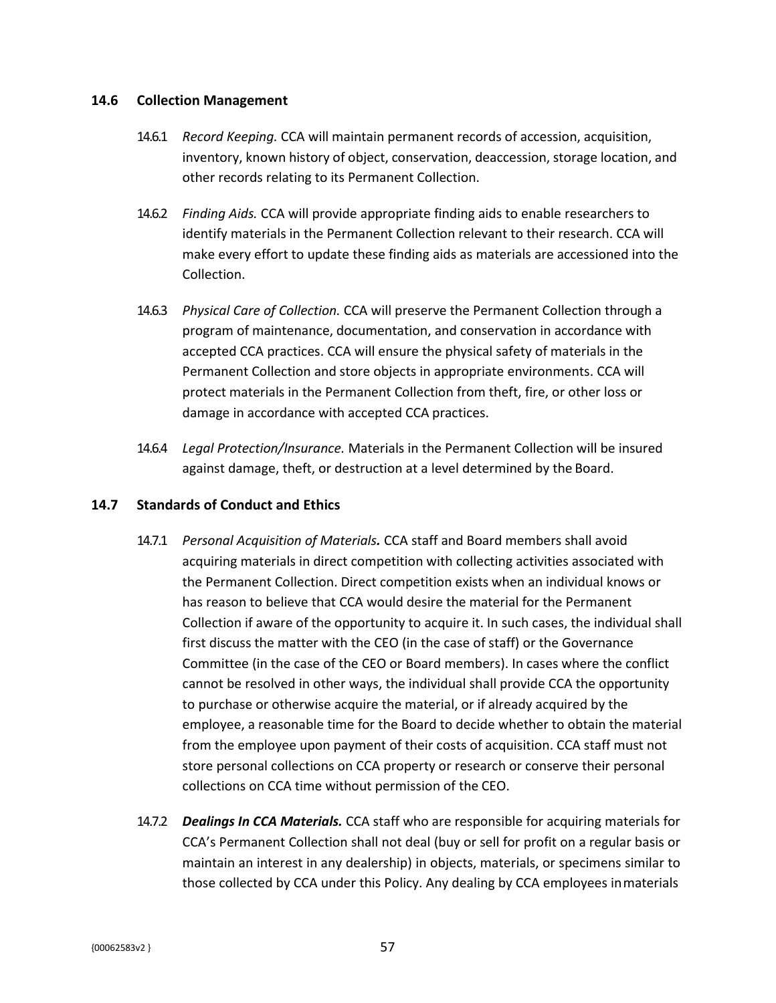#### **14.6 Collection Management**

- 14.6.1 *Record Keeping.* CCA will maintain permanent records of accession, acquisition, inventory, known history of object, conservation, deaccession, storage location, and other records relating to its Permanent Collection.
- 14.6.2 *Finding Aids.* CCA will provide appropriate finding aids to enable researchers to identify materials in the Permanent Collection relevant to their research. CCA will make every effort to update these finding aids as materials are accessioned into the Collection.
- 14.6.3 *Physical Care of Collection.* CCA will preserve the Permanent Collection through a program of maintenance, documentation, and conservation in accordance with accepted CCA practices. CCA will ensure the physical safety of materials in the Permanent Collection and store objects in appropriate environments. CCA will protect materials in the Permanent Collection from theft, fire, or other loss or damage in accordance with accepted CCA practices.
- 14.6.4 *Legal Protection/Insurance.* Materials in the Permanent Collection will be insured against damage, theft, or destruction at a level determined by the Board.

### **14.7 Standards of Conduct and Ethics**

- 14.7.1 *Personal Acquisition of Materials.* CCA staff and Board members shall avoid acquiring materials in direct competition with collecting activities associated with the Permanent Collection. Direct competition exists when an individual knows or has reason to believe that CCA would desire the material for the Permanent Collection if aware of the opportunity to acquire it. In such cases, the individual shall first discuss the matter with the CEO (in the case of staff) or the Governance Committee (in the case of the CEO or Board members). In cases where the conflict cannot be resolved in other ways, the individual shall provide CCA the opportunity to purchase or otherwise acquire the material, or if already acquired by the employee, a reasonable time for the Board to decide whether to obtain the material from the employee upon payment of their costs of acquisition. CCA staff must not store personal collections on CCA property or research or conserve their personal collections on CCA time without permission of the CEO.
- 14.7.2 *Dealings In CCA Materials.* CCA staff who are responsible for acquiring materials for CCA's Permanent Collection shall not deal (buy or sell for profit on a regular basis or maintain an interest in any dealership) in objects, materials, or specimens similar to those collected by CCA under this Policy. Any dealing by CCA employees inmaterials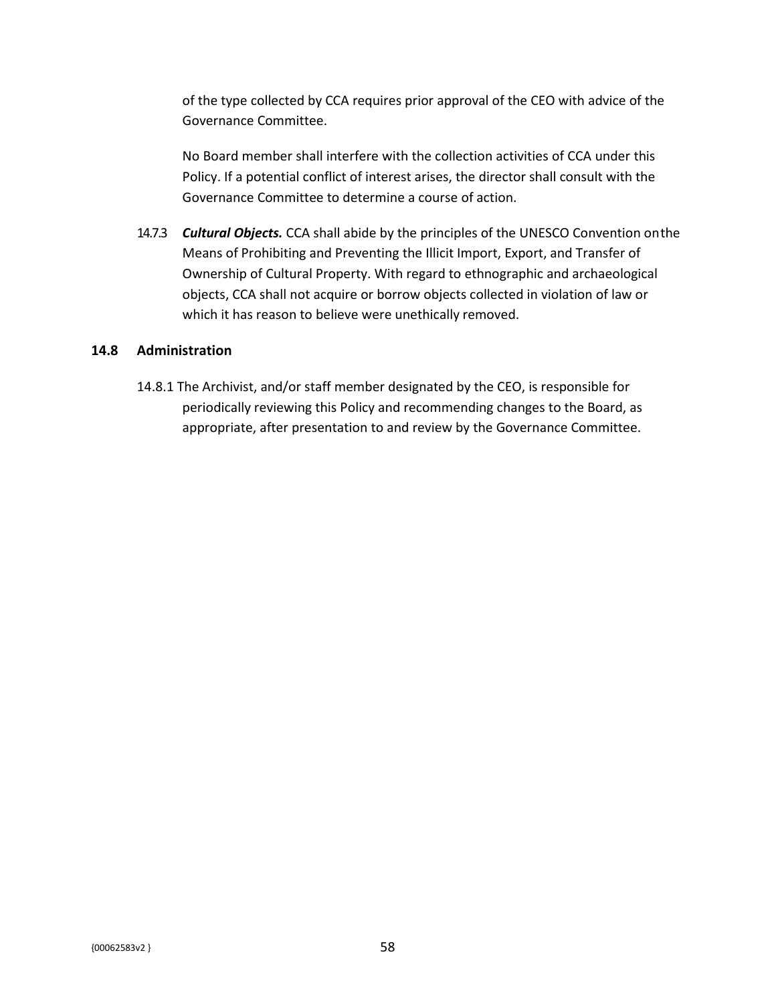of the type collected by CCA requires prior approval of the CEO with advice of the Governance Committee.

No Board member shall interfere with the collection activities of CCA under this Policy. If a potential conflict of interest arises, the director shall consult with the Governance Committee to determine a course of action.

14.7.3 *Cultural Objects.* CCA shall abide by the principles of the UNESCO Convention onthe Means of Prohibiting and Preventing the Illicit Import, Export, and Transfer of Ownership of Cultural Property. With regard to ethnographic and archaeological objects, CCA shall not acquire or borrow objects collected in violation of law or which it has reason to believe were unethically removed.

### **14.8 Administration**

14.8.1 The Archivist, and/or staff member designated by the CEO, is responsible for periodically reviewing this Policy and recommending changes to the Board, as appropriate, after presentation to and review by the Governance Committee.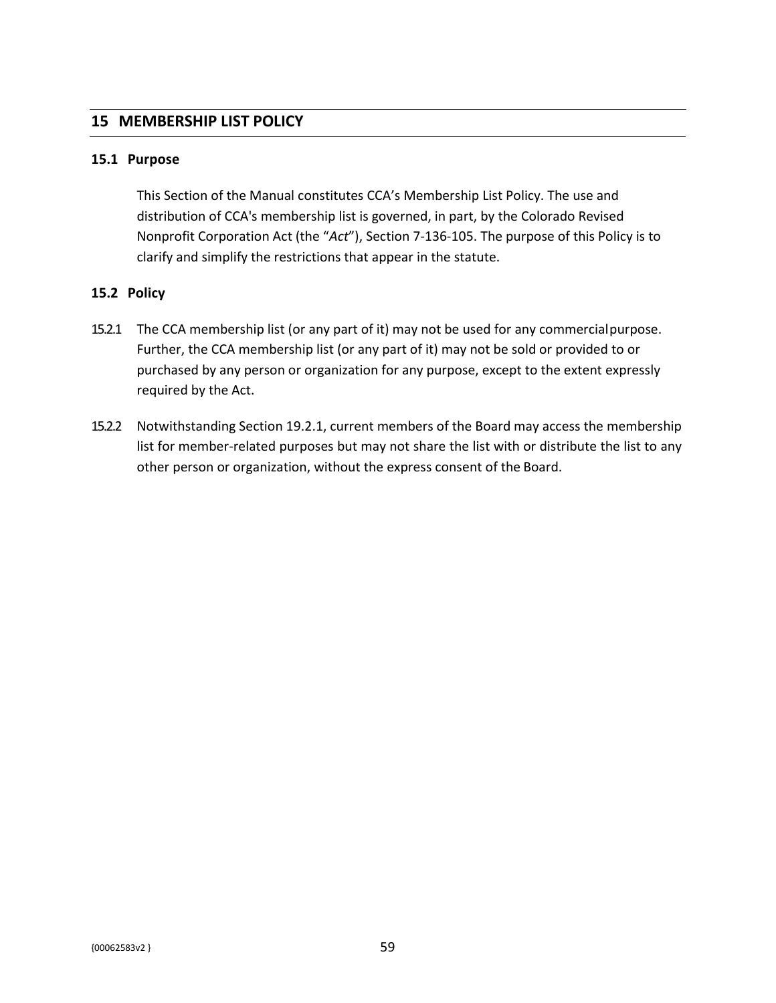## **15 MEMBERSHIP LIST POLICY**

#### **15.1 Purpose**

This Section of the Manual constitutes CCA's Membership List Policy. The use and distribution of CCA's membership list is governed, in part, by the Colorado Revised Nonprofit Corporation Act (the "*Act*"), Section 7-136-105. The purpose of this Policy is to clarify and simplify the restrictions that appear in the statute.

#### **15.2 Policy**

- 15.2.1 The CCA membership list (or any part of it) may not be used for any commercialpurpose. Further, the CCA membership list (or any part of it) may not be sold or provided to or purchased by any person or organization for any purpose, except to the extent expressly required by the Act.
- 15.2.2 Notwithstanding Section 19.2.1, current members of the Board may access the membership list for member-related purposes but may not share the list with or distribute the list to any other person or organization, without the express consent of the Board.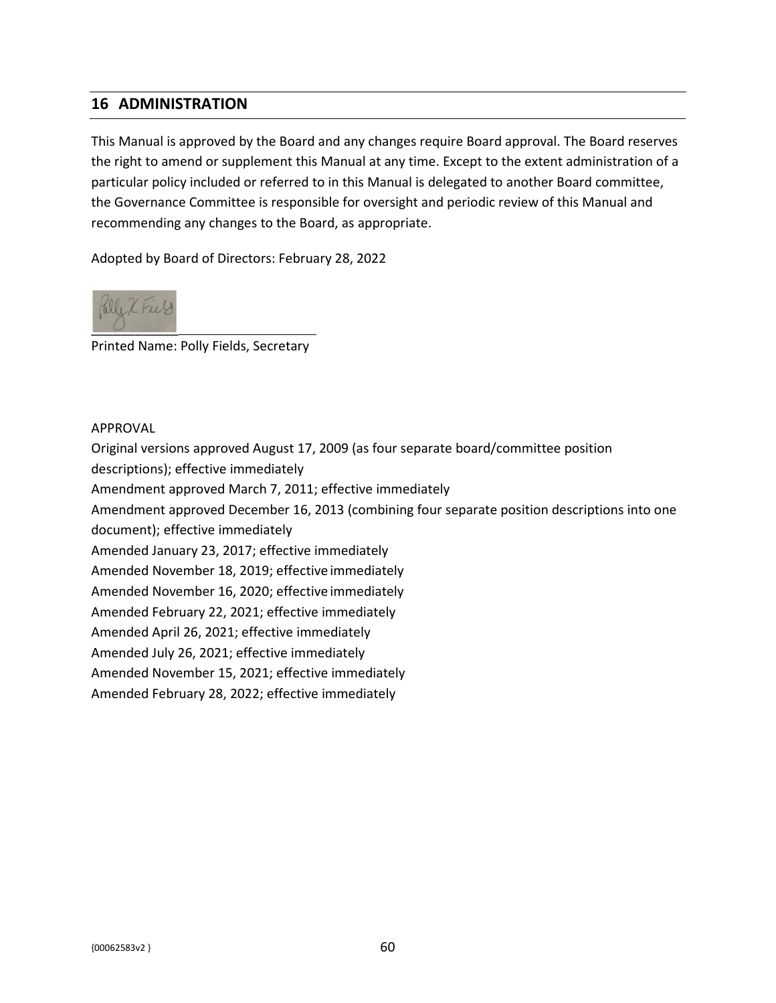## **16 ADMINISTRATION**

This Manual is approved by the Board and any changes require Board approval. The Board reserves the right to amend or supplement this Manual at any time. Except to the extent administration of a particular policy included or referred to in this Manual is delegated to another Board committee, the Governance Committee is responsible for oversight and periodic review of this Manual and recommending any changes to the Board, as appropriate.

Adopted by Board of Directors: February 28, 2022



Printed Name: Polly Fields, Secretary

#### APPROVAL

Original versions approved August 17, 2009 (as four separate board/committee position

descriptions); effective immediately

Amendment approved March 7, 2011; effective immediately

Amendment approved December 16, 2013 (combining four separate position descriptions into one

document); effective immediately

Amended January 23, 2017; effective immediately

Amended November 18, 2019; effective immediately

Amended November 16, 2020; effective immediately

Amended February 22, 2021; effective immediately

Amended April 26, 2021; effective immediately

Amended July 26, 2021; effective immediately

Amended November 15, 2021; effective immediately

Amended February 28, 2022; effective immediately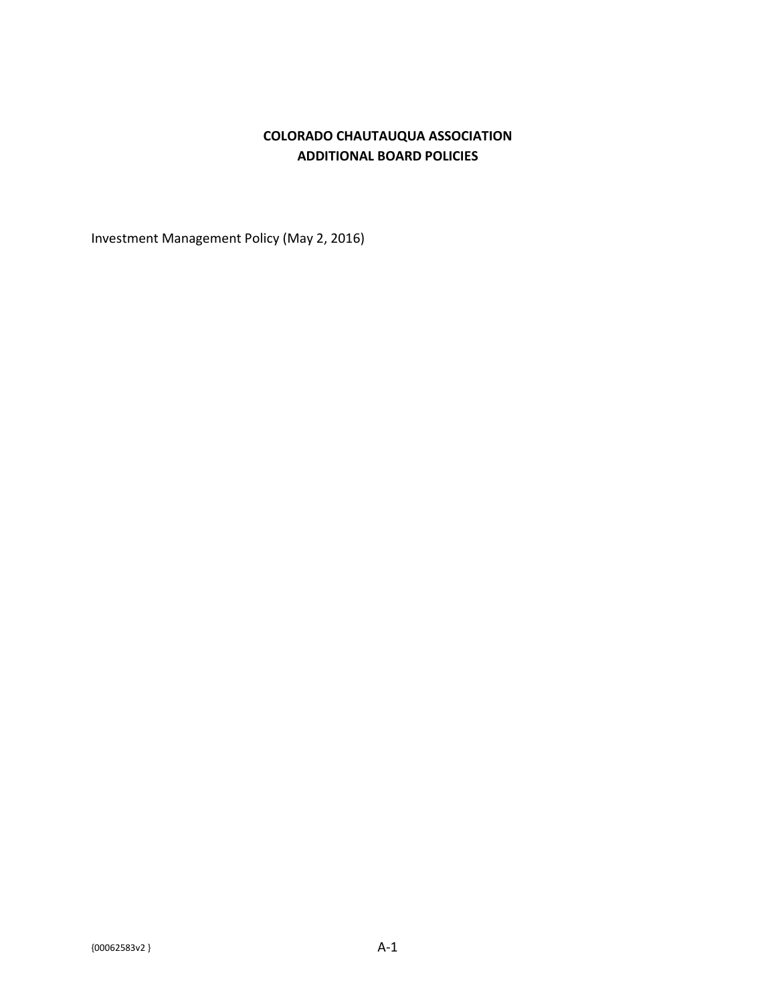## **COLORADO CHAUTAUQUA ASSOCIATION ADDITIONAL BOARD POLICIES**

Investment Management Policy (May 2, 2016)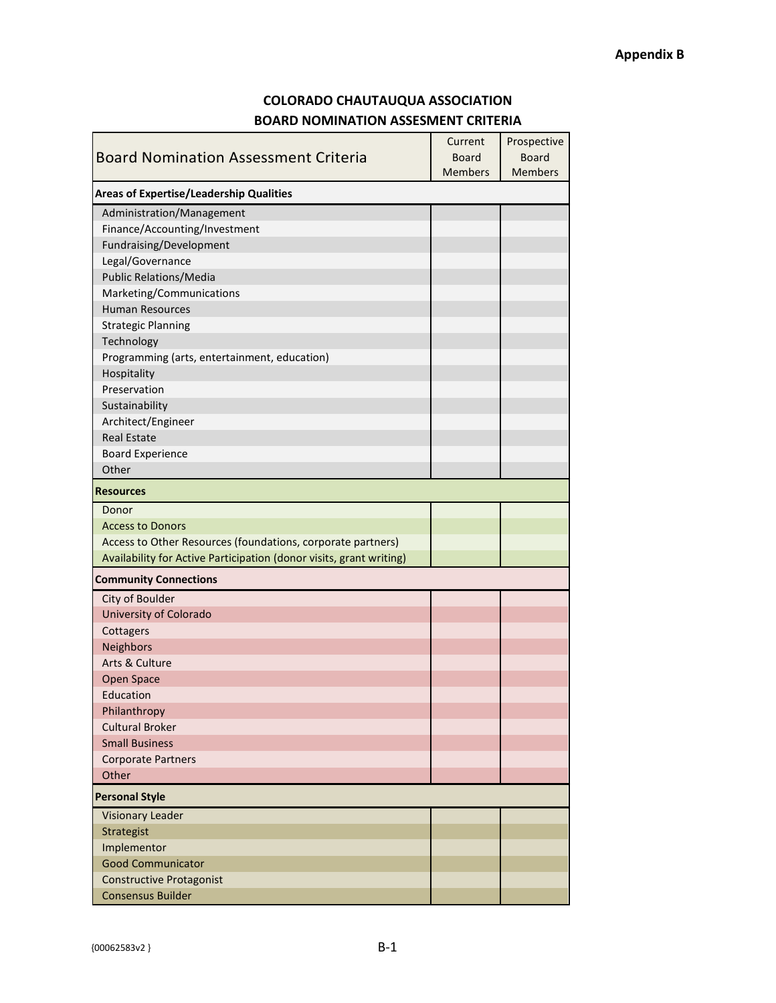## **COLORADO CHAUTAUQUA ASSOCIATION BOARD NOMINATION ASSESMENT CRITERIA**

|                                                                     | Current        | Prospective    |  |
|---------------------------------------------------------------------|----------------|----------------|--|
| <b>Board Nomination Assessment Criteria</b>                         | <b>Board</b>   | <b>Board</b>   |  |
|                                                                     | <b>Members</b> | <b>Members</b> |  |
| <b>Areas of Expertise/Leadership Qualities</b>                      |                |                |  |
| Administration/Management                                           |                |                |  |
| Finance/Accounting/Investment                                       |                |                |  |
| Fundraising/Development                                             |                |                |  |
| Legal/Governance                                                    |                |                |  |
| <b>Public Relations/Media</b>                                       |                |                |  |
| Marketing/Communications                                            |                |                |  |
| <b>Human Resources</b>                                              |                |                |  |
| <b>Strategic Planning</b>                                           |                |                |  |
| Technology                                                          |                |                |  |
| Programming (arts, entertainment, education)                        |                |                |  |
| Hospitality                                                         |                |                |  |
| Preservation                                                        |                |                |  |
| Sustainability                                                      |                |                |  |
| Architect/Engineer                                                  |                |                |  |
| <b>Real Estate</b>                                                  |                |                |  |
| <b>Board Experience</b>                                             |                |                |  |
| Other                                                               |                |                |  |
| <b>Resources</b>                                                    |                |                |  |
| Donor                                                               |                |                |  |
| <b>Access to Donors</b>                                             |                |                |  |
| Access to Other Resources (foundations, corporate partners)         |                |                |  |
| Availability for Active Participation (donor visits, grant writing) |                |                |  |
| <b>Community Connections</b>                                        |                |                |  |
| City of Boulder                                                     |                |                |  |
| <b>University of Colorado</b>                                       |                |                |  |
| Cottagers                                                           |                |                |  |
| <b>Neighbors</b>                                                    |                |                |  |
| Arts & Culture                                                      |                |                |  |
| Open Space                                                          |                |                |  |
| Education                                                           |                |                |  |
| Philanthropy                                                        |                |                |  |
| <b>Cultural Broker</b>                                              |                |                |  |
| <b>Small Business</b>                                               |                |                |  |
| <b>Corporate Partners</b>                                           |                |                |  |
| Other                                                               |                |                |  |
| <b>Personal Style</b>                                               |                |                |  |
| <b>Visionary Leader</b>                                             |                |                |  |
| Strategist                                                          |                |                |  |
| Implementor                                                         |                |                |  |
| <b>Good Communicator</b>                                            |                |                |  |
| <b>Constructive Protagonist</b>                                     |                |                |  |
| <b>Consensus Builder</b>                                            |                |                |  |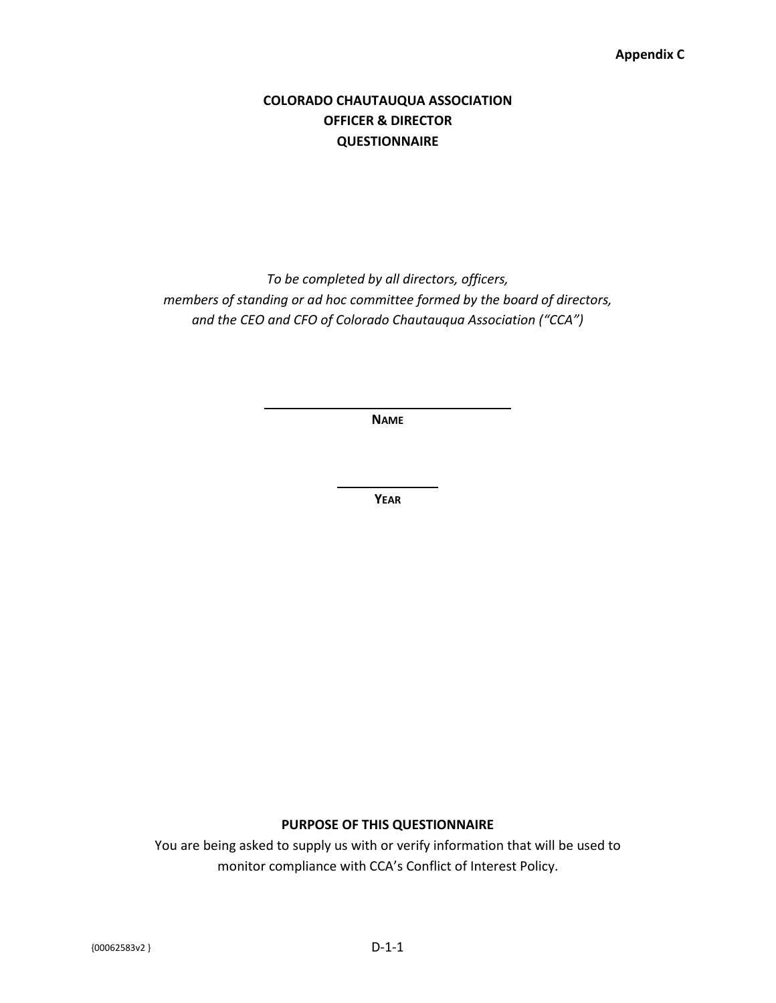#### **Appendix C**

## **COLORADO CHAUTAUQUA ASSOCIATION OFFICER & DIRECTOR QUESTIONNAIRE**

*To be completed by all directors, officers, members of standing or ad hoc committee formed by the board of directors, and the CEO and CFO of Colorado Chautauqua Association ("CCA")*

**NAME**

**YEAR**

#### **PURPOSE OF THIS QUESTIONNAIRE**

You are being asked to supply us with or verify information that will be used to monitor compliance with CCA's Conflict of Interest Policy.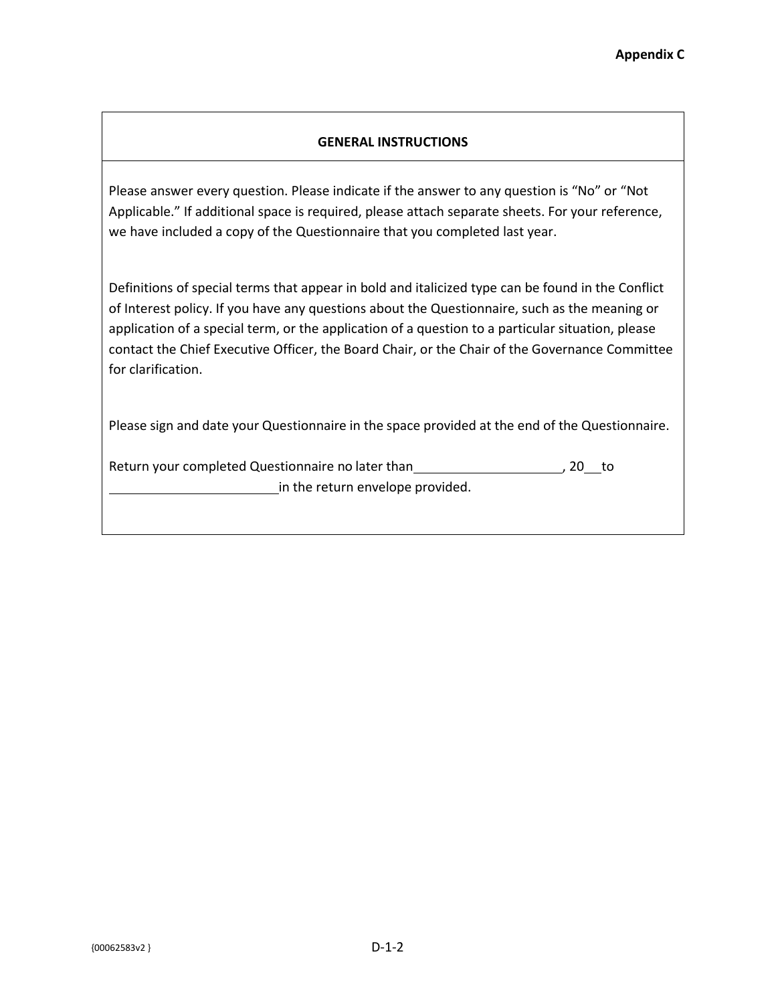## **GENERAL INSTRUCTIONS**

Please answer every question. Please indicate if the answer to any question is "No" or "Not Applicable." If additional space is required, please attach separate sheets. For your reference, we have included a copy of the Questionnaire that you completed last year.

Definitions of special terms that appear in bold and italicized type can be found in the Conflict of Interest policy. If you have any questions about the Questionnaire, such as the meaning or application of a special term, or the application of a question to a particular situation, please contact the Chief Executive Officer, the Board Chair, or the Chair of the Governance Committee for clarification.

Please sign and date your Questionnaire in the space provided at the end of the Questionnaire.

Return your completed Questionnaire no later than , 20 to in the return envelope provided.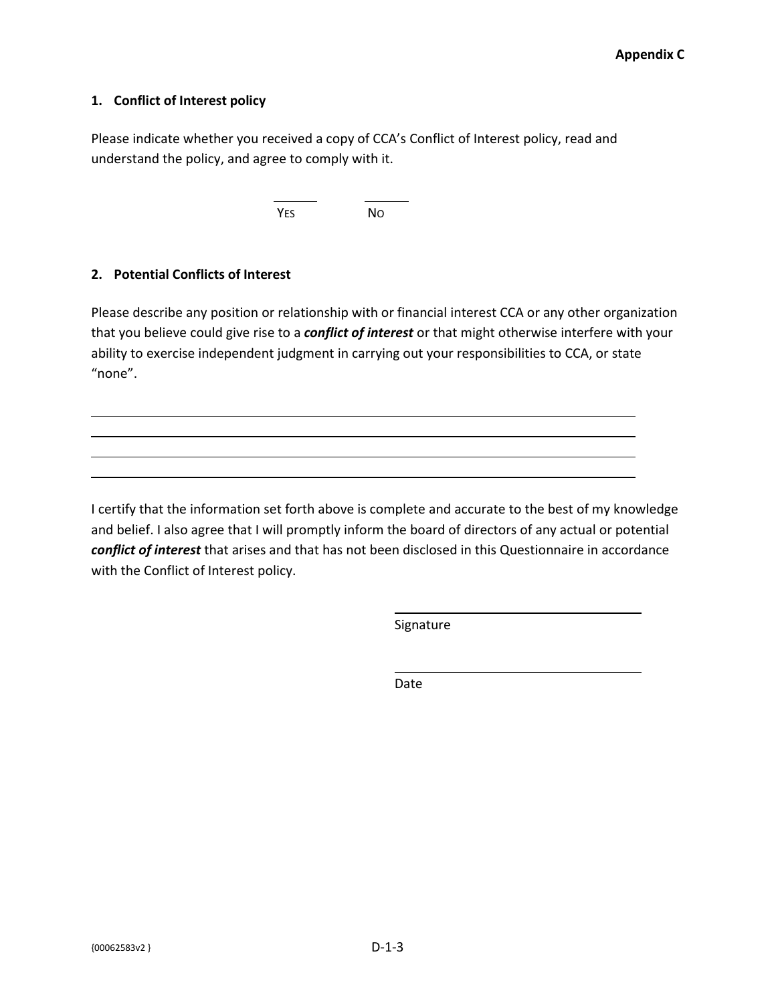### **1. Conflict of Interest policy**

Please indicate whether you received a copy of CCA's Conflict of Interest policy, read and understand the policy, and agree to comply with it.

YES NO

## **2. Potential Conflicts of Interest**

Please describe any position or relationship with or financial interest CCA or any other organization that you believe could give rise to a *conflict of interest* or that might otherwise interfere with your ability to exercise independent judgment in carrying out your responsibilities to CCA, or state "none".

I certify that the information set forth above is complete and accurate to the best of my knowledge and belief. I also agree that I will promptly inform the board of directors of any actual or potential *conflict of interest* that arises and that has not been disclosed in this Questionnaire in accordance with the Conflict of Interest policy.

Signature

Date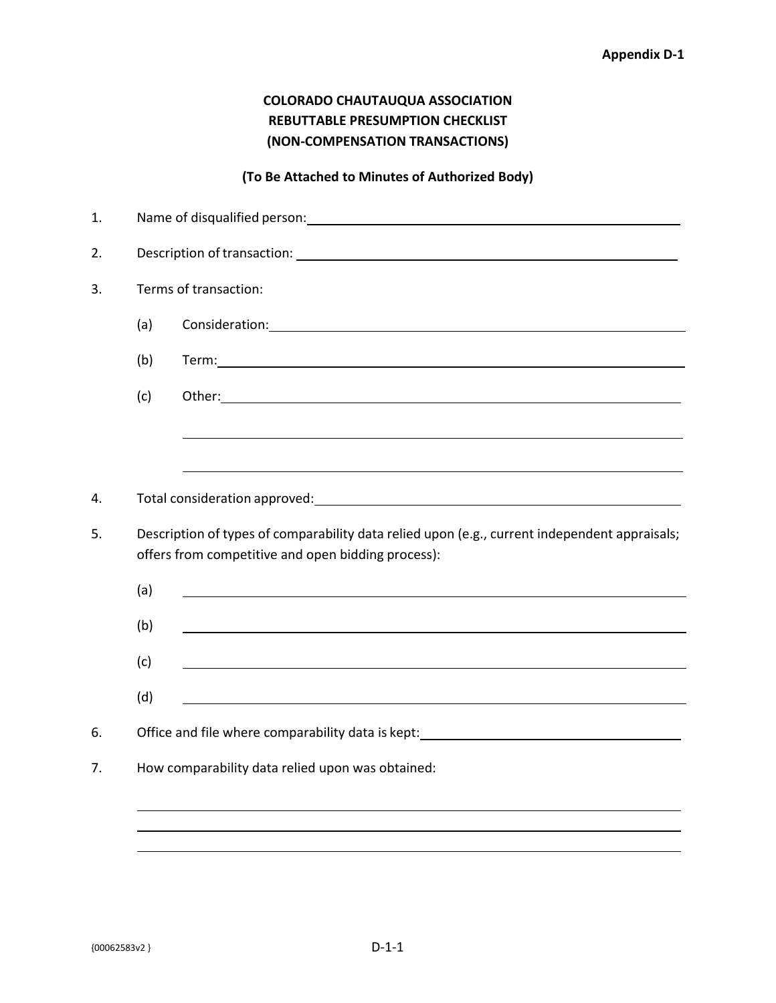## **COLORADO CHAUTAUQUA ASSOCIATION REBUTTABLE PRESUMPTION CHECKLIST (NON-COMPENSATION TRANSACTIONS)**

## **(To Be Attached to Minutes of Authorized Body)**

| 1. |                                                                                                                                                     |                                                                                                                       |  |  |
|----|-----------------------------------------------------------------------------------------------------------------------------------------------------|-----------------------------------------------------------------------------------------------------------------------|--|--|
| 2. |                                                                                                                                                     |                                                                                                                       |  |  |
| 3. |                                                                                                                                                     | Terms of transaction:                                                                                                 |  |  |
|    | (a)                                                                                                                                                 |                                                                                                                       |  |  |
|    | (b)                                                                                                                                                 |                                                                                                                       |  |  |
|    | (c)                                                                                                                                                 |                                                                                                                       |  |  |
|    |                                                                                                                                                     |                                                                                                                       |  |  |
|    |                                                                                                                                                     |                                                                                                                       |  |  |
| 4. |                                                                                                                                                     |                                                                                                                       |  |  |
| 5. | Description of types of comparability data relied upon (e.g., current independent appraisals;<br>offers from competitive and open bidding process): |                                                                                                                       |  |  |
|    | (a)                                                                                                                                                 | <u> 1980 - Johann Stoff, deutscher Stoffen und der Stoffen und der Stoffen und der Stoffen und der Stoffen und de</u> |  |  |
|    | (b)                                                                                                                                                 |                                                                                                                       |  |  |
|    | (c)                                                                                                                                                 |                                                                                                                       |  |  |
|    | (d)                                                                                                                                                 |                                                                                                                       |  |  |
| 6. |                                                                                                                                                     | Office and file where comparability data is kept: _______________________________                                     |  |  |
| 7. |                                                                                                                                                     | How comparability data relied upon was obtained:                                                                      |  |  |
|    |                                                                                                                                                     |                                                                                                                       |  |  |
|    |                                                                                                                                                     | ,我们也不会有什么。""我们的人,我们也不会有什么?""我们的人,我们也不会有什么?""我们的人,我们也不会有什么?""我们的人,我们也不会有什么?""我们的人                                      |  |  |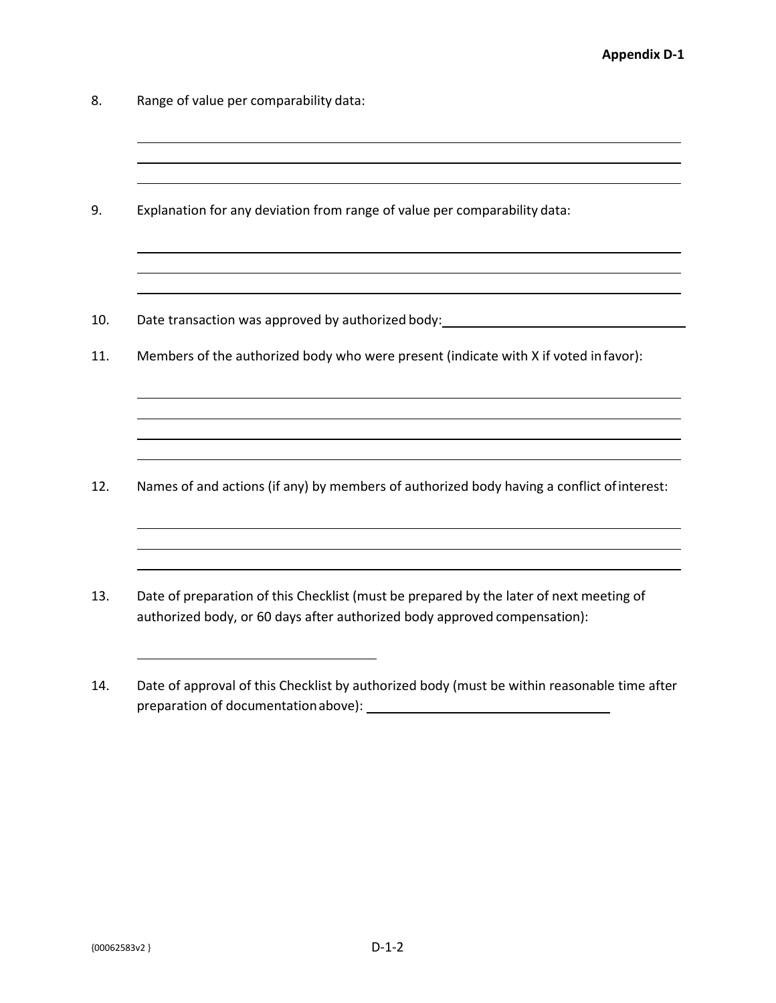- 8. Range of value per comparability data:
- 9. Explanation for any deviation from range of value per comparability data:
- 10. Date transaction was approved by authorized body:
- 11. Members of the authorized body who were present (indicate with X if voted in favor):

- 12. Names of and actions (if any) by members of authorized body having a conflict ofinterest:
- 13. Date of preparation of this Checklist (must be prepared by the later of next meeting of authorized body, or 60 days after authorized body approved compensation):
- 14. Date of approval of this Checklist by authorized body (must be within reasonable time after preparation of documentationabove):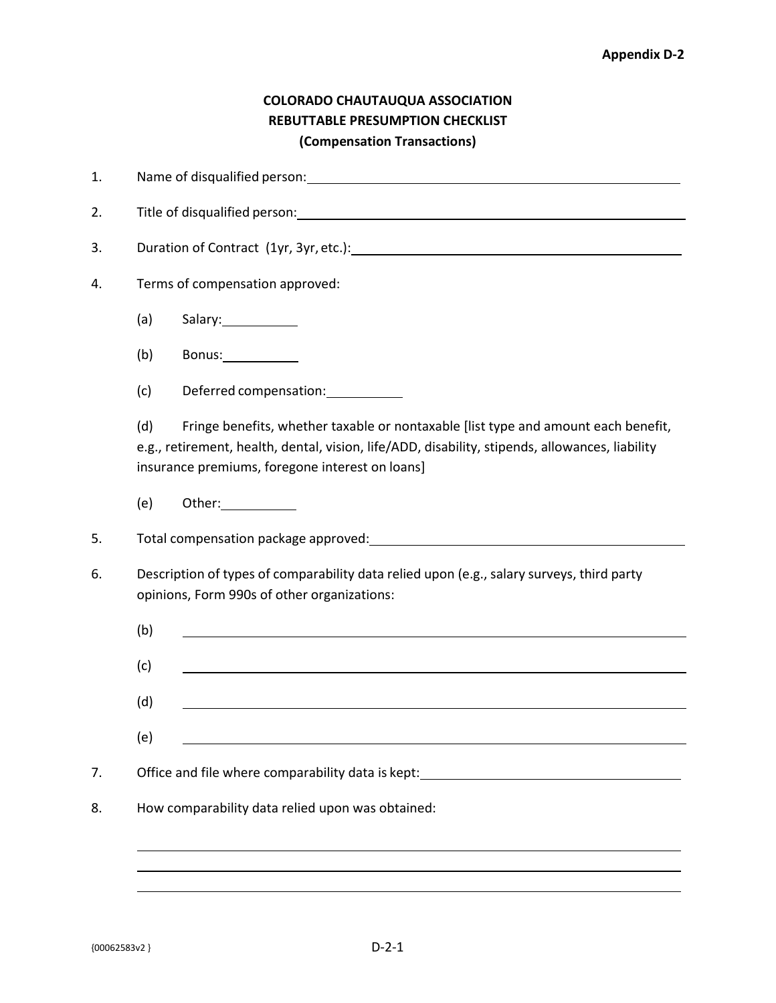## **COLORADO CHAUTAUQUA ASSOCIATION REBUTTABLE PRESUMPTION CHECKLIST (Compensation Transactions)**

| 1.             |                                 |                                                                                                                                                                                                                                          |
|----------------|---------------------------------|------------------------------------------------------------------------------------------------------------------------------------------------------------------------------------------------------------------------------------------|
| 2.             |                                 |                                                                                                                                                                                                                                          |
| 3.             |                                 | Duration of Contract (1yr, 3yr, etc.): Notified the state of the state of the state of the state of the state of the state of the state of the state of the state of the state of the state of the state of the state of the s           |
| 4.             | Terms of compensation approved: |                                                                                                                                                                                                                                          |
|                | (a)                             |                                                                                                                                                                                                                                          |
|                | (b)                             | Bonus:____________                                                                                                                                                                                                                       |
|                | (c)                             | Deferred compensation: ___________                                                                                                                                                                                                       |
|                | (d)                             | Fringe benefits, whether taxable or nontaxable [list type and amount each benefit,<br>e.g., retirement, health, dental, vision, life/ADD, disability, stipends, allowances, liability<br>insurance premiums, foregone interest on loans] |
|                | (e)                             | Other:_____________                                                                                                                                                                                                                      |
| 5.             |                                 |                                                                                                                                                                                                                                          |
|                |                                 |                                                                                                                                                                                                                                          |
|                |                                 | Description of types of comparability data relied upon (e.g., salary surveys, third party<br>opinions, Form 990s of other organizations:                                                                                                 |
|                | (b)                             |                                                                                                                                                                                                                                          |
|                | (c)                             |                                                                                                                                                                                                                                          |
|                | (d)                             |                                                                                                                                                                                                                                          |
|                | (e)                             |                                                                                                                                                                                                                                          |
|                |                                 | Office and file where comparability data is kept: National Company of the comparability data is kept:                                                                                                                                    |
|                |                                 | How comparability data relied upon was obtained:                                                                                                                                                                                         |
| 6.<br>7.<br>8. |                                 |                                                                                                                                                                                                                                          |